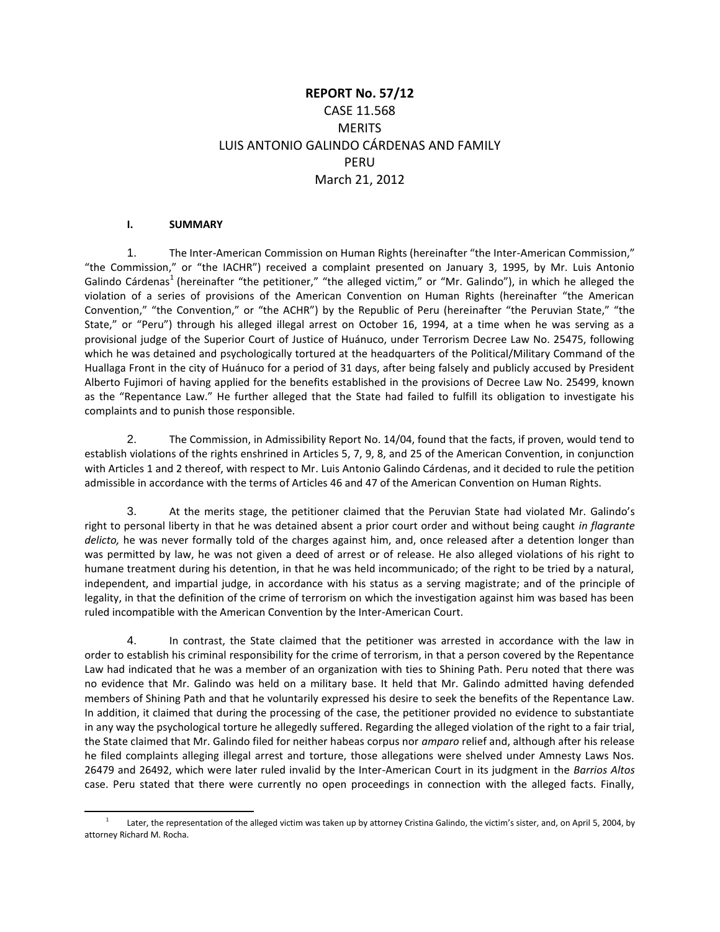# **REPORT No. 57/12** CASE 11.568 **MERITS** LUIS ANTONIO GALINDO CÁRDENAS AND FAMILY PERU March 21, 2012

## **I. SUMMARY**

1. The Inter-American Commission on Human Rights (hereinafter "the Inter-American Commission," "the Commission," or "the IACHR") received a complaint presented on January 3, 1995, by Mr. Luis Antonio Galindo Cárdenas<sup>1</sup> (hereinafter "the petitioner," "the alleged victim," or "Mr. Galindo"), in which he alleged the violation of a series of provisions of the American Convention on Human Rights (hereinafter "the American Convention," "the Convention," or "the ACHR") by the Republic of Peru (hereinafter "the Peruvian State," "the State," or "Peru") through his alleged illegal arrest on October 16, 1994, at a time when he was serving as a provisional judge of the Superior Court of Justice of Huánuco, under Terrorism Decree Law No. 25475, following which he was detained and psychologically tortured at the headquarters of the Political/Military Command of the Huallaga Front in the city of Huánuco for a period of 31 days, after being falsely and publicly accused by President Alberto Fujimori of having applied for the benefits established in the provisions of Decree Law No. 25499, known as the "Repentance Law." He further alleged that the State had failed to fulfill its obligation to investigate his complaints and to punish those responsible.

2. The Commission, in Admissibility Report No. 14/04, found that the facts, if proven, would tend to establish violations of the rights enshrined in Articles 5, 7, 9, 8, and 25 of the American Convention, in conjunction with Articles 1 and 2 thereof, with respect to Mr. Luis Antonio Galindo Cárdenas, and it decided to rule the petition admissible in accordance with the terms of Articles 46 and 47 of the American Convention on Human Rights.

3. At the merits stage, the petitioner claimed that the Peruvian State had violated Mr. Galindo's right to personal liberty in that he was detained absent a prior court order and without being caught *in flagrante delicto,* he was never formally told of the charges against him, and, once released after a detention longer than was permitted by law, he was not given a deed of arrest or of release. He also alleged violations of his right to humane treatment during his detention, in that he was held incommunicado; of the right to be tried by a natural, independent, and impartial judge, in accordance with his status as a serving magistrate; and of the principle of legality, in that the definition of the crime of terrorism on which the investigation against him was based has been ruled incompatible with the American Convention by the Inter-American Court.

4. In contrast, the State claimed that the petitioner was arrested in accordance with the law in order to establish his criminal responsibility for the crime of terrorism, in that a person covered by the Repentance Law had indicated that he was a member of an organization with ties to Shining Path. Peru noted that there was no evidence that Mr. Galindo was held on a military base. It held that Mr. Galindo admitted having defended members of Shining Path and that he voluntarily expressed his desire to seek the benefits of the Repentance Law. In addition, it claimed that during the processing of the case, the petitioner provided no evidence to substantiate in any way the psychological torture he allegedly suffered. Regarding the alleged violation of the right to a fair trial, the State claimed that Mr. Galindo filed for neither habeas corpus nor *amparo* relief and, although after his release he filed complaints alleging illegal arrest and torture, those allegations were shelved under Amnesty Laws Nos. 26479 and 26492, which were later ruled invalid by the Inter-American Court in its judgment in the *Barrios Altos*  case. Peru stated that there were currently no open proceedings in connection with the alleged facts. Finally,

 $\overline{a}$ 1 Later, the representation of the alleged victim was taken up by attorney Cristina Galindo, the victim's sister, and, on April 5, 2004, by attorney Richard M. Rocha.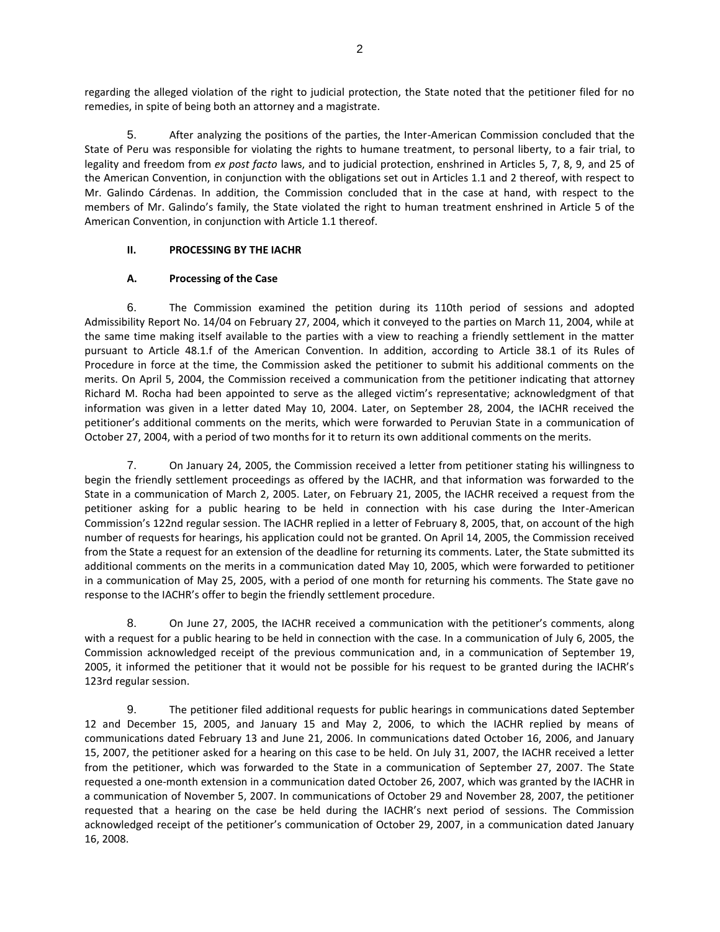regarding the alleged violation of the right to judicial protection, the State noted that the petitioner filed for no remedies, in spite of being both an attorney and a magistrate.

5. After analyzing the positions of the parties, the Inter-American Commission concluded that the State of Peru was responsible for violating the rights to humane treatment, to personal liberty, to a fair trial, to legality and freedom from *ex post facto* laws, and to judicial protection, enshrined in Articles 5, 7, 8, 9, and 25 of the American Convention, in conjunction with the obligations set out in Articles 1.1 and 2 thereof, with respect to Mr. Galindo Cárdenas. In addition, the Commission concluded that in the case at hand, with respect to the members of Mr. Galindo's family, the State violated the right to human treatment enshrined in Article 5 of the American Convention, in conjunction with Article 1.1 thereof.

## **II. PROCESSING BY THE IACHR**

## **A. Processing of the Case**

6. The Commission examined the petition during its 110th period of sessions and adopted Admissibility Report No. 14/04 on February 27, 2004, which it conveyed to the parties on March 11, 2004, while at the same time making itself available to the parties with a view to reaching a friendly settlement in the matter pursuant to Article 48.1.f of the American Convention. In addition, according to Article 38.1 of its Rules of Procedure in force at the time, the Commission asked the petitioner to submit his additional comments on the merits. On April 5, 2004, the Commission received a communication from the petitioner indicating that attorney Richard M. Rocha had been appointed to serve as the alleged victim's representative; acknowledgment of that information was given in a letter dated May 10, 2004. Later, on September 28, 2004, the IACHR received the petitioner's additional comments on the merits, which were forwarded to Peruvian State in a communication of October 27, 2004, with a period of two months for it to return its own additional comments on the merits.

7. On January 24, 2005, the Commission received a letter from petitioner stating his willingness to begin the friendly settlement proceedings as offered by the IACHR, and that information was forwarded to the State in a communication of March 2, 2005. Later, on February 21, 2005, the IACHR received a request from the petitioner asking for a public hearing to be held in connection with his case during the Inter-American Commission's 122nd regular session. The IACHR replied in a letter of February 8, 2005, that, on account of the high number of requests for hearings, his application could not be granted. On April 14, 2005, the Commission received from the State a request for an extension of the deadline for returning its comments. Later, the State submitted its additional comments on the merits in a communication dated May 10, 2005, which were forwarded to petitioner in a communication of May 25, 2005, with a period of one month for returning his comments. The State gave no response to the IACHR's offer to begin the friendly settlement procedure.

8. On June 27, 2005, the IACHR received a communication with the petitioner's comments, along with a request for a public hearing to be held in connection with the case. In a communication of July 6, 2005, the Commission acknowledged receipt of the previous communication and, in a communication of September 19, 2005, it informed the petitioner that it would not be possible for his request to be granted during the IACHR's 123rd regular session.

9. The petitioner filed additional requests for public hearings in communications dated September 12 and December 15, 2005, and January 15 and May 2, 2006, to which the IACHR replied by means of communications dated February 13 and June 21, 2006. In communications dated October 16, 2006, and January 15, 2007, the petitioner asked for a hearing on this case to be held. On July 31, 2007, the IACHR received a letter from the petitioner, which was forwarded to the State in a communication of September 27, 2007. The State requested a one-month extension in a communication dated October 26, 2007, which was granted by the IACHR in a communication of November 5, 2007. In communications of October 29 and November 28, 2007, the petitioner requested that a hearing on the case be held during the IACHR's next period of sessions. The Commission acknowledged receipt of the petitioner's communication of October 29, 2007, in a communication dated January 16, 2008.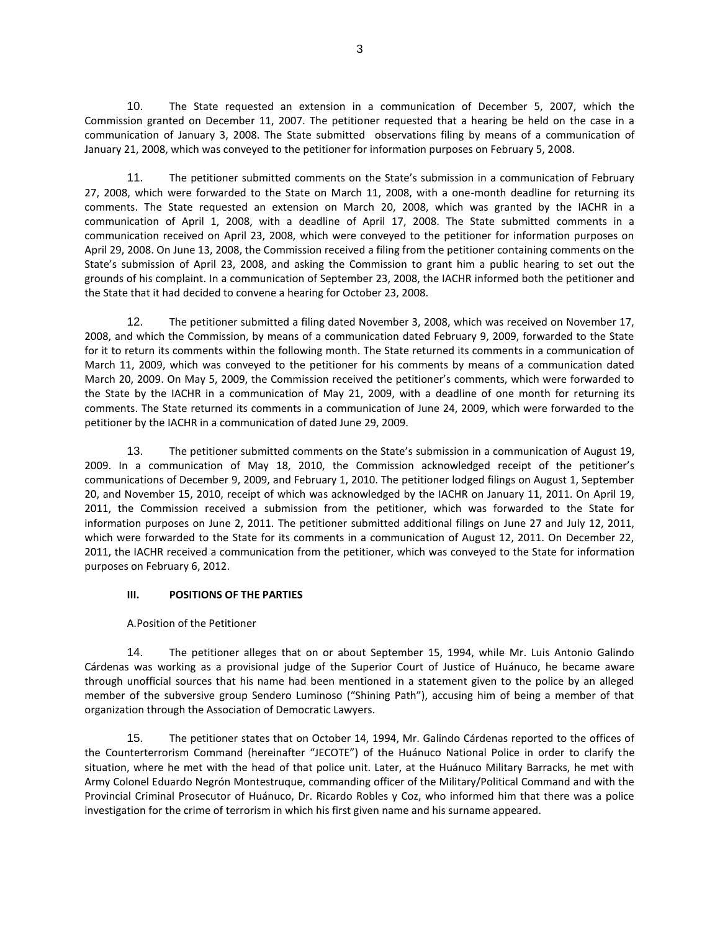10. The State requested an extension in a communication of December 5, 2007, which the Commission granted on December 11, 2007. The petitioner requested that a hearing be held on the case in a communication of January 3, 2008. The State submitted observations filing by means of a communication of January 21, 2008, which was conveyed to the petitioner for information purposes on February 5, 2008.

11. The petitioner submitted comments on the State's submission in a communication of February 27, 2008, which were forwarded to the State on March 11, 2008, with a one-month deadline for returning its comments. The State requested an extension on March 20, 2008, which was granted by the IACHR in a communication of April 1, 2008, with a deadline of April 17, 2008. The State submitted comments in a communication received on April 23, 2008, which were conveyed to the petitioner for information purposes on April 29, 2008. On June 13, 2008, the Commission received a filing from the petitioner containing comments on the State's submission of April 23, 2008, and asking the Commission to grant him a public hearing to set out the grounds of his complaint. In a communication of September 23, 2008, the IACHR informed both the petitioner and the State that it had decided to convene a hearing for October 23, 2008.

12. The petitioner submitted a filing dated November 3, 2008, which was received on November 17, 2008, and which the Commission, by means of a communication dated February 9, 2009, forwarded to the State for it to return its comments within the following month. The State returned its comments in a communication of March 11, 2009, which was conveyed to the petitioner for his comments by means of a communication dated March 20, 2009. On May 5, 2009, the Commission received the petitioner's comments, which were forwarded to the State by the IACHR in a communication of May 21, 2009, with a deadline of one month for returning its comments. The State returned its comments in a communication of June 24, 2009, which were forwarded to the petitioner by the IACHR in a communication of dated June 29, 2009.

13. The petitioner submitted comments on the State's submission in a communication of August 19, 2009. In a communication of May 18, 2010, the Commission acknowledged receipt of the petitioner's communications of December 9, 2009, and February 1, 2010. The petitioner lodged filings on August 1, September 20, and November 15, 2010, receipt of which was acknowledged by the IACHR on January 11, 2011. On April 19, 2011, the Commission received a submission from the petitioner, which was forwarded to the State for information purposes on June 2, 2011. The petitioner submitted additional filings on June 27 and July 12, 2011, which were forwarded to the State for its comments in a communication of August 12, 2011. On December 22, 2011, the IACHR received a communication from the petitioner, which was conveyed to the State for information purposes on February 6, 2012.

# **III. POSITIONS OF THE PARTIES**

# A.Position of the Petitioner

14. The petitioner alleges that on or about September 15, 1994, while Mr. Luis Antonio Galindo Cárdenas was working as a provisional judge of the Superior Court of Justice of Huánuco, he became aware through unofficial sources that his name had been mentioned in a statement given to the police by an alleged member of the subversive group Sendero Luminoso ("Shining Path"), accusing him of being a member of that organization through the Association of Democratic Lawyers.

15. The petitioner states that on October 14, 1994, Mr. Galindo Cárdenas reported to the offices of the Counterterrorism Command (hereinafter "JECOTE") of the Huánuco National Police in order to clarify the situation, where he met with the head of that police unit. Later, at the Huánuco Military Barracks, he met with Army Colonel Eduardo Negrón Montestruque, commanding officer of the Military/Political Command and with the Provincial Criminal Prosecutor of Huánuco, Dr. Ricardo Robles y Coz, who informed him that there was a police investigation for the crime of terrorism in which his first given name and his surname appeared.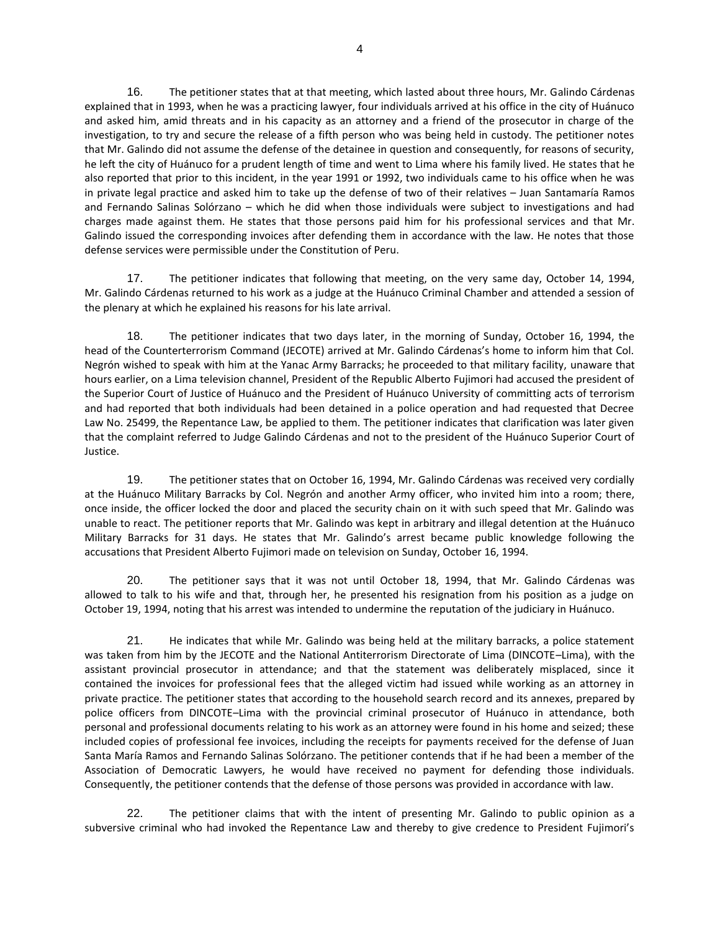16. The petitioner states that at that meeting, which lasted about three hours, Mr. Galindo Cárdenas explained that in 1993, when he was a practicing lawyer, four individuals arrived at his office in the city of Huánuco and asked him, amid threats and in his capacity as an attorney and a friend of the prosecutor in charge of the investigation, to try and secure the release of a fifth person who was being held in custody. The petitioner notes that Mr. Galindo did not assume the defense of the detainee in question and consequently, for reasons of security, he left the city of Huánuco for a prudent length of time and went to Lima where his family lived. He states that he also reported that prior to this incident, in the year 1991 or 1992, two individuals came to his office when he was in private legal practice and asked him to take up the defense of two of their relatives – Juan Santamaría Ramos and Fernando Salinas Solórzano – which he did when those individuals were subject to investigations and had charges made against them. He states that those persons paid him for his professional services and that Mr. Galindo issued the corresponding invoices after defending them in accordance with the law. He notes that those defense services were permissible under the Constitution of Peru.

17. The petitioner indicates that following that meeting, on the very same day, October 14, 1994, Mr. Galindo Cárdenas returned to his work as a judge at the Huánuco Criminal Chamber and attended a session of the plenary at which he explained his reasons for his late arrival.

18. The petitioner indicates that two days later, in the morning of Sunday, October 16, 1994, the head of the Counterterrorism Command (JECOTE) arrived at Mr. Galindo Cárdenas's home to inform him that Col. Negrón wished to speak with him at the Yanac Army Barracks; he proceeded to that military facility, unaware that hours earlier, on a Lima television channel, President of the Republic Alberto Fujimori had accused the president of the Superior Court of Justice of Huánuco and the President of Huánuco University of committing acts of terrorism and had reported that both individuals had been detained in a police operation and had requested that Decree Law No. 25499, the Repentance Law, be applied to them. The petitioner indicates that clarification was later given that the complaint referred to Judge Galindo Cárdenas and not to the president of the Huánuco Superior Court of Justice.

19. The petitioner states that on October 16, 1994, Mr. Galindo Cárdenas was received very cordially at the Huánuco Military Barracks by Col. Negrón and another Army officer, who invited him into a room; there, once inside, the officer locked the door and placed the security chain on it with such speed that Mr. Galindo was unable to react. The petitioner reports that Mr. Galindo was kept in arbitrary and illegal detention at the Huánuco Military Barracks for 31 days. He states that Mr. Galindo's arrest became public knowledge following the accusations that President Alberto Fujimori made on television on Sunday, October 16, 1994.

20. The petitioner says that it was not until October 18, 1994, that Mr. Galindo Cárdenas was allowed to talk to his wife and that, through her, he presented his resignation from his position as a judge on October 19, 1994, noting that his arrest was intended to undermine the reputation of the judiciary in Huánuco.

21. He indicates that while Mr. Galindo was being held at the military barracks, a police statement was taken from him by the JECOTE and the National Antiterrorism Directorate of Lima (DINCOTE–Lima), with the assistant provincial prosecutor in attendance; and that the statement was deliberately misplaced, since it contained the invoices for professional fees that the alleged victim had issued while working as an attorney in private practice. The petitioner states that according to the household search record and its annexes, prepared by police officers from DINCOTE–Lima with the provincial criminal prosecutor of Huánuco in attendance, both personal and professional documents relating to his work as an attorney were found in his home and seized; these included copies of professional fee invoices, including the receipts for payments received for the defense of Juan Santa María Ramos and Fernando Salinas Solórzano. The petitioner contends that if he had been a member of the Association of Democratic Lawyers, he would have received no payment for defending those individuals. Consequently, the petitioner contends that the defense of those persons was provided in accordance with law.

22. The petitioner claims that with the intent of presenting Mr. Galindo to public opinion as a subversive criminal who had invoked the Repentance Law and thereby to give credence to President Fujimori's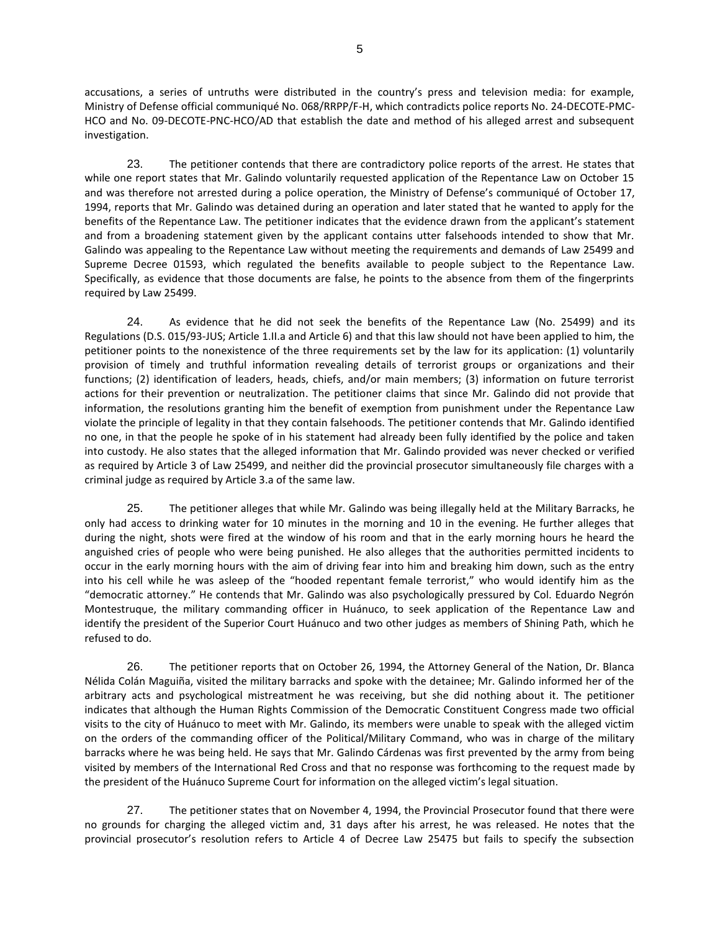accusations, a series of untruths were distributed in the country's press and television media: for example, Ministry of Defense official communiqué No. 068/RRPP/F-H, which contradicts police reports No. 24-DECOTE-PMC-HCO and No. 09-DECOTE-PNC-HCO/AD that establish the date and method of his alleged arrest and subsequent investigation.

23. The petitioner contends that there are contradictory police reports of the arrest. He states that while one report states that Mr. Galindo voluntarily requested application of the Repentance Law on October 15 and was therefore not arrested during a police operation, the Ministry of Defense's communiqué of October 17, 1994, reports that Mr. Galindo was detained during an operation and later stated that he wanted to apply for the benefits of the Repentance Law. The petitioner indicates that the evidence drawn from the applicant's statement and from a broadening statement given by the applicant contains utter falsehoods intended to show that Mr. Galindo was appealing to the Repentance Law without meeting the requirements and demands of Law 25499 and Supreme Decree 01593, which regulated the benefits available to people subject to the Repentance Law. Specifically, as evidence that those documents are false, he points to the absence from them of the fingerprints required by Law 25499.

24. As evidence that he did not seek the benefits of the Repentance Law (No. 25499) and its Regulations (D.S. 015/93-JUS; Article 1.II.a and Article 6) and that this law should not have been applied to him, the petitioner points to the nonexistence of the three requirements set by the law for its application: (1) voluntarily provision of timely and truthful information revealing details of terrorist groups or organizations and their functions; (2) identification of leaders, heads, chiefs, and/or main members; (3) information on future terrorist actions for their prevention or neutralization. The petitioner claims that since Mr. Galindo did not provide that information, the resolutions granting him the benefit of exemption from punishment under the Repentance Law violate the principle of legality in that they contain falsehoods. The petitioner contends that Mr. Galindo identified no one, in that the people he spoke of in his statement had already been fully identified by the police and taken into custody. He also states that the alleged information that Mr. Galindo provided was never checked or verified as required by Article 3 of Law 25499, and neither did the provincial prosecutor simultaneously file charges with a criminal judge as required by Article 3.a of the same law.

25. The petitioner alleges that while Mr. Galindo was being illegally held at the Military Barracks, he only had access to drinking water for 10 minutes in the morning and 10 in the evening. He further alleges that during the night, shots were fired at the window of his room and that in the early morning hours he heard the anguished cries of people who were being punished. He also alleges that the authorities permitted incidents to occur in the early morning hours with the aim of driving fear into him and breaking him down, such as the entry into his cell while he was asleep of the "hooded repentant female terrorist," who would identify him as the "democratic attorney." He contends that Mr. Galindo was also psychologically pressured by Col. Eduardo Negrón Montestruque, the military commanding officer in Huánuco, to seek application of the Repentance Law and identify the president of the Superior Court Huánuco and two other judges as members of Shining Path, which he refused to do.

26. The petitioner reports that on October 26, 1994, the Attorney General of the Nation, Dr. Blanca Nélida Colán Maguiña, visited the military barracks and spoke with the detainee; Mr. Galindo informed her of the arbitrary acts and psychological mistreatment he was receiving, but she did nothing about it. The petitioner indicates that although the Human Rights Commission of the Democratic Constituent Congress made two official visits to the city of Huánuco to meet with Mr. Galindo, its members were unable to speak with the alleged victim on the orders of the commanding officer of the Political/Military Command, who was in charge of the military barracks where he was being held. He says that Mr. Galindo Cárdenas was first prevented by the army from being visited by members of the International Red Cross and that no response was forthcoming to the request made by the president of the Huánuco Supreme Court for information on the alleged victim's legal situation.

27. The petitioner states that on November 4, 1994, the Provincial Prosecutor found that there were no grounds for charging the alleged victim and, 31 days after his arrest, he was released. He notes that the provincial prosecutor's resolution refers to Article 4 of Decree Law 25475 but fails to specify the subsection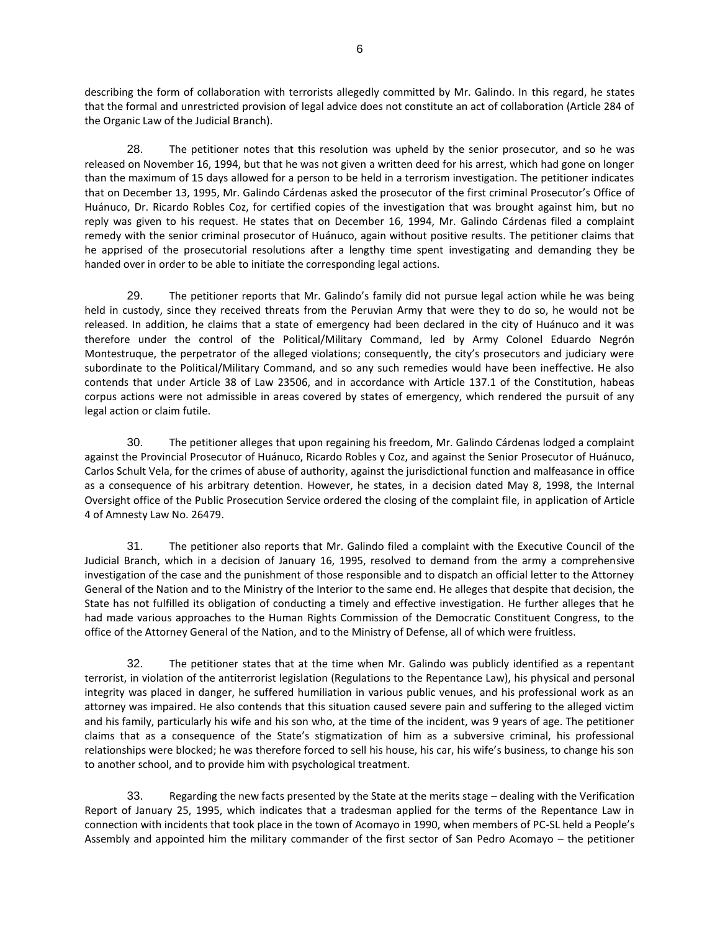describing the form of collaboration with terrorists allegedly committed by Mr. Galindo. In this regard, he states that the formal and unrestricted provision of legal advice does not constitute an act of collaboration (Article 284 of the Organic Law of the Judicial Branch).

28. The petitioner notes that this resolution was upheld by the senior prosecutor, and so he was released on November 16, 1994, but that he was not given a written deed for his arrest, which had gone on longer than the maximum of 15 days allowed for a person to be held in a terrorism investigation. The petitioner indicates that on December 13, 1995, Mr. Galindo Cárdenas asked the prosecutor of the first criminal Prosecutor's Office of Huánuco, Dr. Ricardo Robles Coz, for certified copies of the investigation that was brought against him, but no reply was given to his request. He states that on December 16, 1994, Mr. Galindo Cárdenas filed a complaint remedy with the senior criminal prosecutor of Huánuco, again without positive results. The petitioner claims that he apprised of the prosecutorial resolutions after a lengthy time spent investigating and demanding they be handed over in order to be able to initiate the corresponding legal actions.

29. The petitioner reports that Mr. Galindo's family did not pursue legal action while he was being held in custody, since they received threats from the Peruvian Army that were they to do so, he would not be released. In addition, he claims that a state of emergency had been declared in the city of Huánuco and it was therefore under the control of the Political/Military Command, led by Army Colonel Eduardo Negrón Montestruque, the perpetrator of the alleged violations; consequently, the city's prosecutors and judiciary were subordinate to the Political/Military Command, and so any such remedies would have been ineffective. He also contends that under Article 38 of Law 23506, and in accordance with Article 137.1 of the Constitution, habeas corpus actions were not admissible in areas covered by states of emergency, which rendered the pursuit of any legal action or claim futile.

30. The petitioner alleges that upon regaining his freedom, Mr. Galindo Cárdenas lodged a complaint against the Provincial Prosecutor of Huánuco, Ricardo Robles y Coz, and against the Senior Prosecutor of Huánuco, Carlos Schult Vela, for the crimes of abuse of authority, against the jurisdictional function and malfeasance in office as a consequence of his arbitrary detention. However, he states, in a decision dated May 8, 1998, the Internal Oversight office of the Public Prosecution Service ordered the closing of the complaint file, in application of Article 4 of Amnesty Law No. 26479.

31. The petitioner also reports that Mr. Galindo filed a complaint with the Executive Council of the Judicial Branch, which in a decision of January 16, 1995, resolved to demand from the army a comprehensive investigation of the case and the punishment of those responsible and to dispatch an official letter to the Attorney General of the Nation and to the Ministry of the Interior to the same end. He alleges that despite that decision, the State has not fulfilled its obligation of conducting a timely and effective investigation. He further alleges that he had made various approaches to the Human Rights Commission of the Democratic Constituent Congress, to the office of the Attorney General of the Nation, and to the Ministry of Defense, all of which were fruitless.

32. The petitioner states that at the time when Mr. Galindo was publicly identified as a repentant terrorist, in violation of the antiterrorist legislation (Regulations to the Repentance Law), his physical and personal integrity was placed in danger, he suffered humiliation in various public venues, and his professional work as an attorney was impaired. He also contends that this situation caused severe pain and suffering to the alleged victim and his family, particularly his wife and his son who, at the time of the incident, was 9 years of age. The petitioner claims that as a consequence of the State's stigmatization of him as a subversive criminal, his professional relationships were blocked; he was therefore forced to sell his house, his car, his wife's business, to change his son to another school, and to provide him with psychological treatment.

33. Regarding the new facts presented by the State at the merits stage – dealing with the Verification Report of January 25, 1995, which indicates that a tradesman applied for the terms of the Repentance Law in connection with incidents that took place in the town of Acomayo in 1990, when members of PC-SL held a People's Assembly and appointed him the military commander of the first sector of San Pedro Acomayo – the petitioner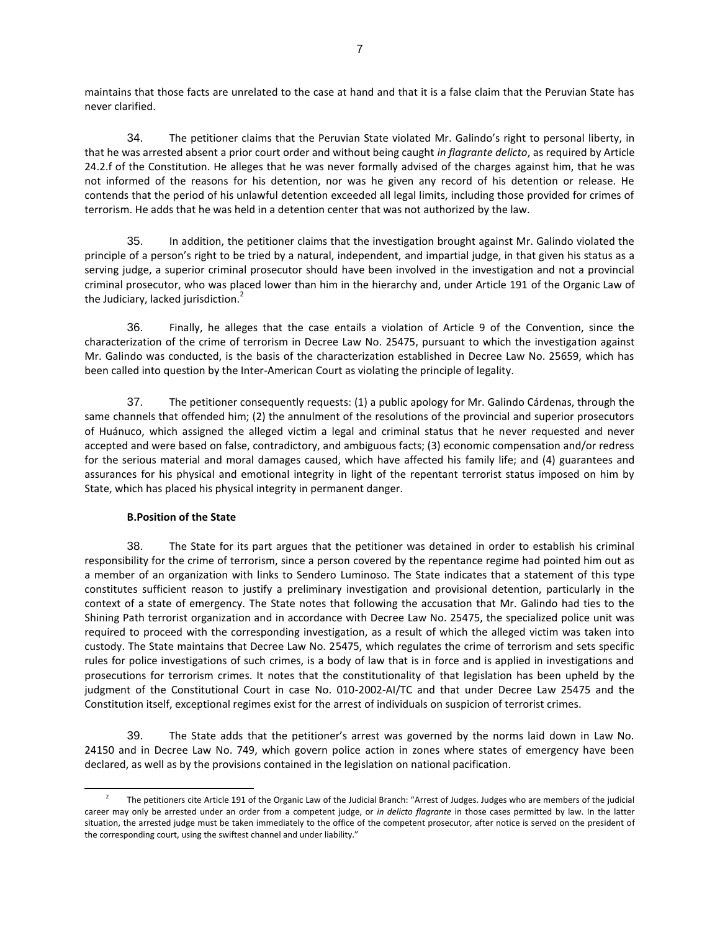maintains that those facts are unrelated to the case at hand and that it is a false claim that the Peruvian State has never clarified.

34. The petitioner claims that the Peruvian State violated Mr. Galindo's right to personal liberty, in that he was arrested absent a prior court order and without being caught *in flagrante delicto*, as required by Article 24.2.f of the Constitution. He alleges that he was never formally advised of the charges against him, that he was not informed of the reasons for his detention, nor was he given any record of his detention or release. He contends that the period of his unlawful detention exceeded all legal limits, including those provided for crimes of terrorism. He adds that he was held in a detention center that was not authorized by the law.

35. In addition, the petitioner claims that the investigation brought against Mr. Galindo violated the principle of a person's right to be tried by a natural, independent, and impartial judge, in that given his status as a serving judge, a superior criminal prosecutor should have been involved in the investigation and not a provincial criminal prosecutor, who was placed lower than him in the hierarchy and, under Article 191 of the Organic Law of the Judiciary, lacked jurisdiction.<sup>2</sup>

36. Finally, he alleges that the case entails a violation of Article 9 of the Convention, since the characterization of the crime of terrorism in Decree Law No. 25475, pursuant to which the investigation against Mr. Galindo was conducted, is the basis of the characterization established in Decree Law No. 25659, which has been called into question by the Inter-American Court as violating the principle of legality.

37. The petitioner consequently requests: (1) a public apology for Mr. Galindo Cárdenas, through the same channels that offended him; (2) the annulment of the resolutions of the provincial and superior prosecutors of Huánuco, which assigned the alleged victim a legal and criminal status that he never requested and never accepted and were based on false, contradictory, and ambiguous facts; (3) economic compensation and/or redress for the serious material and moral damages caused, which have affected his family life; and (4) guarantees and assurances for his physical and emotional integrity in light of the repentant terrorist status imposed on him by State, which has placed his physical integrity in permanent danger.

# **B.Position of the State**

 $\overline{a}$ 

38. The State for its part argues that the petitioner was detained in order to establish his criminal responsibility for the crime of terrorism, since a person covered by the repentance regime had pointed him out as a member of an organization with links to Sendero Luminoso. The State indicates that a statement of this type constitutes sufficient reason to justify a preliminary investigation and provisional detention, particularly in the context of a state of emergency. The State notes that following the accusation that Mr. Galindo had ties to the Shining Path terrorist organization and in accordance with Decree Law No. 25475, the specialized police unit was required to proceed with the corresponding investigation, as a result of which the alleged victim was taken into custody. The State maintains that Decree Law No. 25475, which regulates the crime of terrorism and sets specific rules for police investigations of such crimes, is a body of law that is in force and is applied in investigations and prosecutions for terrorism crimes. It notes that the constitutionality of that legislation has been upheld by the judgment of the Constitutional Court in case No. 010-2002-AI/TC and that under Decree Law 25475 and the Constitution itself, exceptional regimes exist for the arrest of individuals on suspicion of terrorist crimes.

39. The State adds that the petitioner's arrest was governed by the norms laid down in Law No. 24150 and in Decree Law No. 749, which govern police action in zones where states of emergency have been declared, as well as by the provisions contained in the legislation on national pacification.

<sup>2</sup> The petitioners cite Article 191 of the Organic Law of the Judicial Branch: "Arrest of Judges. Judges who are members of the judicial career may only be arrested under an order from a competent judge, or *in delicto flagrante* in those cases permitted by law. In the latter situation, the arrested judge must be taken immediately to the office of the competent prosecutor, after notice is served on the president of the corresponding court, using the swiftest channel and under liability."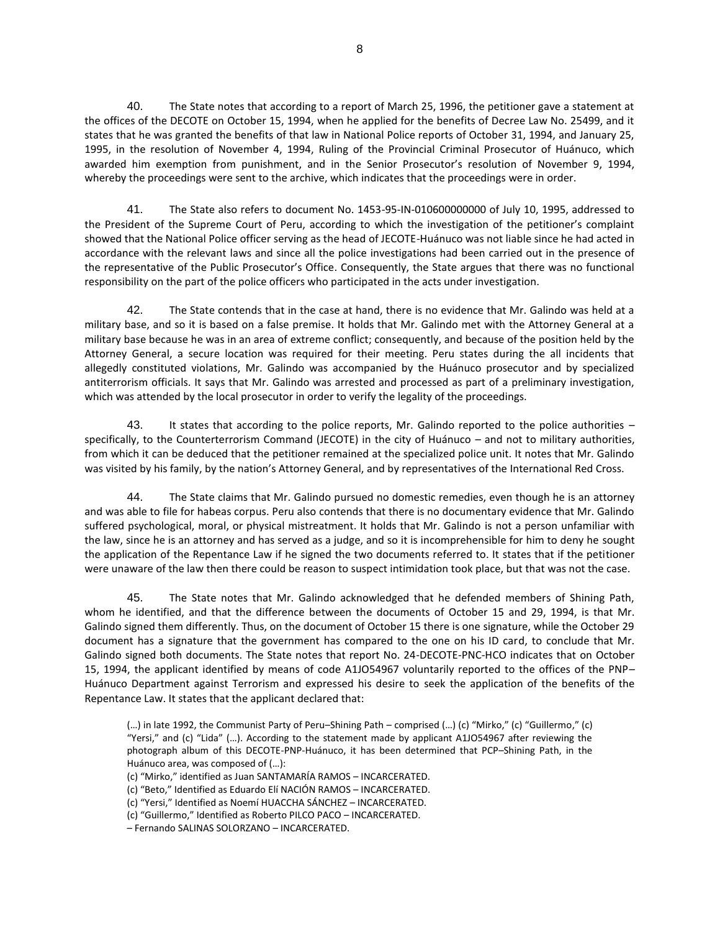40. The State notes that according to a report of March 25, 1996, the petitioner gave a statement at the offices of the DECOTE on October 15, 1994, when he applied for the benefits of Decree Law No. 25499, and it states that he was granted the benefits of that law in National Police reports of October 31, 1994, and January 25, 1995, in the resolution of November 4, 1994, Ruling of the Provincial Criminal Prosecutor of Huánuco, which awarded him exemption from punishment, and in the Senior Prosecutor's resolution of November 9, 1994, whereby the proceedings were sent to the archive, which indicates that the proceedings were in order.

41. The State also refers to document No. 1453-95-IN-010600000000 of July 10, 1995, addressed to the President of the Supreme Court of Peru, according to which the investigation of the petitioner's complaint showed that the National Police officer serving as the head of JECOTE-Huánuco was not liable since he had acted in accordance with the relevant laws and since all the police investigations had been carried out in the presence of the representative of the Public Prosecutor's Office. Consequently, the State argues that there was no functional responsibility on the part of the police officers who participated in the acts under investigation.

42. The State contends that in the case at hand, there is no evidence that Mr. Galindo was held at a military base, and so it is based on a false premise. It holds that Mr. Galindo met with the Attorney General at a military base because he was in an area of extreme conflict; consequently, and because of the position held by the Attorney General, a secure location was required for their meeting. Peru states during the all incidents that allegedly constituted violations, Mr. Galindo was accompanied by the Huánuco prosecutor and by specialized antiterrorism officials. It says that Mr. Galindo was arrested and processed as part of a preliminary investigation, which was attended by the local prosecutor in order to verify the legality of the proceedings.

43. It states that according to the police reports, Mr. Galindo reported to the police authorities – specifically, to the Counterterrorism Command (JECOTE) in the city of Huánuco – and not to military authorities, from which it can be deduced that the petitioner remained at the specialized police unit. It notes that Mr. Galindo was visited by his family, by the nation's Attorney General, and by representatives of the International Red Cross.

44. The State claims that Mr. Galindo pursued no domestic remedies, even though he is an attorney and was able to file for habeas corpus. Peru also contends that there is no documentary evidence that Mr. Galindo suffered psychological, moral, or physical mistreatment. It holds that Mr. Galindo is not a person unfamiliar with the law, since he is an attorney and has served as a judge, and so it is incomprehensible for him to deny he sought the application of the Repentance Law if he signed the two documents referred to. It states that if the petitioner were unaware of the law then there could be reason to suspect intimidation took place, but that was not the case.

45. The State notes that Mr. Galindo acknowledged that he defended members of Shining Path, whom he identified, and that the difference between the documents of October 15 and 29, 1994, is that Mr. Galindo signed them differently. Thus, on the document of October 15 there is one signature, while the October 29 document has a signature that the government has compared to the one on his ID card, to conclude that Mr. Galindo signed both documents. The State notes that report No. 24-DECOTE-PNC-HCO indicates that on October 15, 1994, the applicant identified by means of code A1JO54967 voluntarily reported to the offices of the PNP– Huánuco Department against Terrorism and expressed his desire to seek the application of the benefits of the Repentance Law. It states that the applicant declared that:

(…) in late 1992, the Communist Party of Peru–Shining Path – comprised (…) (c) "Mirko," (c) "Guillermo," (c) "Yersi," and (c) "Lida" (…). According to the statement made by applicant A1JO54967 after reviewing the photograph album of this DECOTE-PNP-Huánuco, it has been determined that PCP–Shining Path, in the Huánuco area, was composed of (…):

(c) "Mirko," identified as Juan SANTAMARÍA RAMOS – INCARCERATED.

(c) "Beto," Identified as Eduardo Elí NACIÓN RAMOS – INCARCERATED.

(c) "Yersi," Identified as Noemí HUACCHA SÁNCHEZ – INCARCERATED.

(c) "Guillermo," Identified as Roberto PILCO PACO – INCARCERATED.

– Fernando SALINAS SOLORZANO – INCARCERATED.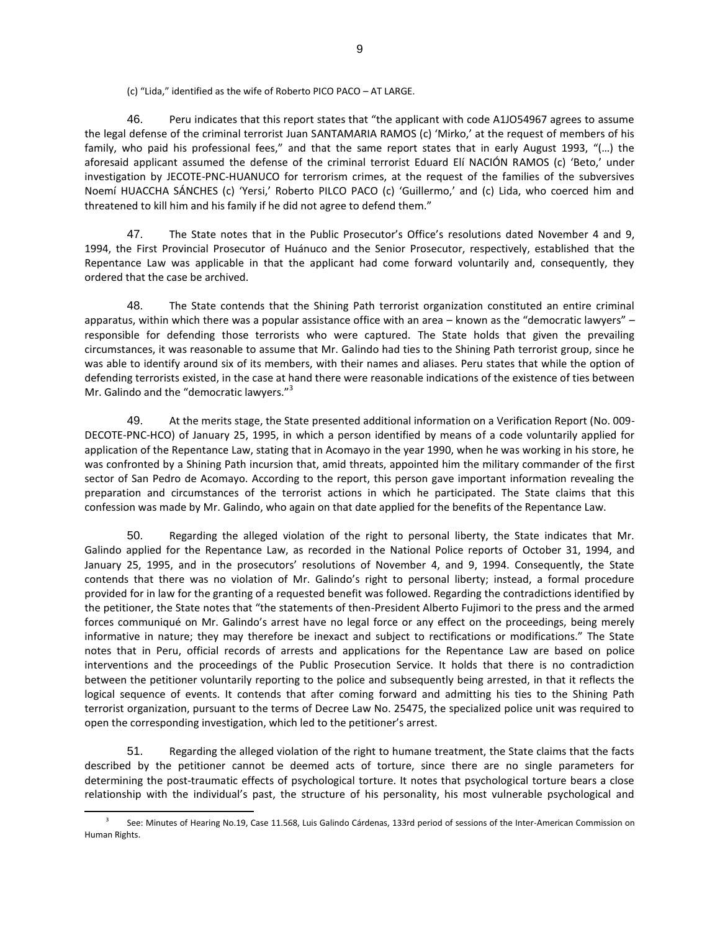(c) "Lida," identified as the wife of Roberto PICO PACO – AT LARGE.

46. Peru indicates that this report states that "the applicant with code A1JO54967 agrees to assume the legal defense of the criminal terrorist Juan SANTAMARIA RAMOS (c) 'Mirko,' at the request of members of his family, who paid his professional fees," and that the same report states that in early August 1993, "(…) the aforesaid applicant assumed the defense of the criminal terrorist Eduard Elí NACIÓN RAMOS (c) 'Beto,' under investigation by JECOTE-PNC-HUANUCO for terrorism crimes, at the request of the families of the subversives Noemí HUACCHA SÁNCHES (c) 'Yersi,' Roberto PILCO PACO (c) 'Guillermo,' and (c) Lida, who coerced him and threatened to kill him and his family if he did not agree to defend them."

47. The State notes that in the Public Prosecutor's Office's resolutions dated November 4 and 9, 1994, the First Provincial Prosecutor of Huánuco and the Senior Prosecutor, respectively, established that the Repentance Law was applicable in that the applicant had come forward voluntarily and, consequently, they ordered that the case be archived.

48. The State contends that the Shining Path terrorist organization constituted an entire criminal apparatus, within which there was a popular assistance office with an area – known as the "democratic lawyers" – responsible for defending those terrorists who were captured. The State holds that given the prevailing circumstances, it was reasonable to assume that Mr. Galindo had ties to the Shining Path terrorist group, since he was able to identify around six of its members, with their names and aliases. Peru states that while the option of defending terrorists existed, in the case at hand there were reasonable indications of the existence of ties between Mr. Galindo and the "democratic lawyers."<sup>3</sup>

49. At the merits stage, the State presented additional information on a Verification Report (No. 009- DECOTE-PNC-HCO) of January 25, 1995, in which a person identified by means of a code voluntarily applied for application of the Repentance Law, stating that in Acomayo in the year 1990, when he was working in his store, he was confronted by a Shining Path incursion that, amid threats, appointed him the military commander of the first sector of San Pedro de Acomayo. According to the report, this person gave important information revealing the preparation and circumstances of the terrorist actions in which he participated. The State claims that this confession was made by Mr. Galindo, who again on that date applied for the benefits of the Repentance Law.

50. Regarding the alleged violation of the right to personal liberty, the State indicates that Mr. Galindo applied for the Repentance Law, as recorded in the National Police reports of October 31, 1994, and January 25, 1995, and in the prosecutors' resolutions of November 4, and 9, 1994. Consequently, the State contends that there was no violation of Mr. Galindo's right to personal liberty; instead, a formal procedure provided for in law for the granting of a requested benefit was followed. Regarding the contradictions identified by the petitioner, the State notes that "the statements of then-President Alberto Fujimori to the press and the armed forces communiqué on Mr. Galindo's arrest have no legal force or any effect on the proceedings, being merely informative in nature; they may therefore be inexact and subject to rectifications or modifications." The State notes that in Peru, official records of arrests and applications for the Repentance Law are based on police interventions and the proceedings of the Public Prosecution Service. It holds that there is no contradiction between the petitioner voluntarily reporting to the police and subsequently being arrested, in that it reflects the logical sequence of events. It contends that after coming forward and admitting his ties to the Shining Path terrorist organization, pursuant to the terms of Decree Law No. 25475, the specialized police unit was required to open the corresponding investigation, which led to the petitioner's arrest.

51. Regarding the alleged violation of the right to humane treatment, the State claims that the facts described by the petitioner cannot be deemed acts of torture, since there are no single parameters for determining the post-traumatic effects of psychological torture. It notes that psychological torture bears a close relationship with the individual's past, the structure of his personality, his most vulnerable psychological and

 $\overline{a}$ 

<sup>3</sup> See: Minutes of Hearing No.19, Case 11.568, Luis Galindo Cárdenas, 133rd period of sessions of the Inter-American Commission on Human Rights.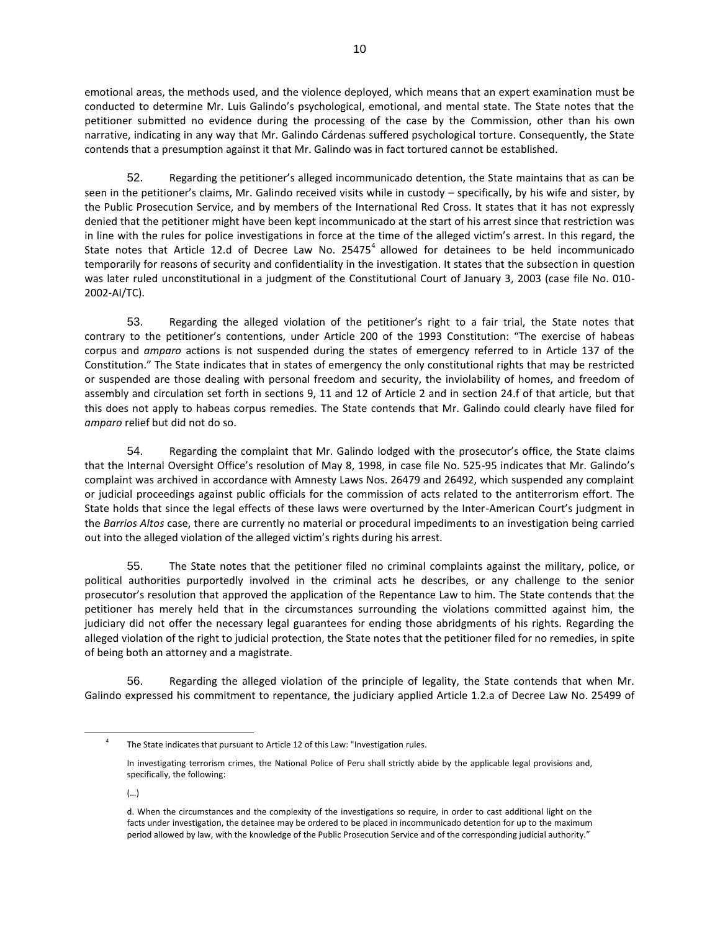emotional areas, the methods used, and the violence deployed, which means that an expert examination must be conducted to determine Mr. Luis Galindo's psychological, emotional, and mental state. The State notes that the petitioner submitted no evidence during the processing of the case by the Commission, other than his own narrative, indicating in any way that Mr. Galindo Cárdenas suffered psychological torture. Consequently, the State contends that a presumption against it that Mr. Galindo was in fact tortured cannot be established.

52. Regarding the petitioner's alleged incommunicado detention, the State maintains that as can be seen in the petitioner's claims, Mr. Galindo received visits while in custody – specifically, by his wife and sister, by the Public Prosecution Service, and by members of the International Red Cross. It states that it has not expressly denied that the petitioner might have been kept incommunicado at the start of his arrest since that restriction was in line with the rules for police investigations in force at the time of the alleged victim's arrest. In this regard, the State notes that Article 12.d of Decree Law No. 25475<sup>4</sup> allowed for detainees to be held incommunicado temporarily for reasons of security and confidentiality in the investigation. It states that the subsection in question was later ruled unconstitutional in a judgment of the Constitutional Court of January 3, 2003 (case file No. 010- 2002-AI/TC).

53. Regarding the alleged violation of the petitioner's right to a fair trial, the State notes that contrary to the petitioner's contentions, under Article 200 of the 1993 Constitution: "The exercise of habeas corpus and *amparo* actions is not suspended during the states of emergency referred to in Article 137 of the Constitution." The State indicates that in states of emergency the only constitutional rights that may be restricted or suspended are those dealing with personal freedom and security, the inviolability of homes, and freedom of assembly and circulation set forth in sections 9, 11 and 12 of Article 2 and in section 24.f of that article, but that this does not apply to habeas corpus remedies. The State contends that Mr. Galindo could clearly have filed for *amparo* relief but did not do so.

54. Regarding the complaint that Mr. Galindo lodged with the prosecutor's office, the State claims that the Internal Oversight Office's resolution of May 8, 1998, in case file No. 525-95 indicates that Mr. Galindo's complaint was archived in accordance with Amnesty Laws Nos. 26479 and 26492, which suspended any complaint or judicial proceedings against public officials for the commission of acts related to the antiterrorism effort. The State holds that since the legal effects of these laws were overturned by the Inter-American Court's judgment in the *Barrios Altos* case, there are currently no material or procedural impediments to an investigation being carried out into the alleged violation of the alleged victim's rights during his arrest.

55. The State notes that the petitioner filed no criminal complaints against the military, police, or political authorities purportedly involved in the criminal acts he describes, or any challenge to the senior prosecutor's resolution that approved the application of the Repentance Law to him. The State contends that the petitioner has merely held that in the circumstances surrounding the violations committed against him, the judiciary did not offer the necessary legal guarantees for ending those abridgments of his rights. Regarding the alleged violation of the right to judicial protection, the State notes that the petitioner filed for no remedies, in spite of being both an attorney and a magistrate.

56. Regarding the alleged violation of the principle of legality, the State contends that when Mr. Galindo expressed his commitment to repentance, the judiciary applied Article 1.2.a of Decree Law No. 25499 of

 $\overline{a}$ 4

The State indicates that pursuant to Article 12 of this Law: "Investigation rules.

In investigating terrorism crimes, the National Police of Peru shall strictly abide by the applicable legal provisions and, specifically, the following:

d. When the circumstances and the complexity of the investigations so require, in order to cast additional light on the facts under investigation, the detainee may be ordered to be placed in incommunicado detention for up to the maximum period allowed by law, with the knowledge of the Public Prosecution Service and of the corresponding judicial authority."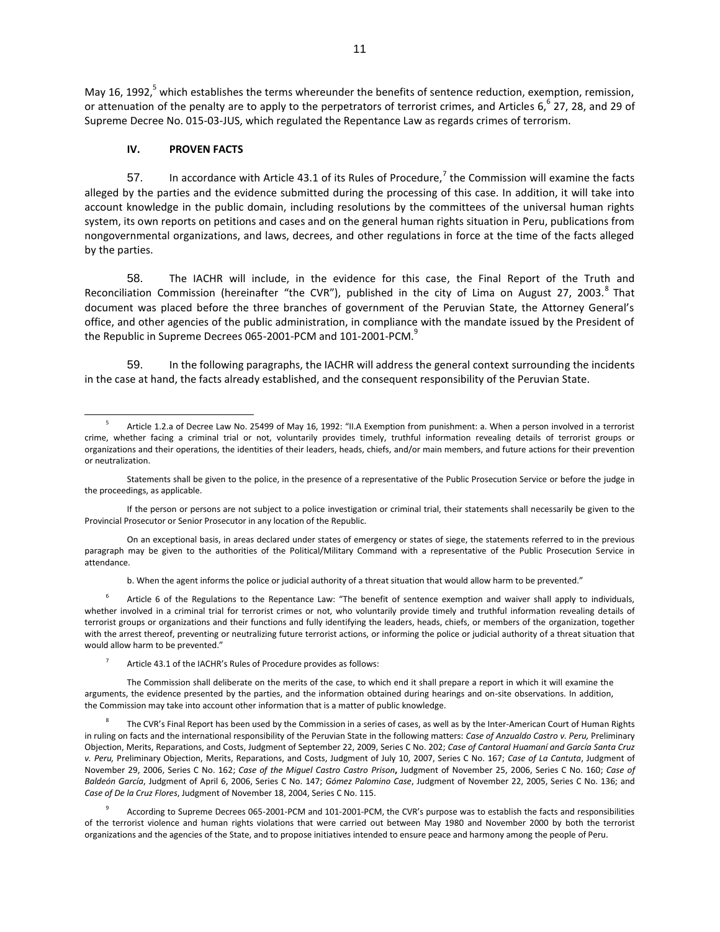May 16, 1992,<sup>5</sup> which establishes the terms whereunder the benefits of sentence reduction, exemption, remission, or attenuation of the penalty are to apply to the perpetrators of terrorist crimes, and Articles 6,<sup>6</sup> 27, 28, and 29 of Supreme Decree No. 015-03-JUS, which regulated the Repentance Law as regards crimes of terrorism.

## **IV. PROVEN FACTS**

7

57. In accordance with Article 43.1 of its Rules of Procedure,<sup>7</sup> the Commission will examine the facts alleged by the parties and the evidence submitted during the processing of this case. In addition, it will take into account knowledge in the public domain, including resolutions by the committees of the universal human rights system, its own reports on petitions and cases and on the general human rights situation in Peru, publications from nongovernmental organizations, and laws, decrees, and other regulations in force at the time of the facts alleged by the parties.

58. The IACHR will include, in the evidence for this case, the Final Report of the Truth and Reconciliation Commission (hereinafter "the CVR"), published in the city of Lima on August 27, 2003.<sup>8</sup> That document was placed before the three branches of government of the Peruvian State, the Attorney General's office, and other agencies of the public administration, in compliance with the mandate issued by the President of the Republic in Supreme Decrees 065-2001-PCM and 101-2001-PCM.<sup>9</sup>

59. In the following paragraphs, the IACHR will address the general context surrounding the incidents in the case at hand, the facts already established, and the consequent responsibility of the Peruvian State.

b. When the agent informs the police or judicial authority of a threat situation that would allow harm to be prevented."

6 Article 6 of the Regulations to the Repentance Law: "The benefit of sentence exemption and waiver shall apply to individuals, whether involved in a criminal trial for terrorist crimes or not, who voluntarily provide timely and truthful information revealing details of terrorist groups or organizations and their functions and fully identifying the leaders, heads, chiefs, or members of the organization, together with the arrest thereof, preventing or neutralizing future terrorist actions, or informing the police or judicial authority of a threat situation that would allow harm to be prevented."

Article 43.1 of the IACHR's Rules of Procedure provides as follows:

The Commission shall deliberate on the merits of the case, to which end it shall prepare a report in which it will examine the arguments, the evidence presented by the parties, and the information obtained during hearings and on-site observations. In addition, the Commission may take into account other information that is a matter of public knowledge.

8 The CVR's Final Report has been used by the Commission in a series of cases, as well as by the Inter-American Court of Human Rights in ruling on facts and the international responsibility of the Peruvian State in the following matters: *Case of Anzualdo Castro v. Peru,* Preliminary Objection, Merits, Reparations, and Costs, Judgment of September 22, 2009, Series C No. 202; *Case of Cantoral Huamaní and García Santa Cruz v. Peru,* Preliminary Objection, Merits, Reparations, and Costs, Judgment of July 10, 2007, Series C No. 167; *Case of La Cantuta*, Judgment of November 29, 2006, Series C No. 162; *Case of the Miguel Castro Castro Prison***,** Judgment of November 25, 2006, Series C No. 160; *Case of Baldeón García*, Judgment of April 6, 2006, Series C No. 147; *Gómez Palomino Case*, Judgment of November 22, 2005, Series C No. 136; and *Case of De la Cruz Flores*, Judgment of November 18, 2004, Series C No. 115.

9 According to Supreme Decrees 065-2001-PCM and 101-2001-PCM, the CVR's purpose was to establish the facts and responsibilities of the terrorist violence and human rights violations that were carried out between May 1980 and November 2000 by both the terrorist organizations and the agencies of the State, and to propose initiatives intended to ensure peace and harmony among the people of Peru.

<sup>5</sup> Article 1.2.a of Decree Law No. 25499 of May 16, 1992: "II.A Exemption from punishment: a. When a person involved in a terrorist crime, whether facing a criminal trial or not, voluntarily provides timely, truthful information revealing details of terrorist groups or organizations and their operations, the identities of their leaders, heads, chiefs, and/or main members, and future actions for their prevention or neutralization.

Statements shall be given to the police, in the presence of a representative of the Public Prosecution Service or before the judge in the proceedings, as applicable.

If the person or persons are not subject to a police investigation or criminal trial, their statements shall necessarily be given to the Provincial Prosecutor or Senior Prosecutor in any location of the Republic.

On an exceptional basis, in areas declared under states of emergency or states of siege, the statements referred to in the previous paragraph may be given to the authorities of the Political/Military Command with a representative of the Public Prosecution Service in attendance.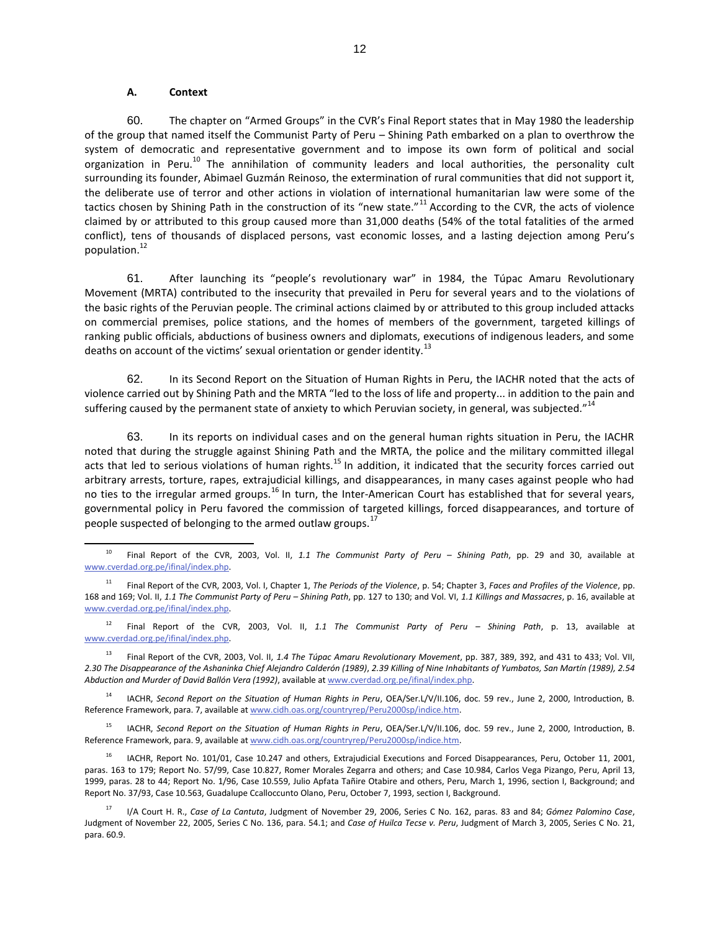#### **A. Context**

60. The chapter on "Armed Groups" in the CVR's Final Report states that in May 1980 the leadership of the group that named itself the Communist Party of Peru – Shining Path embarked on a plan to overthrow the system of democratic and representative government and to impose its own form of political and social organization in Peru.<sup>10</sup> The annihilation of community leaders and local authorities, the personality cult surrounding its founder, Abimael Guzmán Reinoso, the extermination of rural communities that did not support it, the deliberate use of terror and other actions in violation of international humanitarian law were some of the tactics chosen by Shining Path in the construction of its "new state."<sup>11</sup> According to the CVR, the acts of violence claimed by or attributed to this group caused more than 31,000 deaths (54% of the total fatalities of the armed conflict), tens of thousands of displaced persons, vast economic losses, and a lasting dejection among Peru's population.<sup>12</sup>

61. After launching its "people's revolutionary war" in 1984, the Túpac Amaru Revolutionary Movement (MRTA) contributed to the insecurity that prevailed in Peru for several years and to the violations of the basic rights of the Peruvian people. The criminal actions claimed by or attributed to this group included attacks on commercial premises, police stations, and the homes of members of the government, targeted killings of ranking public officials, abductions of business owners and diplomats, executions of indigenous leaders, and some deaths on account of the victims' sexual orientation or gender identity.<sup>13</sup>

62. In its Second Report on the Situation of Human Rights in Peru, the IACHR noted that the acts of violence carried out by Shining Path and the MRTA "led to the loss of life and property... in addition to the pain and suffering caused by the permanent state of anxiety to which Peruvian society, in general, was subjected."<sup>14</sup>

63. In its reports on individual cases and on the general human rights situation in Peru, the IACHR noted that during the struggle against Shining Path and the MRTA, the police and the military committed illegal acts that led to serious violations of human rights.<sup>15</sup> In addition, it indicated that the security forces carried out arbitrary arrests, torture, rapes, extrajudicial killings, and disappearances, in many cases against people who had no ties to the irregular armed groups.<sup>16</sup> In turn, the Inter-American Court has established that for several years, governmental policy in Peru favored the commission of targeted killings, forced disappearances, and torture of people suspected of belonging to the armed outlaw groups.<sup>1</sup>

<sup>12</sup> Final Report of the CVR, 2003, Vol. II, *1.1 The Communist Party of Peru – Shining Path*, p. 13, available at [www.cverdad.org.pe/ifinal/index.php.](http://www.cverdad.org.pe/ifinal/index.php) 

<sup>13</sup> Final Report of the CVR, 2003, Vol. II, *1.4 The Túpac Amaru Revolutionary Movement*, pp. 387, 389, 392, and 431 to 433; Vol. VII, *2.30 The Disappearance of the Ashaninka Chief Alejandro Calderón (1989)*, *2.39 Killing of Nine Inhabitants of Yumbatos, San Martín (1989), 2.54 Abduction and Murder of David Ballón Vera (1992)*, available a[t www.cverdad.org.pe/ifinal/index.php.](http://www.cverdad.org.pe/ifinal/index.php)

<sup>14</sup> IACHR, *Second Report on the Situation of Human Rights in Peru*, OEA/Ser.L/V/II.106, doc. 59 rev., June 2, 2000, Introduction, B. Reference Framework, para. 7, available a[t www.cidh.oas.org/countryrep/Peru2000sp/indice.htm.](http://www.cidh.oas.org/countryrep/Peru2000sp/indice.htm)

<sup>15</sup> IACHR, *Second Report on the Situation of Human Rights in Peru*, OEA/Ser.L/V/II.106, doc. 59 rev., June 2, 2000, Introduction, B. Reference Framework, para. 9, available a[t www.cidh.oas.org/countryrep/Peru2000sp/indice.htm.](http://www.cidh.oas.org/countryrep/Peru2000sp/indice.htm)

<sup>16</sup> IACHR, Report No. 101/01, Case 10.247 and others, Extrajudicial Executions and Forced Disappearances, Peru, October 11, 2001, paras. 163 to 179; Report No. 57/99, Case 10.827, Romer Morales Zegarra and others; and Case 10.984, Carlos Vega Pizango, Peru, April 13, 1999, paras. 28 to 44; Report No. 1/96, Case 10.559, Julio Apfata Tañire Otabire and others, Peru, March 1, 1996, section I, Background; and Report No. 37/93, Case 10.563, Guadalupe Ccalloccunto Olano, Peru, October 7, 1993, section I, Background.

<sup>17</sup> I/A Court H. R., *Case of La Cantuta*, Judgment of November 29, 2006, Series C No. 162, paras. 83 and 84; *Gómez Palomino Case*, Judgment of November 22, 2005, Series C No. 136, para. 54.1; and *Case of Huilca Tecse v. Peru*, Judgment of March 3, 2005, Series C No. 21, para. 60.9.

<sup>10</sup> Final Report of the CVR, 2003, Vol. II, *1.1 The Communist Party of Peru – Shining Path*, pp. 29 and 30, available at [www.cverdad.org.pe/ifinal/index.php.](http://www.cverdad.org.pe/ifinal/index.php)

<sup>11</sup> Final Report of the CVR, 2003, Vol. I, Chapter 1, *The Periods of the Violence*, p. 54; Chapter 3, *Faces and Profiles of the Violence*, pp. 168 and 169; Vol. II, *1.1 The Communist Party of Peru – Shining Path*, pp. 127 to 130; and Vol. VI, *1.1 Killings and Massacres*, p. 16, available at [www.cverdad.org.pe/ifinal/index.php.](http://www.cverdad.org.pe/ifinal/index.php)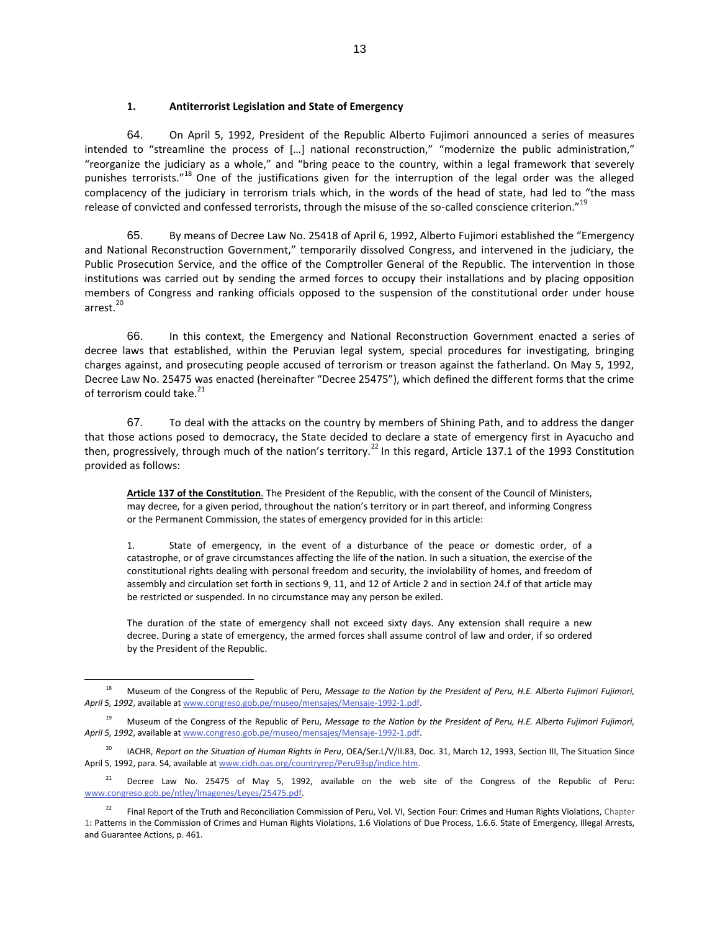## **1. Antiterrorist Legislation and State of Emergency**

64. On April 5, 1992, President of the Republic Alberto Fujimori announced a series of measures intended to "streamline the process of […] national reconstruction," "modernize the public administration," "reorganize the judiciary as a whole," and "bring peace to the country, within a legal framework that severely punishes terrorists."<sup>18</sup> One of the justifications given for the interruption of the legal order was the alleged complacency of the judiciary in terrorism trials which, in the words of the head of state, had led to "the mass release of convicted and confessed terrorists, through the misuse of the so-called conscience criterion."<sup>19</sup>

65. By means of Decree Law No. 25418 of April 6, 1992, Alberto Fujimori established the "Emergency and National Reconstruction Government," temporarily dissolved Congress, and intervened in the judiciary, the Public Prosecution Service, and the office of the Comptroller General of the Republic. The intervention in those institutions was carried out by sending the armed forces to occupy their installations and by placing opposition members of Congress and ranking officials opposed to the suspension of the constitutional order under house arrest.<sup>20</sup>

66. In this context, the Emergency and National Reconstruction Government enacted a series of decree laws that established, within the Peruvian legal system, special procedures for investigating, bringing charges against, and prosecuting people accused of terrorism or treason against the fatherland. On May 5, 1992, Decree Law No. 25475 was enacted (hereinafter "Decree 25475"), which defined the different forms that the crime of terrorism could take.<sup>21</sup>

67. To deal with the attacks on the country by members of Shining Path, and to address the danger that those actions posed to democracy, the State decided to declare a state of emergency first in Ayacucho and then, progressively, through much of the nation's territory.<sup>22</sup> In this regard, Article 137.1 of the 1993 Constitution provided as follows:

**Article 137 of the Constitution**. The President of the Republic, with the consent of the Council of Ministers, may decree, for a given period, throughout the nation's territory or in part thereof, and informing Congress or the Permanent Commission, the states of emergency provided for in this article:

1. State of emergency, in the event of a disturbance of the peace or domestic order, of a catastrophe, or of grave circumstances affecting the life of the nation. In such a situation, the exercise of the constitutional rights dealing with personal freedom and security, the inviolability of homes, and freedom of assembly and circulation set forth in sections 9, 11, and 12 of Article 2 and in section 24.f of that article may be restricted or suspended. In no circumstance may any person be exiled.

The duration of the state of emergency shall not exceed sixty days. Any extension shall require a new decree. During a state of emergency, the armed forces shall assume control of law and order, if so ordered by the President of the Republic.

<sup>18</sup> Museum of the Congress of the Republic of Peru, *Message to the Nation by the President of Peru, H.E. Alberto Fujimori Fujimori, April 5, 1992*, available a[t www.congreso.gob.pe/museo/mensajes/Mensaje-1992-1.pdf.](http://www.congreso.gob.pe/museo/mensajes/Mensaje-1992-1.pdf) 

<sup>19</sup> Museum of the Congress of the Republic of Peru, *Message to the Nation by the President of Peru, H.E. Alberto Fujimori Fujimori, April 5, 1992*, available a[t www.congreso.gob.pe/museo/mensajes/Mensaje-1992-1.pdf.](http://www.congreso.gob.pe/museo/mensajes/Mensaje-1992-1.pdf)

<sup>20</sup> IACHR, *Report on the Situation of Human Rights in Peru*, OEA/Ser.L/V/II.83, Doc. 31, March 12, 1993, Section III, The Situation Since April 5, 1992, para. 54, available at www.cidh.oas.org/countryrep/Peru93sp/indice.htm.

<sup>&</sup>lt;sup>21</sup> Decree Law No. 25475 of May 5, 1992, available on the web site of the Congress of the Republic of Peru: [www.congreso.gob.pe/ntley/Imagenes/Leyes/25475.pdf.](http://www.congreso.gob.pe/ntley/Imagenes/Leyes/25475.pdf) 

<sup>&</sup>lt;sup>22</sup> Final Report of the Truth and Reconciliation Commission of Peru, Vol. VI, Section Four: Crimes and Human Rights Violations, Chapter 1**:** Patterns in the Commission of Crimes and Human Rights Violations, 1.6 Violations of Due Process, 1.6.6. State of Emergency, Illegal Arrests, and Guarantee Actions, p. 461.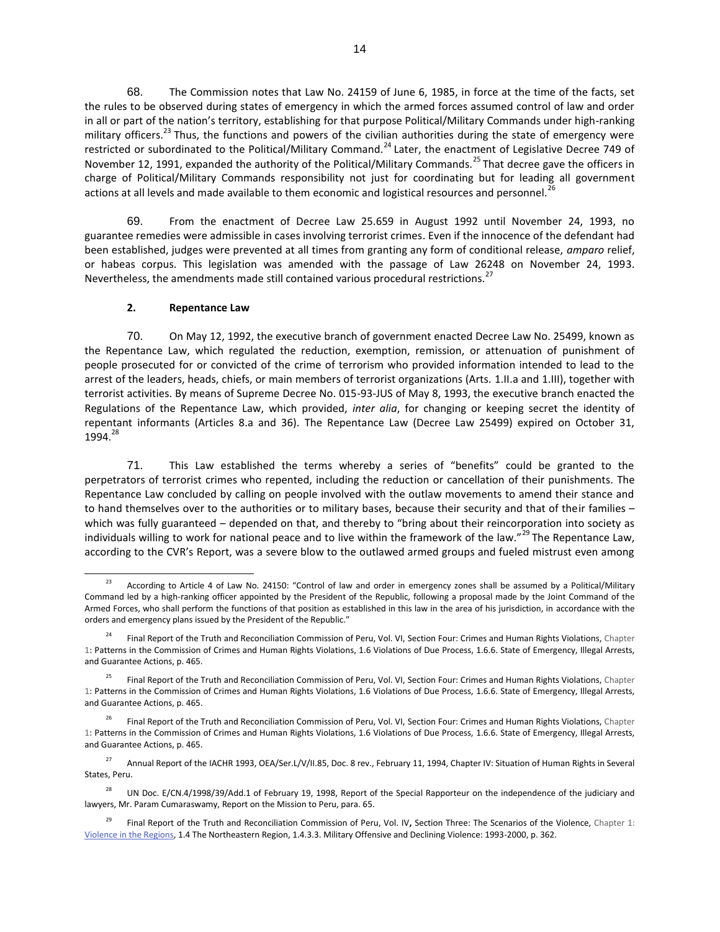68. The Commission notes that Law No. 24159 of June 6, 1985, in force at the time of the facts, set the rules to be observed during states of emergency in which the armed forces assumed control of law and order in all or part of the nation's territory, establishing for that purpose Political/Military Commands under high-ranking military officers.<sup>23</sup> Thus, the functions and powers of the civilian authorities during the state of emergency were restricted or subordinated to the Political/Military Command.<sup>24</sup> Later, the enactment of Legislative Decree 749 of November 12, 1991, expanded the authority of the Political/Military Commands.<sup>25</sup> That decree gave the officers in charge of Political/Military Commands responsibility not just for coordinating but for leading all government actions at all levels and made available to them economic and logistical resources and personnel.<sup>2</sup>

69. From the enactment of Decree Law 25.659 in August 1992 until November 24, 1993, no guarantee remedies were admissible in cases involving terrorist crimes. Even if the innocence of the defendant had been established, judges were prevented at all times from granting any form of conditional release, *amparo* relief, or habeas corpus. This legislation was amended with the passage of Law 26248 on November 24, 1993. Nevertheless, the amendments made still contained various procedural restrictions.<sup>27</sup>

#### **2. Repentance Law**

70. On May 12, 1992, the executive branch of government enacted Decree Law No. 25499, known as the Repentance Law, which regulated the reduction, exemption, remission, or attenuation of punishment of people prosecuted for or convicted of the crime of terrorism who provided information intended to lead to the arrest of the leaders, heads, chiefs, or main members of terrorist organizations (Arts. 1.II.a and 1.III), together with terrorist activities. By means of Supreme Decree No. 015-93-JUS of May 8, 1993, the executive branch enacted the Regulations of the Repentance Law, which provided, *inter alia*, for changing or keeping secret the identity of repentant informants (Articles 8.a and 36). The Repentance Law (Decree Law 25499) expired on October 31, 1994.<sup>28</sup>

71. This Law established the terms whereby a series of "benefits" could be granted to the perpetrators of terrorist crimes who repented, including the reduction or cancellation of their punishments. The Repentance Law concluded by calling on people involved with the outlaw movements to amend their stance and to hand themselves over to the authorities or to military bases, because their security and that of their families – which was fully guaranteed – depended on that, and thereby to "bring about their reincorporation into society as individuals willing to work for national peace and to live within the framework of the law."<sup>29</sup> The Repentance Law, according to the CVR's Report, was a severe blow to the outlawed armed groups and fueled mistrust even among

 $\overline{a}$ <sup>23</sup> According to Article 4 of Law No. 24150: "Control of law and order in emergency zones shall be assumed by a Political/Military Command led by a high-ranking officer appointed by the President of the Republic, following a proposal made by the Joint Command of the Armed Forces, who shall perform the functions of that position as established in this law in the area of his jurisdiction, in accordance with the orders and emergency plans issued by the President of the Republic."

<sup>&</sup>lt;sup>24</sup> Final Report of the Truth and Reconciliation Commission of Peru, Vol. VI, Section Four: Crimes and Human Rights Violations, Chapter 1**:** Patterns in the Commission of Crimes and Human Rights Violations, 1.6 Violations of Due Process, 1.6.6. State of Emergency, Illegal Arrests, and Guarantee Actions, p. 465.

<sup>&</sup>lt;sup>25</sup> Final Report of the Truth and Reconciliation Commission of Peru, Vol. VI, Section Four: Crimes and Human Rights Violations, Chapter 1**:** Patterns in the Commission of Crimes and Human Rights Violations, 1.6 Violations of Due Process, 1.6.6. State of Emergency, Illegal Arrests, and Guarantee Actions, p. 465.

<sup>26</sup> Final Report of the Truth and Reconciliation Commission of Peru, Vol. VI, Section Four: Crimes and Human Rights Violations, Chapter 1**:** Patterns in the Commission of Crimes and Human Rights Violations, 1.6 Violations of Due Process, 1.6.6. State of Emergency, Illegal Arrests, and Guarantee Actions, p. 465.

<sup>&</sup>lt;sup>27</sup> Annual Report of the IACHR 1993, OEA/Ser.L/V/II.85, Doc. 8 rev., February 11, 1994, Chapter IV: Situation of Human Rights in Several States, Peru.

<sup>&</sup>lt;sup>28</sup> UN Doc. E/CN.4/1998/39/Add.1 of February 19, 1998, Report of the Special Rapporteur on the independence of the judiciary and lawyers, Mr. Param Cumaraswamy, Report on the Mission to Peru, para. 65.

<sup>29</sup> Final Report of the Truth and Reconciliation Commission of Peru, Vol. IV**,** Section Three: The Scenarios of the Violence, Chapter 1[:](http://www.cverdad.org.pe/ifinal/pdf/TOMO%20IV/SECCION%20TERCERA-Los%20Escenarios%20de%20la%20Violencia/Historias%20Regionales/1.0.INTRODUCCION.pdf) [Violence in the Regions,](http://www.cverdad.org.pe/ifinal/pdf/TOMO%20IV/SECCION%20TERCERA-Los%20Escenarios%20de%20la%20Violencia/Historias%20Regionales/1.0.INTRODUCCION.pdf) 1.4 The Northeastern Region, 1.4.3.3. Military Offensive and Declining Violence: 1993-2000, p. 362.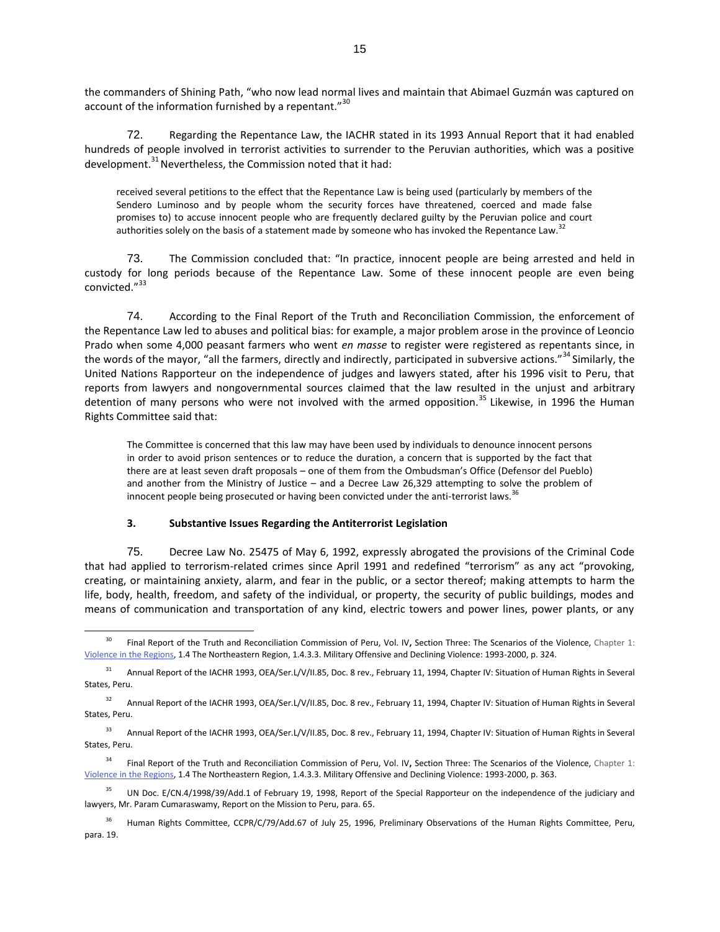the commanders of Shining Path, "who now lead normal lives and maintain that Abimael Guzmán was captured on account of the information furnished by a repentant."<sup>30</sup>

72. Regarding the Repentance Law, the IACHR stated in its 1993 Annual Report that it had enabled hundreds of people involved in terrorist activities to surrender to the Peruvian authorities, which was a positive development. $31$  Nevertheless, the Commission noted that it had:

received several petitions to the effect that the Repentance Law is being used (particularly by members of the Sendero Luminoso and by people whom the security forces have threatened, coerced and made false promises to) to accuse innocent people who are frequently declared guilty by the Peruvian police and court authorities solely on the basis of a statement made by someone who has invoked the Repentance Law.<sup>3</sup>

73. The Commission concluded that: "In practice, innocent people are being arrested and held in custody for long periods because of the Repentance Law. Some of these innocent people are even being convicted."<sup>33</sup>

74. According to the Final Report of the Truth and Reconciliation Commission, the enforcement of the Repentance Law led to abuses and political bias: for example, a major problem arose in the province of Leoncio Prado when some 4,000 peasant farmers who went *en masse* to register were registered as repentants since, in the words of the mayor, "all the farmers, directly and indirectly, participated in subversive actions."<sup>34</sup> Similarly, the United Nations Rapporteur on the independence of judges and lawyers stated, after his 1996 visit to Peru, that reports from lawyers and nongovernmental sources claimed that the law resulted in the unjust and arbitrary detention of many persons who were not involved with the armed opposition.<sup>35</sup> Likewise, in 1996 the Human Rights Committee said that:

The Committee is concerned that this law may have been used by individuals to denounce innocent persons in order to avoid prison sentences or to reduce the duration, a concern that is supported by the fact that there are at least seven draft proposals – one of them from the Ombudsman's Office (Defensor del Pueblo) and another from the Ministry of Justice – and a Decree Law 26,329 attempting to solve the problem of innocent people being prosecuted or having been convicted under the anti-terrorist laws.<sup>3</sup>

## **3. Substantive Issues Regarding the Antiterrorist Legislation**

75. Decree Law No. 25475 of May 6, 1992, expressly abrogated the provisions of the Criminal Code that had applied to terrorism-related crimes since April 1991 and redefined "terrorism" as any act "provoking, creating, or maintaining anxiety, alarm, and fear in the public, or a sector thereof; making attempts to harm the life, body, health, freedom, and safety of the individual, or property, the security of public buildings, modes and means of communication and transportation of any kind, electric towers and power lines, power plants, or any

<sup>30</sup> Final Report of the Truth and Reconciliation Commission of Peru, Vol. IV**,** Section Three: The Scenarios of the Violence, Chapter 1: [Violence in the Regions,](http://www.cverdad.org.pe/ifinal/pdf/TOMO%20IV/SECCION%20TERCERA-Los%20Escenarios%20de%20la%20Violencia/Historias%20Regionales/1.0.INTRODUCCION.pdf) 1.4 The Northeastern Region, 1.4.3.3. Military Offensive and Declining Violence: 1993-2000, p. 324.

<sup>&</sup>lt;sup>31</sup> Annual Report of the IACHR 1993, OEA/Ser.L/V/II.85, Doc. 8 rev., February 11, 1994, Chapter IV: Situation of Human Rights in Several States, Peru.

<sup>&</sup>lt;sup>32</sup> Annual Report of the IACHR 1993, OEA/Ser.L/V/II.85, Doc. 8 rev., February 11, 1994, Chapter IV: Situation of Human Rights in Several States, Peru.

<sup>33</sup> Annual Report of the IACHR 1993, OEA/Ser.L/V/II.85, Doc. 8 rev., February 11, 1994, Chapter IV: Situation of Human Rights in Several States, Peru.

<sup>34</sup> Final Report of the Truth and Reconciliation Commission of Peru, Vol. IV**,** Section Three: The Scenarios of the Violence, Chapter 1: [Violence in the Regions,](http://www.cverdad.org.pe/ifinal/pdf/TOMO%20IV/SECCION%20TERCERA-Los%20Escenarios%20de%20la%20Violencia/Historias%20Regionales/1.0.INTRODUCCION.pdf) 1.4 The Northeastern Region, 1.4.3.3. Military Offensive and Declining Violence: 1993-2000, p. 363.

<sup>&</sup>lt;sup>35</sup> UN Doc. E/CN.4/1998/39/Add.1 of February 19, 1998, Report of the Special Rapporteur on the independence of the judiciary and lawyers, Mr. Param Cumaraswamy, Report on the Mission to Peru, para. 65.

<sup>&</sup>lt;sup>36</sup> Human Rights Committee, CCPR/C/79/Add.67 of July 25, 1996, Preliminary Observations of the Human Rights Committee, Peru, para. 19.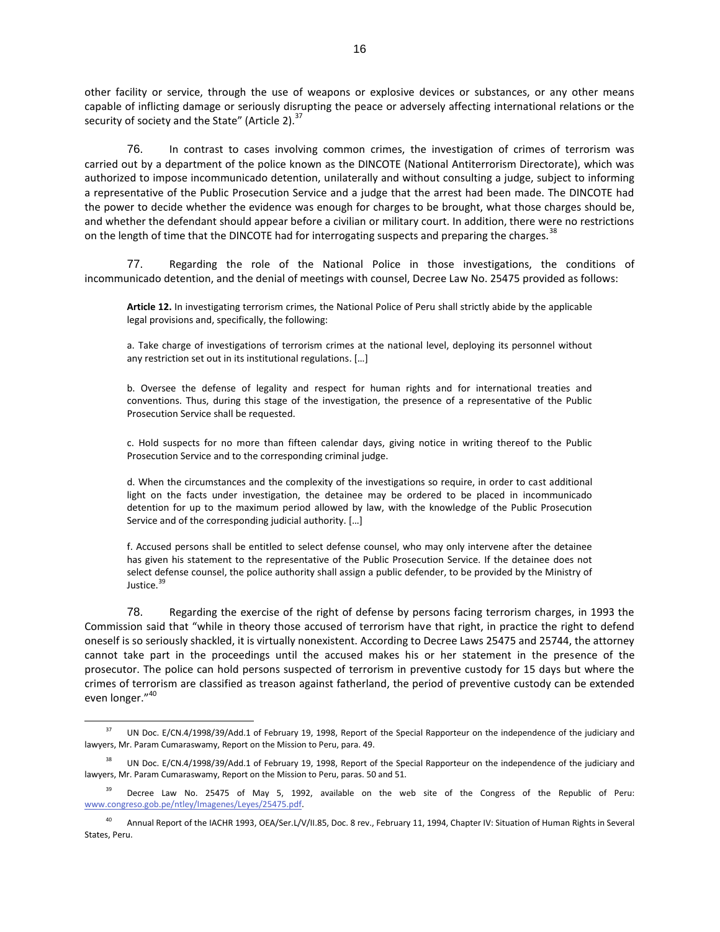other facility or service, through the use of weapons or explosive devices or substances, or any other means capable of inflicting damage or seriously disrupting the peace or adversely affecting international relations or the security of society and the State" (Article 2).<sup>37</sup>

76. In contrast to cases involving common crimes, the investigation of crimes of terrorism was carried out by a department of the police known as the DINCOTE (National Antiterrorism Directorate), which was authorized to impose incommunicado detention, unilaterally and without consulting a judge, subject to informing a representative of the Public Prosecution Service and a judge that the arrest had been made. The DINCOTE had the power to decide whether the evidence was enough for charges to be brought, what those charges should be, and whether the defendant should appear before a civilian or military court. In addition, there were no restrictions on the length of time that the DINCOTE had for interrogating suspects and preparing the charges.<sup>38</sup>

77. Regarding the role of the National Police in those investigations, the conditions of incommunicado detention, and the denial of meetings with counsel, Decree Law No. 25475 provided as follows:

**Article 12.** In investigating terrorism crimes, the National Police of Peru shall strictly abide by the applicable legal provisions and, specifically, the following:

a. Take charge of investigations of terrorism crimes at the national level, deploying its personnel without any restriction set out in its institutional regulations. […]

b. Oversee the defense of legality and respect for human rights and for international treaties and conventions. Thus, during this stage of the investigation, the presence of a representative of the Public Prosecution Service shall be requested.

c. Hold suspects for no more than fifteen calendar days, giving notice in writing thereof to the Public Prosecution Service and to the corresponding criminal judge.

d. When the circumstances and the complexity of the investigations so require, in order to cast additional light on the facts under investigation, the detainee may be ordered to be placed in incommunicado detention for up to the maximum period allowed by law, with the knowledge of the Public Prosecution Service and of the corresponding judicial authority. […]

f. Accused persons shall be entitled to select defense counsel, who may only intervene after the detainee has given his statement to the representative of the Public Prosecution Service. If the detainee does not select defense counsel, the police authority shall assign a public defender, to be provided by the Ministry of Justice.<sup>39</sup>

78. Regarding the exercise of the right of defense by persons facing terrorism charges, in 1993 the Commission said that "while in theory those accused of terrorism have that right, in practice the right to defend oneself is so seriously shackled, it is virtually nonexistent. According to Decree Laws 25475 and 25744, the attorney cannot take part in the proceedings until the accused makes his or her statement in the presence of the prosecutor. The police can hold persons suspected of terrorism in preventive custody for 15 days but where the crimes of terrorism are classified as treason against fatherland, the period of preventive custody can be extended even longer."<sup>40</sup>

 $\overline{a}$ 

<sup>&</sup>lt;sup>37</sup> UN Doc. E/CN.4/1998/39/Add.1 of February 19, 1998, Report of the Special Rapporteur on the independence of the judiciary and lawyers, Mr. Param Cumaraswamy, Report on the Mission to Peru, para. 49.

<sup>&</sup>lt;sup>38</sup> UN Doc. E/CN.4/1998/39/Add.1 of February 19, 1998, Report of the Special Rapporteur on the independence of the judiciary and lawyers, Mr. Param Cumaraswamy, Report on the Mission to Peru, paras. 50 and 51.

<sup>&</sup>lt;sup>39</sup> Decree Law No. 25475 of May 5, 1992, available on the web site of the Congress of the Republic of Peru: [www.congreso.gob.pe/ntley/Imagenes/Leyes/25475.pdf.](http://www.congreso.gob.pe/ntley/Imagenes/Leyes/25475.pdf)

<sup>&</sup>lt;sup>40</sup> Annual Report of the IACHR 1993, OEA/Ser.L/V/II.85, Doc. 8 rev., February 11, 1994, Chapter IV: Situation of Human Rights in Several States, Peru.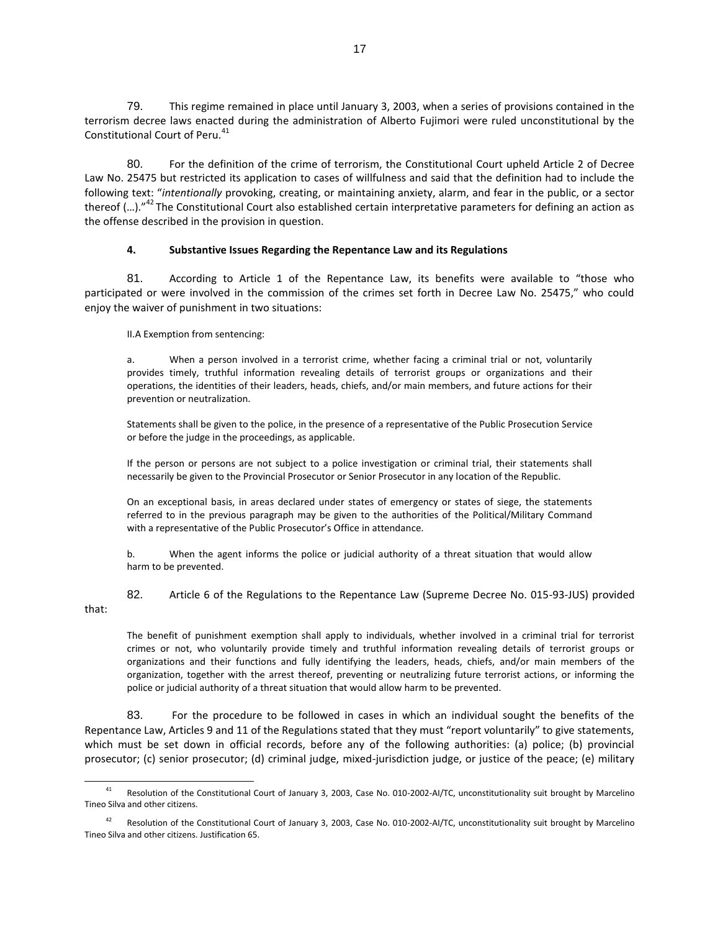79. This regime remained in place until January 3, 2003, when a series of provisions contained in the terrorism decree laws enacted during the administration of Alberto Fujimori were ruled unconstitutional by the Constitutional Court of Peru.<sup>41</sup>

80. For the definition of the crime of terrorism, the Constitutional Court upheld Article 2 of Decree Law No. 25475 but restricted its application to cases of willfulness and said that the definition had to include the following text: "*intentionally* provoking, creating, or maintaining anxiety, alarm, and fear in the public, or a sector thereof (...)."<sup>42</sup> The Constitutional Court also established certain interpretative parameters for defining an action as the offense described in the provision in question.

## **4. Substantive Issues Regarding the Repentance Law and its Regulations**

81. According to Article 1 of the Repentance Law, its benefits were available to "those who participated or were involved in the commission of the crimes set forth in Decree Law No. 25475," who could enjoy the waiver of punishment in two situations:

II.A Exemption from sentencing:

a. When a person involved in a terrorist crime, whether facing a criminal trial or not, voluntarily provides timely, truthful information revealing details of terrorist groups or organizations and their operations, the identities of their leaders, heads, chiefs, and/or main members, and future actions for their prevention or neutralization.

Statements shall be given to the police, in the presence of a representative of the Public Prosecution Service or before the judge in the proceedings, as applicable.

If the person or persons are not subject to a police investigation or criminal trial, their statements shall necessarily be given to the Provincial Prosecutor or Senior Prosecutor in any location of the Republic.

On an exceptional basis, in areas declared under states of emergency or states of siege, the statements referred to in the previous paragraph may be given to the authorities of the Political/Military Command with a representative of the Public Prosecutor's Office in attendance.

b. When the agent informs the police or judicial authority of a threat situation that would allow harm to be prevented.

82. Article 6 of the Regulations to the Repentance Law (Supreme Decree No. 015-93-JUS) provided

that:

The benefit of punishment exemption shall apply to individuals, whether involved in a criminal trial for terrorist crimes or not, who voluntarily provide timely and truthful information revealing details of terrorist groups or organizations and their functions and fully identifying the leaders, heads, chiefs, and/or main members of the organization, together with the arrest thereof, preventing or neutralizing future terrorist actions, or informing the police or judicial authority of a threat situation that would allow harm to be prevented.

83. For the procedure to be followed in cases in which an individual sought the benefits of the Repentance Law, Articles 9 and 11 of the Regulations stated that they must "report voluntarily" to give statements, which must be set down in official records, before any of the following authorities: (a) police; (b) provincial prosecutor; (c) senior prosecutor; (d) criminal judge, mixed-jurisdiction judge, or justice of the peace; (e) military

 $\overline{a}$ <sup>41</sup> Resolution of the Constitutional Court of January 3, 2003, Case No. 010-2002-AI/TC, unconstitutionality suit brought by Marcelino Tineo Silva and other citizens.

Resolution of the Constitutional Court of January 3, 2003, Case No. 010-2002-AI/TC, unconstitutionality suit brought by Marcelino Tineo Silva and other citizens. Justification 65.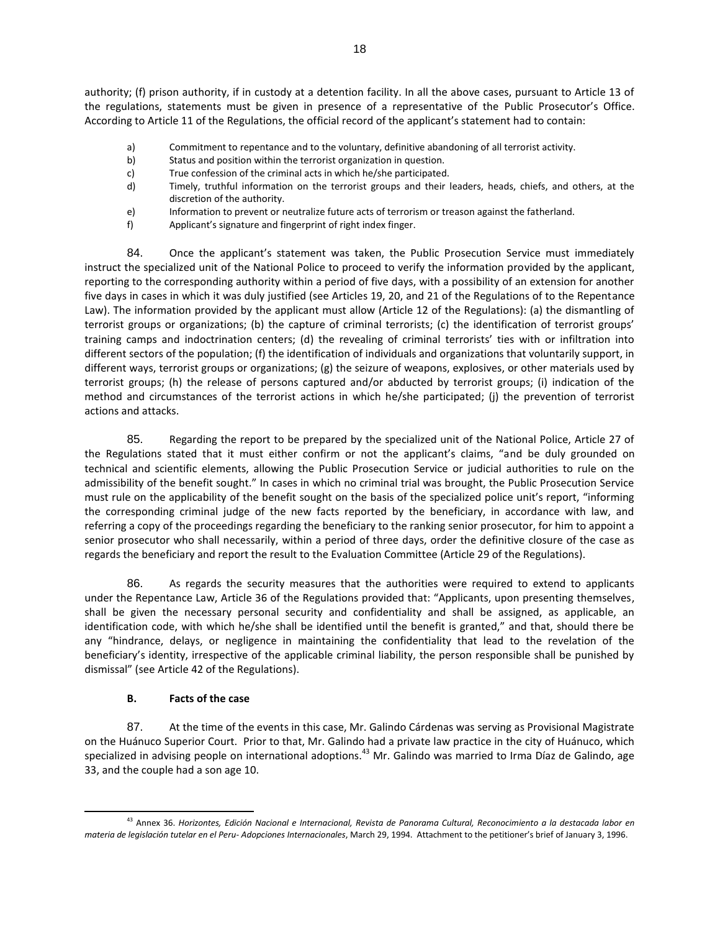authority; (f) prison authority, if in custody at a detention facility. In all the above cases, pursuant to Article 13 of the regulations, statements must be given in presence of a representative of the Public Prosecutor's Office. According to Article 11 of the Regulations, the official record of the applicant's statement had to contain:

- a) Commitment to repentance and to the voluntary, definitive abandoning of all terrorist activity.
- b) Status and position within the terrorist organization in question.
- c) True confession of the criminal acts in which he/she participated.
- d) Timely, truthful information on the terrorist groups and their leaders, heads, chiefs, and others, at the discretion of the authority.
- e) Information to prevent or neutralize future acts of terrorism or treason against the fatherland.
- f) Applicant's signature and fingerprint of right index finger.

84. Once the applicant's statement was taken, the Public Prosecution Service must immediately instruct the specialized unit of the National Police to proceed to verify the information provided by the applicant, reporting to the corresponding authority within a period of five days, with a possibility of an extension for another five days in cases in which it was duly justified (see Articles 19, 20, and 21 of the Regulations of to the Repentance Law). The information provided by the applicant must allow (Article 12 of the Regulations): (a) the dismantling of terrorist groups or organizations; (b) the capture of criminal terrorists; (c) the identification of terrorist groups' training camps and indoctrination centers; (d) the revealing of criminal terrorists' ties with or infiltration into different sectors of the population; (f) the identification of individuals and organizations that voluntarily support, in different ways, terrorist groups or organizations; (g) the seizure of weapons, explosives, or other materials used by terrorist groups; (h) the release of persons captured and/or abducted by terrorist groups; (i) indication of the method and circumstances of the terrorist actions in which he/she participated; (j) the prevention of terrorist actions and attacks.

85. Regarding the report to be prepared by the specialized unit of the National Police, Article 27 of the Regulations stated that it must either confirm or not the applicant's claims, "and be duly grounded on technical and scientific elements, allowing the Public Prosecution Service or judicial authorities to rule on the admissibility of the benefit sought." In cases in which no criminal trial was brought, the Public Prosecution Service must rule on the applicability of the benefit sought on the basis of the specialized police unit's report, "informing the corresponding criminal judge of the new facts reported by the beneficiary, in accordance with law, and referring a copy of the proceedings regarding the beneficiary to the ranking senior prosecutor, for him to appoint a senior prosecutor who shall necessarily, within a period of three days, order the definitive closure of the case as regards the beneficiary and report the result to the Evaluation Committee (Article 29 of the Regulations).

86. As regards the security measures that the authorities were required to extend to applicants under the Repentance Law, Article 36 of the Regulations provided that: "Applicants, upon presenting themselves, shall be given the necessary personal security and confidentiality and shall be assigned, as applicable, an identification code, with which he/she shall be identified until the benefit is granted," and that, should there be any "hindrance, delays, or negligence in maintaining the confidentiality that lead to the revelation of the beneficiary's identity, irrespective of the applicable criminal liability, the person responsible shall be punished by dismissal" (see Article 42 of the Regulations).

# **B. Facts of the case**

 $\overline{a}$ 

87. At the time of the events in this case, Mr. Galindo Cárdenas was serving as Provisional Magistrate on the Huánuco Superior Court. Prior to that, Mr. Galindo had a private law practice in the city of Huánuco, which specialized in advising people on international adoptions.<sup>43</sup> Mr. Galindo was married to Irma Díaz de Galindo, age 33, and the couple had a son age 10.

<sup>43</sup> Annex 36. *Horizontes, Edición Nacional e Internacional, Revista de Panorama Cultural, Reconocimiento a la destacada labor en materia de legislación tutelar en el Peru- Adopciones Internacionales*, March 29, 1994. Attachment to the petitioner's brief of January 3, 1996.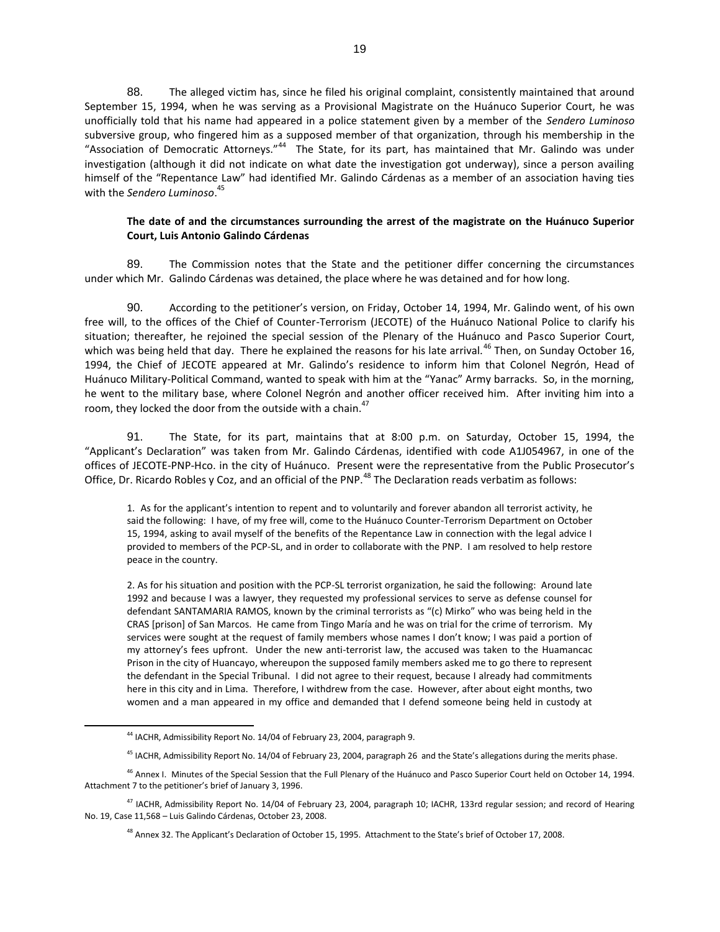88. The alleged victim has, since he filed his original complaint, consistently maintained that around September 15, 1994, when he was serving as a Provisional Magistrate on the Huánuco Superior Court, he was unofficially told that his name had appeared in a police statement given by a member of the *Sendero Luminoso* subversive group, who fingered him as a supposed member of that organization, through his membership in the "Association of Democratic Attorneys."<sup>44</sup> The State, for its part, has maintained that Mr. Galindo was under investigation (although it did not indicate on what date the investigation got underway), since a person availing himself of the "Repentance Law" had identified Mr. Galindo Cárdenas as a member of an association having ties with the *Sendero Luminoso*. 45

### **The date of and the circumstances surrounding the arrest of the magistrate on the Huánuco Superior Court, Luis Antonio Galindo Cárdenas**

89. The Commission notes that the State and the petitioner differ concerning the circumstances under which Mr. Galindo Cárdenas was detained, the place where he was detained and for how long.

90. According to the petitioner's version, on Friday, October 14, 1994, Mr. Galindo went, of his own free will, to the offices of the Chief of Counter-Terrorism (JECOTE) of the Huánuco National Police to clarify his situation; thereafter, he rejoined the special session of the Plenary of the Huánuco and Pasco Superior Court, which was being held that day. There he explained the reasons for his late arrival.<sup>46</sup> Then, on Sunday October 16, 1994, the Chief of JECOTE appeared at Mr. Galindo's residence to inform him that Colonel Negrón, Head of Huánuco Military-Political Command, wanted to speak with him at the "Yanac" Army barracks. So, in the morning, he went to the military base, where Colonel Negrón and another officer received him. After inviting him into a room, they locked the door from the outside with a chain.<sup>47</sup>

91. The State, for its part, maintains that at 8:00 p.m. on Saturday, October 15, 1994, the "Applicant's Declaration" was taken from Mr. Galindo Cárdenas, identified with code A1J054967, in one of the offices of JECOTE-PNP-Hco. in the city of Huánuco. Present were the representative from the Public Prosecutor's Office, Dr. Ricardo Robles y Coz, and an official of the PNP.<sup>48</sup> The Declaration reads verbatim as follows:

1. As for the applicant's intention to repent and to voluntarily and forever abandon all terrorist activity, he said the following: I have, of my free will, come to the Huánuco Counter-Terrorism Department on October 15, 1994, asking to avail myself of the benefits of the Repentance Law in connection with the legal advice I provided to members of the PCP-SL, and in order to collaborate with the PNP. I am resolved to help restore peace in the country.

2. As for his situation and position with the PCP-SL terrorist organization, he said the following: Around late 1992 and because I was a lawyer, they requested my professional services to serve as defense counsel for defendant SANTAMARIA RAMOS, known by the criminal terrorists as "(c) Mirko" who was being held in the CRAS [prison] of San Marcos. He came from Tingo María and he was on trial for the crime of terrorism. My services were sought at the request of family members whose names I don't know; I was paid a portion of my attorney's fees upfront. Under the new anti-terrorist law, the accused was taken to the Huamancac Prison in the city of Huancayo, whereupon the supposed family members asked me to go there to represent the defendant in the Special Tribunal. I did not agree to their request, because I already had commitments here in this city and in Lima. Therefore, I withdrew from the case. However, after about eight months, two women and a man appeared in my office and demanded that I defend someone being held in custody at

 $\overline{a}$ 

<sup>&</sup>lt;sup>44</sup> IACHR, Admissibility Report No. 14/04 of February 23, 2004, paragraph 9.

<sup>&</sup>lt;sup>45</sup> IACHR, Admissibility Report No. 14/04 of February 23, 2004, paragraph 26 and the State's allegations during the merits phase.

<sup>&</sup>lt;sup>46</sup> Annex I. Minutes of the Special Session that the Full Plenary of the Huánuco and Pasco Superior Court held on October 14, 1994. Attachment 7 to the petitioner's brief of January 3, 1996.

 $47$  IACHR, Admissibility Report No. 14/04 of February 23, 2004, paragraph 10; IACHR, 133rd regular session; and record of Hearing No. 19, Case 11,568 – Luis Galindo Cárdenas, October 23, 2008.

<sup>&</sup>lt;sup>48</sup> Annex 32. The Applicant's Declaration of October 15, 1995. Attachment to the State's brief of October 17, 2008.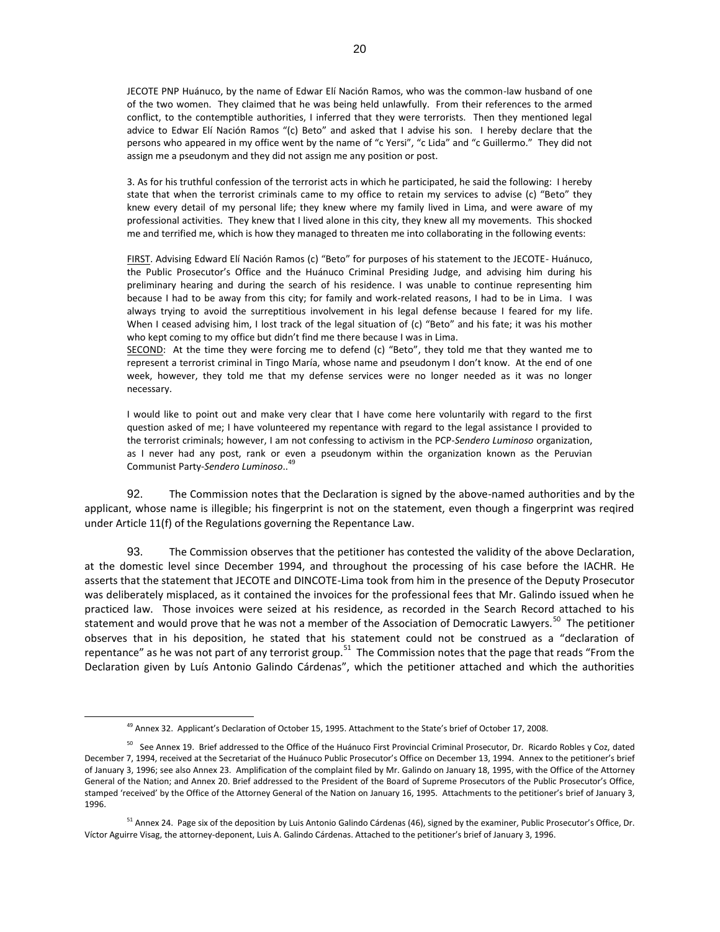JECOTE PNP Huánuco, by the name of Edwar Elí Nación Ramos, who was the common-law husband of one of the two women. They claimed that he was being held unlawfully. From their references to the armed conflict, to the contemptible authorities, I inferred that they were terrorists. Then they mentioned legal advice to Edwar Elí Nación Ramos "(c) Beto" and asked that I advise his son. I hereby declare that the persons who appeared in my office went by the name of "c Yersi", "c Lida" and "c Guillermo." They did not assign me a pseudonym and they did not assign me any position or post.

3. As for his truthful confession of the terrorist acts in which he participated, he said the following: I hereby state that when the terrorist criminals came to my office to retain my services to advise (c) "Beto" they knew every detail of my personal life; they knew where my family lived in Lima, and were aware of my professional activities. They knew that I lived alone in this city, they knew all my movements. This shocked me and terrified me, which is how they managed to threaten me into collaborating in the following events:

FIRST. Advising Edward Elí Nación Ramos (c) "Beto" for purposes of his statement to the JECOTE- Huánuco, the Public Prosecutor's Office and the Huánuco Criminal Presiding Judge, and advising him during his preliminary hearing and during the search of his residence. I was unable to continue representing him because I had to be away from this city; for family and work-related reasons, I had to be in Lima. I was always trying to avoid the surreptitious involvement in his legal defense because I feared for my life. When I ceased advising him, I lost track of the legal situation of (c) "Beto" and his fate; it was his mother who kept coming to my office but didn't find me there because I was in Lima.

SECOND: At the time they were forcing me to defend (c) "Beto", they told me that they wanted me to represent a terrorist criminal in Tingo María, whose name and pseudonym I don't know. At the end of one week, however, they told me that my defense services were no longer needed as it was no longer necessary.

I would like to point out and make very clear that I have come here voluntarily with regard to the first question asked of me; I have volunteered my repentance with regard to the legal assistance I provided to the terrorist criminals; however, I am not confessing to activism in the PCP-*Sendero Luminoso* organization, as I never had any post, rank or even a pseudonym within the organization known as the Peruvian Communist Party-*Sendero Luminoso*.. 49

92. The Commission notes that the Declaration is signed by the above-named authorities and by the applicant, whose name is illegible; his fingerprint is not on the statement, even though a fingerprint was reqired under Article 11(f) of the Regulations governing the Repentance Law.

93. The Commission observes that the petitioner has contested the validity of the above Declaration, at the domestic level since December 1994, and throughout the processing of his case before the IACHR. He asserts that the statement that JECOTE and DINCOTE-Lima took from him in the presence of the Deputy Prosecutor was deliberately misplaced, as it contained the invoices for the professional fees that Mr. Galindo issued when he practiced law. Those invoices were seized at his residence, as recorded in the Search Record attached to his statement and would prove that he was not a member of the Association of Democratic Lawyers.<sup>50</sup> The petitioner observes that in his deposition, he stated that his statement could not be construed as a "declaration of repentance" as he was not part of any terrorist group.<sup>51</sup> The Commission notes that the page that reads "From the Declaration given by Luís Antonio Galindo Cárdenas", which the petitioner attached and which the authorities

<sup>&</sup>lt;sup>49</sup> Annex 32. Applicant's Declaration of October 15, 1995. Attachment to the State's brief of October 17, 2008.

<sup>&</sup>lt;sup>50</sup> See Annex 19. Brief addressed to the Office of the Huánuco First Provincial Criminal Prosecutor, Dr. Ricardo Robles y Coz, dated December 7, 1994, received at the Secretariat of the Huánuco Public Prosecutor's Office on December 13, 1994. Annex to the petitioner's brief of January 3, 1996; see also Annex 23. Amplification of the complaint filed by Mr. Galindo on January 18, 1995, with the Office of the Attorney General of the Nation; and Annex 20. Brief addressed to the President of the Board of Supreme Prosecutors of the Public Prosecutor's Office, stamped 'received' by the Office of the Attorney General of the Nation on January 16, 1995. Attachments to the petitioner's brief of January 3, 1996.

<sup>&</sup>lt;sup>51</sup> Annex 24. Page six of the deposition by Luis Antonio Galindo Cárdenas (46), signed by the examiner, Public Prosecutor's Office, Dr. Víctor Aguirre Visag, the attorney-deponent, Luis A. Galindo Cárdenas. Attached to the petitioner's brief of January 3, 1996.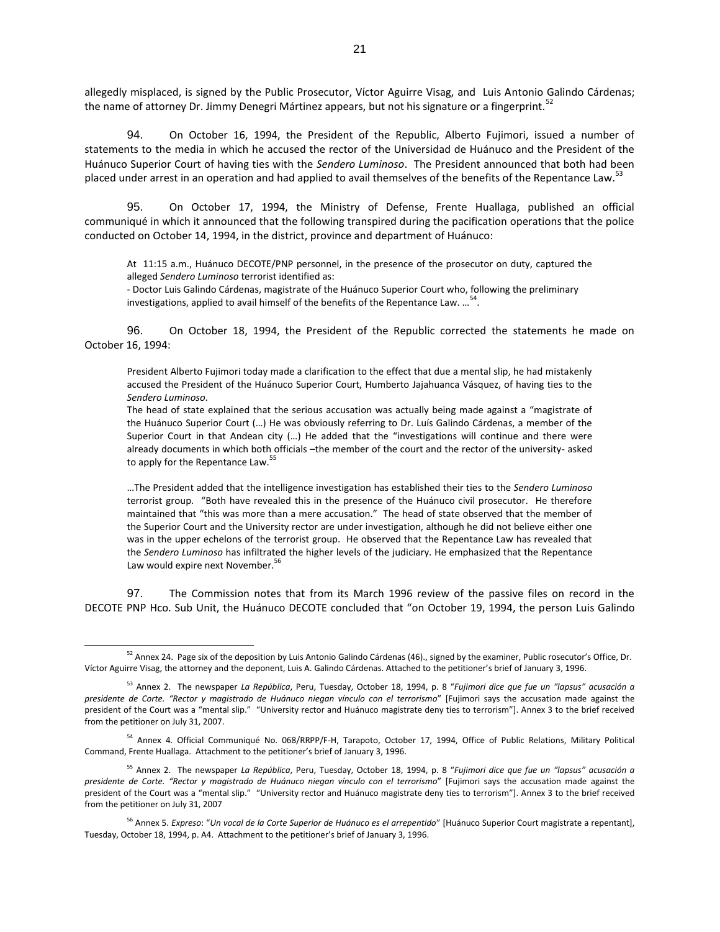allegedly misplaced, is signed by the Public Prosecutor, Víctor Aguirre Visag, and Luis Antonio Galindo Cárdenas; the name of attorney Dr. Jimmy Denegri Mártinez appears, but not his signature or a fingerprint.  $^{52}$ 

94. On October 16, 1994, the President of the Republic, Alberto Fujimori, issued a number of statements to the media in which he accused the rector of the Universidad de Huánuco and the President of the Huánuco Superior Court of having ties with the *Sendero Luminoso*. The President announced that both had been placed under arrest in an operation and had applied to avail themselves of the benefits of the Repentance Law.<sup>53</sup>

95. On October 17, 1994, the Ministry of Defense, Frente Huallaga, published an official communiqué in which it announced that the following transpired during the pacification operations that the police conducted on October 14, 1994, in the district, province and department of Huánuco:

At 11:15 a.m., Huánuco DECOTE/PNP personnel, in the presence of the prosecutor on duty, captured the alleged *Sendero Luminoso* terrorist identified as:

- Doctor Luis Galindo Cárdenas, magistrate of the Huánuco Superior Court who, following the preliminary investigations, applied to avail himself of the benefits of the Repentance Law. ...<sup>54</sup>.

96. On October 18, 1994, the President of the Republic corrected the statements he made on October 16, 1994:

President Alberto Fujimori today made a clarification to the effect that due a mental slip, he had mistakenly accused the President of the Huánuco Superior Court, Humberto Jajahuanca Vásquez, of having ties to the *Sendero Luminoso*.

The head of state explained that the serious accusation was actually being made against a "magistrate of the Huánuco Superior Court (…) He was obviously referring to Dr. Luís Galindo Cárdenas, a member of the Superior Court in that Andean city (…) He added that the "investigations will continue and there were already documents in which both officials –the member of the court and the rector of the university- asked to apply for the Repentance Law.<sup>55</sup>

…The President added that the intelligence investigation has established their ties to the *Sendero Luminoso* terrorist group. "Both have revealed this in the presence of the Huánuco civil prosecutor. He therefore maintained that "this was more than a mere accusation." The head of state observed that the member of the Superior Court and the University rector are under investigation, although he did not believe either one was in the upper echelons of the terrorist group. He observed that the Repentance Law has revealed that the *Sendero Luminoso* has infiltrated the higher levels of the judiciary. He emphasized that the Repentance Law would expire next November.<sup>5</sup>

97. The Commission notes that from its March 1996 review of the passive files on record in the DECOTE PNP Hco. Sub Unit, the Huánuco DECOTE concluded that "on October 19, 1994, the person Luis Galindo

 $52$  Annex 24. Page six of the deposition by Luis Antonio Galindo Cárdenas (46)., signed by the examiner, Public rosecutor's Office, Dr. Víctor Aguirre Visag, the attorney and the deponent, Luis A. Galindo Cárdenas. Attached to the petitioner's brief of January 3, 1996.

<sup>53</sup> Annex 2. The newspaper *La República*, Peru, Tuesday, October 18, 1994, p. 8 "*Fujimori dice que fue un "lapsus" acusación a presidente de Corte. "Rector y magistrado de Huánuco niegan vínculo con el terrorismo*" [Fujimori says the accusation made against the president of the Court was a "mental slip." "University rector and Huánuco magistrate deny ties to terrorism"]. Annex 3 to the brief received from the petitioner on July 31, 2007.

<sup>54</sup> Annex 4. Official Communiqué No. 068/RRPP/F-H, Tarapoto, October 17, 1994, Office of Public Relations, Military Political Command, Frente Huallaga. Attachment to the petitioner's brief of January 3, 1996.

<sup>55</sup> Annex 2. The newspaper *La República*, Peru, Tuesday, October 18, 1994, p. 8 "*Fujimori dice que fue un "lapsus" acusación a presidente de Corte. "Rector y magistrado de Huánuco niegan vínculo con el terrorismo*" [Fujimori says the accusation made against the president of the Court was a "mental slip." "University rector and Huánuco magistrate deny ties to terrorism"]. Annex 3 to the brief received from the petitioner on July 31, 2007

<sup>56</sup> Annex 5. *Expreso*: "*Un vocal de la Corte Superior de Huánuco es el arrepentido*" [Huánuco Superior Court magistrate a repentant], Tuesday, October 18, 1994, p. A4. Attachment to the petitioner's brief of January 3, 1996.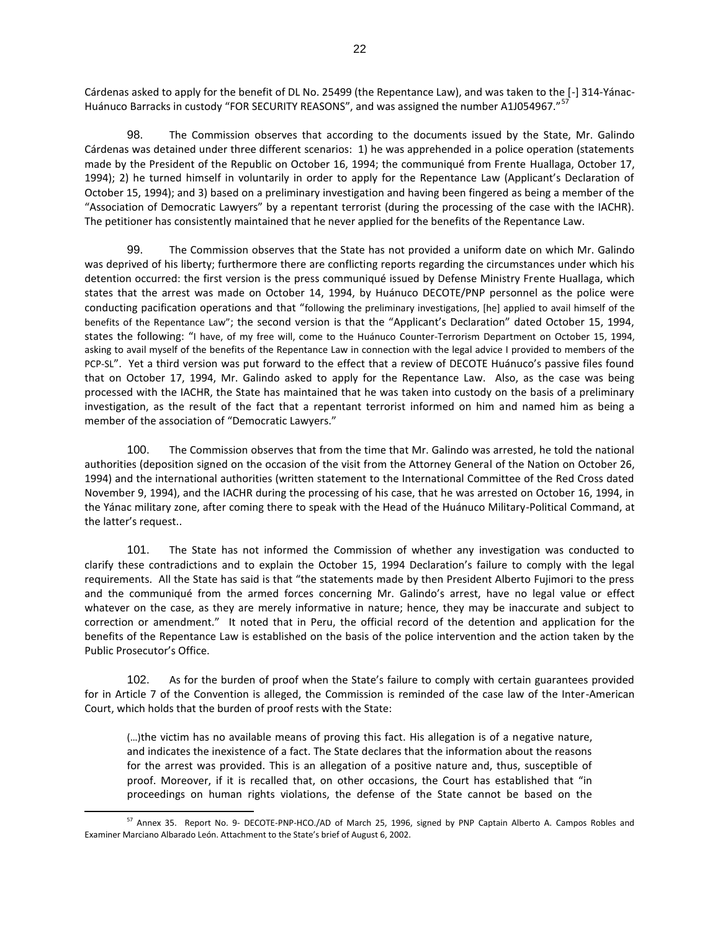Cárdenas asked to apply for the benefit of DL No. 25499 (the Repentance Law), and was taken to the [-] 314-Yánac-Huánuco Barracks in custody "FOR SECURITY REASONS", and was assigned the number A1J054967."<sup>5</sup>

98. The Commission observes that according to the documents issued by the State, Mr. Galindo Cárdenas was detained under three different scenarios: 1) he was apprehended in a police operation (statements made by the President of the Republic on October 16, 1994; the communiqué from Frente Huallaga, October 17, 1994); 2) he turned himself in voluntarily in order to apply for the Repentance Law (Applicant's Declaration of October 15, 1994); and 3) based on a preliminary investigation and having been fingered as being a member of the "Association of Democratic Lawyers" by a repentant terrorist (during the processing of the case with the IACHR). The petitioner has consistently maintained that he never applied for the benefits of the Repentance Law.

99. The Commission observes that the State has not provided a uniform date on which Mr. Galindo was deprived of his liberty; furthermore there are conflicting reports regarding the circumstances under which his detention occurred: the first version is the press communiqué issued by Defense Ministry Frente Huallaga, which states that the arrest was made on October 14, 1994, by Huánuco DECOTE/PNP personnel as the police were conducting pacification operations and that "following the preliminary investigations, [he] applied to avail himself of the benefits of the Repentance Law"; the second version is that the "Applicant's Declaration" dated October 15, 1994, states the following: "I have, of my free will, come to the Huánuco Counter-Terrorism Department on October 15, 1994, asking to avail myself of the benefits of the Repentance Law in connection with the legal advice I provided to members of the PCP-SL". Yet a third version was put forward to the effect that a review of DECOTE Huánuco's passive files found that on October 17, 1994, Mr. Galindo asked to apply for the Repentance Law. Also, as the case was being processed with the IACHR, the State has maintained that he was taken into custody on the basis of a preliminary investigation, as the result of the fact that a repentant terrorist informed on him and named him as being a member of the association of "Democratic Lawyers."

100. The Commission observes that from the time that Mr. Galindo was arrested, he told the national authorities (deposition signed on the occasion of the visit from the Attorney General of the Nation on October 26, 1994) and the international authorities (written statement to the International Committee of the Red Cross dated November 9, 1994), and the IACHR during the processing of his case, that he was arrested on October 16, 1994, in the Yánac military zone, after coming there to speak with the Head of the Huánuco Military-Political Command, at the latter's request..

101. The State has not informed the Commission of whether any investigation was conducted to clarify these contradictions and to explain the October 15, 1994 Declaration's failure to comply with the legal requirements. All the State has said is that "the statements made by then President Alberto Fujimori to the press and the communiqué from the armed forces concerning Mr. Galindo's arrest, have no legal value or effect whatever on the case, as they are merely informative in nature; hence, they may be inaccurate and subject to correction or amendment." It noted that in Peru, the official record of the detention and application for the benefits of the Repentance Law is established on the basis of the police intervention and the action taken by the Public Prosecutor's Office.

102. As for the burden of proof when the State's failure to comply with certain guarantees provided for in Article 7 of the Convention is alleged, the Commission is reminded of the case law of the Inter-American Court, which holds that the burden of proof rests with the State:

(…)the victim has no available means of proving this fact. His allegation is of a negative nature, and indicates the inexistence of a fact. The State declares that the information about the reasons for the arrest was provided. This is an allegation of a positive nature and, thus, susceptible of proof. Moreover, if it is recalled that, on other occasions, the Court has established that "in proceedings on human rights violations, the defense of the State cannot be based on the

 $\overline{a}$ <sup>57</sup> Annex 35. Report No. 9- DECOTE-PNP-HCO./AD of March 25, 1996, signed by PNP Captain Alberto A. Campos Robles and Examiner Marciano Albarado León. Attachment to the State's brief of August 6, 2002.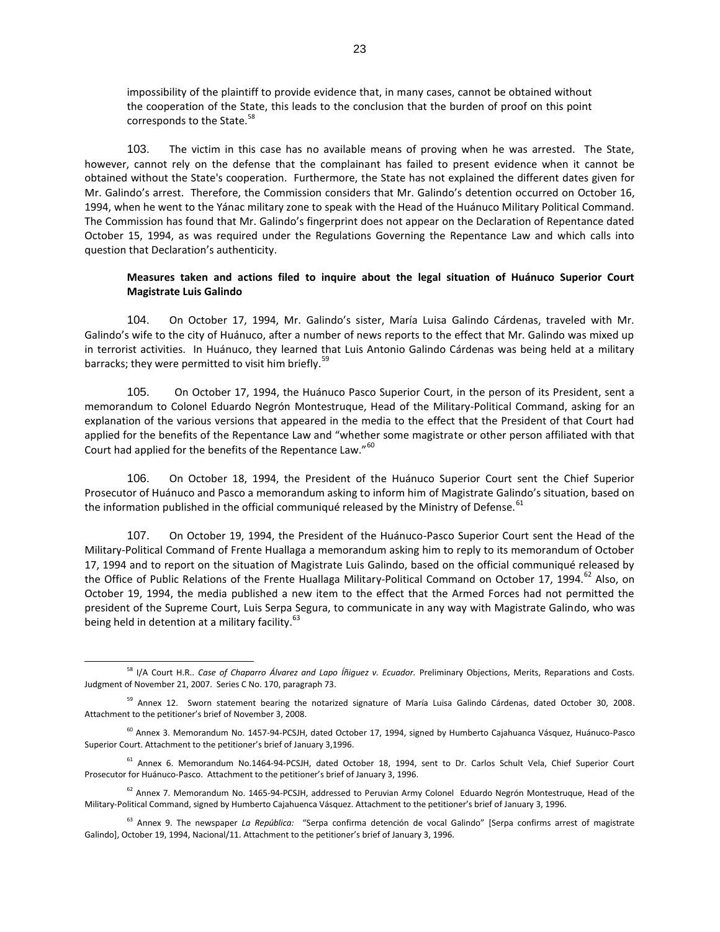impossibility of the plaintiff to provide evidence that, in many cases, cannot be obtained without the cooperation of the State, this leads to the conclusion that the burden of proof on this point corresponds to the State.<sup>58</sup>

103. The victim in this case has no available means of proving when he was arrested. The State, however, cannot rely on the defense that the complainant has failed to present evidence when it cannot be obtained without the State's cooperation. Furthermore, the State has not explained the different dates given for Mr. Galindo's arrest. Therefore, the Commission considers that Mr. Galindo's detention occurred on October 16, 1994, when he went to the Yánac military zone to speak with the Head of the Huánuco Military Political Command. The Commission has found that Mr. Galindo's fingerprint does not appear on the Declaration of Repentance dated October 15, 1994, as was required under the Regulations Governing the Repentance Law and which calls into question that Declaration's authenticity.

## **Measures taken and actions filed to inquire about the legal situation of Huánuco Superior Court Magistrate Luis Galindo**

104. On October 17, 1994, Mr. Galindo's sister, María Luisa Galindo Cárdenas, traveled with Mr. Galindo's wife to the city of Huánuco, after a number of news reports to the effect that Mr. Galindo was mixed up in terrorist activities. In Huánuco, they learned that Luis Antonio Galindo Cárdenas was being held at a military barracks; they were permitted to visit him briefly.<sup>59</sup>

105. On October 17, 1994, the Huánuco Pasco Superior Court, in the person of its President, sent a memorandum to Colonel Eduardo Negrón Montestruque, Head of the Military-Political Command, asking for an explanation of the various versions that appeared in the media to the effect that the President of that Court had applied for the benefits of the Repentance Law and "whether some magistrate or other person affiliated with that Court had applied for the benefits of the Repentance Law."<sup>60</sup>

106. On October 18, 1994, the President of the Huánuco Superior Court sent the Chief Superior Prosecutor of Huánuco and Pasco a memorandum asking to inform him of Magistrate Galindo's situation, based on the information published in the official communiqué released by the Ministry of Defense.<sup>61</sup>

107. On October 19, 1994, the President of the Huánuco-Pasco Superior Court sent the Head of the Military-Political Command of Frente Huallaga a memorandum asking him to reply to its memorandum of October 17, 1994 and to report on the situation of Magistrate Luis Galindo, based on the official communiqué released by the Office of Public Relations of the Frente Huallaga Military-Political Command on October 17, 1994.<sup>62</sup> Also, on October 19, 1994, the media published a new item to the effect that the Armed Forces had not permitted the president of the Supreme Court, Luis Serpa Segura, to communicate in any way with Magistrate Galindo, who was being held in detention at a military facility. $^{63}$ 

<sup>58</sup> I/A Court H.R.. *Case of Chaparro Álvarez and Lapo Íñiguez v. Ecuador.* Preliminary Objections, Merits, Reparations and Costs. Judgment of November 21, 2007. Series C No. 170, paragraph 73.

<sup>&</sup>lt;sup>59</sup> Annex 12. Sworn statement bearing the notarized signature of María Luisa Galindo Cárdenas, dated October 30, 2008. Attachment to the petitioner's brief of November 3, 2008.

<sup>&</sup>lt;sup>60</sup> Annex 3. Memorandum No. 1457-94-PCSJH, dated October 17, 1994, signed by Humberto Cajahuanca Vásquez, Huánuco-Pasco Superior Court. Attachment to the petitioner's brief of January 3,1996.

<sup>&</sup>lt;sup>61</sup> Annex 6. Memorandum No.1464-94-PCSJH, dated October 18, 1994, sent to Dr. Carlos Schult Vela, Chief Superior Court Prosecutor for Huánuco-Pasco. Attachment to the petitioner's brief of January 3, 1996.

 $62$  Annex 7. Memorandum No. 1465-94-PCSJH, addressed to Peruvian Army Colonel Eduardo Negrón Montestruque. Head of the Military-Political Command, signed by Humberto Cajahuenca Vásquez. Attachment to the petitioner's brief of January 3, 1996.

<sup>63</sup> Annex 9. The newspaper *La República:* "Serpa confirma detención de vocal Galindo" [Serpa confirms arrest of magistrate Galindo], October 19, 1994, Nacional/11. Attachment to the petitioner's brief of January 3, 1996.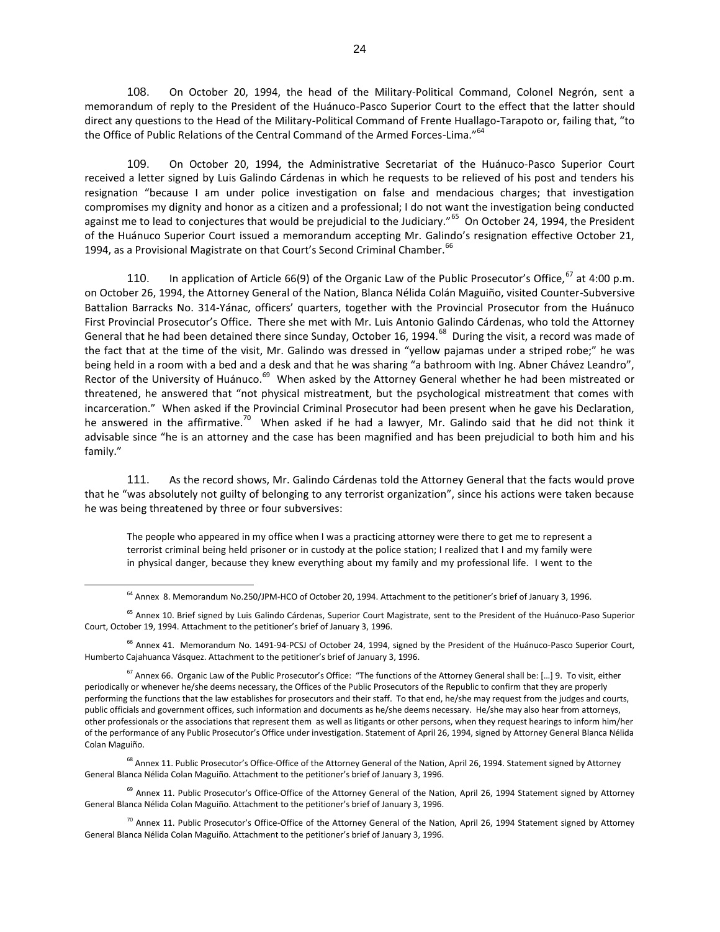108. On October 20, 1994, the head of the Military-Political Command, Colonel Negrón, sent a memorandum of reply to the President of the Huánuco-Pasco Superior Court to the effect that the latter should direct any questions to the Head of the Military-Political Command of Frente Huallago-Tarapoto or, failing that, "to the Office of Public Relations of the Central Command of the Armed Forces-Lima."<sup>64</sup>

109. On October 20, 1994, the Administrative Secretariat of the Huánuco-Pasco Superior Court received a letter signed by Luis Galindo Cárdenas in which he requests to be relieved of his post and tenders his resignation "because I am under police investigation on false and mendacious charges; that investigation compromises my dignity and honor as a citizen and a professional; I do not want the investigation being conducted against me to lead to conjectures that would be prejudicial to the Judiciary."<sup>65</sup> On October 24, 1994, the President of the Huánuco Superior Court issued a memorandum accepting Mr. Galindo's resignation effective October 21, 1994, as a Provisional Magistrate on that Court's Second Criminal Chamber.<sup>66</sup>

110. In application of Article 66(9) of the Organic Law of the Public Prosecutor's Office,  $67$  at 4:00 p.m. on October 26, 1994, the Attorney General of the Nation, Blanca Nélida Colán Maguiño, visited Counter-Subversive Battalion Barracks No. 314-Yánac, officers' quarters, together with the Provincial Prosecutor from the Huánuco First Provincial Prosecutor's Office. There she met with Mr. Luis Antonio Galindo Cárdenas, who told the Attorney General that he had been detained there since Sunday, October 16, 1994.<sup>68</sup> During the visit, a record was made of the fact that at the time of the visit, Mr. Galindo was dressed in "yellow pajamas under a striped robe;" he was being held in a room with a bed and a desk and that he was sharing "a bathroom with Ing. Abner Chávez Leandro", Rector of the University of Huánuco.<sup>69</sup> When asked by the Attorney General whether he had been mistreated or threatened, he answered that "not physical mistreatment, but the psychological mistreatment that comes with incarceration." When asked if the Provincial Criminal Prosecutor had been present when he gave his Declaration, he answered in the affirmative.<sup>70</sup> When asked if he had a lawyer, Mr. Galindo said that he did not think it advisable since "he is an attorney and the case has been magnified and has been prejudicial to both him and his family."

111. As the record shows, Mr. Galindo Cárdenas told the Attorney General that the facts would prove that he "was absolutely not guilty of belonging to any terrorist organization", since his actions were taken because he was being threatened by three or four subversives:

The people who appeared in my office when I was a practicing attorney were there to get me to represent a terrorist criminal being held prisoner or in custody at the police station; I realized that I and my family were in physical danger, because they knew everything about my family and my professional life. I went to the

<sup>68</sup> Annex 11. Public Prosecutor's Office-Office of the Attorney General of the Nation, April 26, 1994. Statement signed by Attorney General Blanca Nélida Colan Maguiño. Attachment to the petitioner's brief of January 3, 1996.

<sup>69</sup> Annex 11. Public Prosecutor's Office-Office of the Attorney General of the Nation, April 26, 1994 Statement signed by Attorney General Blanca Nélida Colan Maguiño. Attachment to the petitioner's brief of January 3, 1996.

<sup>70</sup> Annex 11. Public Prosecutor's Office-Office of the Attorney General of the Nation, April 26, 1994 Statement signed by Attorney General Blanca Nélida Colan Maguiño. Attachment to the petitioner's brief of January 3, 1996.

<sup>&</sup>lt;sup>64</sup> Annex 8. Memorandum No.250/JPM-HCO of October 20, 1994. Attachment to the petitioner's brief of January 3, 1996.

<sup>&</sup>lt;sup>65</sup> Annex 10. Brief signed by Luis Galindo Cárdenas, Superior Court Magistrate, sent to the President of the Huánuco-Paso Superior Court, October 19, 1994. Attachment to the petitioner's brief of January 3, 1996.

<sup>&</sup>lt;sup>66</sup> Annex 41. Memorandum No. 1491-94-PCSJ of October 24, 1994, signed by the President of the Huánuco-Pasco Superior Court, Humberto Cajahuanca Vásquez. Attachment to the petitioner's brief of January 3, 1996.

 $^{67}$  Annex 66. Organic Law of the Public Prosecutor's Office: "The functions of the Attorney General shall be: [...] 9. To visit, either periodically or whenever he/she deems necessary, the Offices of the Public Prosecutors of the Republic to confirm that they are properly performing the functions that the law establishes for prosecutors and their staff. To that end, he/she may request from the judges and courts, public officials and government offices, such information and documents as he/she deems necessary. He/she may also hear from attorneys, other professionals or the associations that represent them as well as litigants or other persons, when they request hearings to inform him/her of the performance of any Public Prosecutor's Office under investigation. Statement of April 26, 1994, signed by Attorney General Blanca Nélida Colan Maguiño.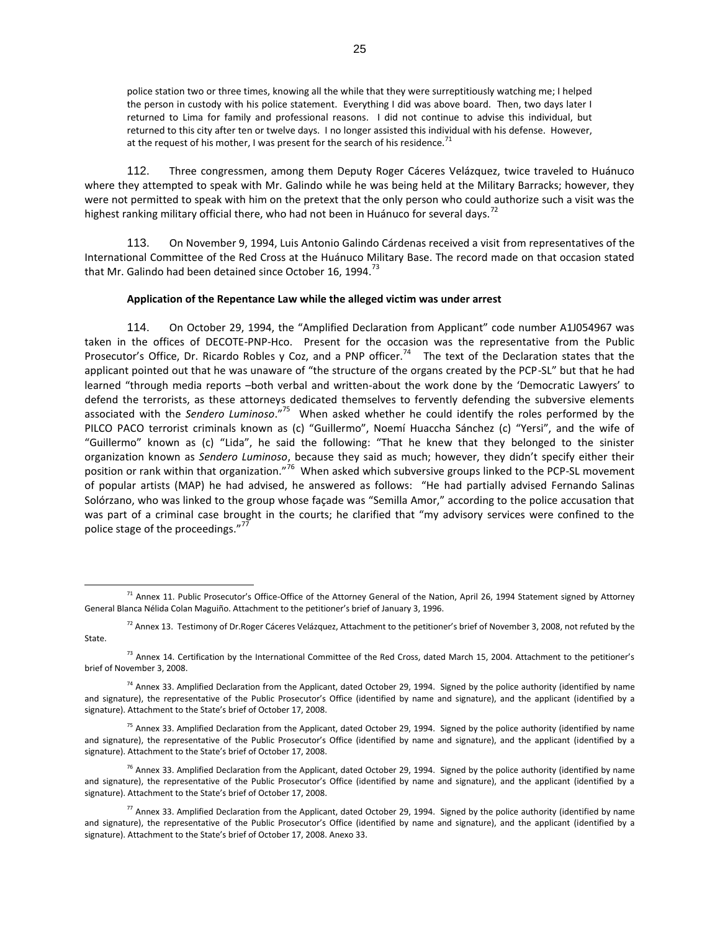police station two or three times, knowing all the while that they were surreptitiously watching me; I helped the person in custody with his police statement. Everything I did was above board. Then, two days later I returned to Lima for family and professional reasons. I did not continue to advise this individual, but returned to this city after ten or twelve days. I no longer assisted this individual with his defense. However, at the request of his mother, I was present for the search of his residence.<sup>71</sup>

112. Three congressmen, among them Deputy Roger Cáceres Velázquez, twice traveled to Huánuco where they attempted to speak with Mr. Galindo while he was being held at the Military Barracks; however, they were not permitted to speak with him on the pretext that the only person who could authorize such a visit was the highest ranking military official there, who had not been in Huánuco for several days.<sup>72</sup>

113. On November 9, 1994, Luis Antonio Galindo Cárdenas received a visit from representatives of the International Committee of the Red Cross at the Huánuco Military Base. The record made on that occasion stated that Mr. Galindo had been detained since October 16, 1994.<sup>73</sup>

### **Application of the Repentance Law while the alleged victim was under arrest**

114. On October 29, 1994, the "Amplified Declaration from Applicant" code number A1J054967 was taken in the offices of DECOTE-PNP-Hco. Present for the occasion was the representative from the Public Prosecutor's Office, Dr. Ricardo Robles y Coz, and a PNP officer.<sup>74</sup> The text of the Declaration states that the applicant pointed out that he was unaware of "the structure of the organs created by the PCP-SL" but that he had learned "through media reports –both verbal and written-about the work done by the 'Democratic Lawyers' to defend the terrorists, as these attorneys dedicated themselves to fervently defending the subversive elements associated with the *Sendero Luminoso*."<sup>75</sup> When asked whether he could identify the roles performed by the PILCO PACO terrorist criminals known as (c) "Guillermo", Noemí Huaccha Sánchez (c) "Yersi", and the wife of "Guillermo" known as (c) "Lida", he said the following: "That he knew that they belonged to the sinister organization known as *Sendero Luminoso*, because they said as much; however, they didn't specify either their position or rank within that organization."<sup>76</sup> When asked which subversive groups linked to the PCP-SL movement of popular artists (MAP) he had advised, he answered as follows: "He had partially advised Fernando Salinas Solórzano, who was linked to the group whose façade was "Semilla Amor," according to the police accusation that was part of a criminal case brought in the courts; he clarified that "my advisory services were confined to the police stage of the proceedings."<sup>77</sup>

<sup>&</sup>lt;sup>71</sup> Annex 11. Public Prosecutor's Office-Office of the Attorney General of the Nation, April 26, 1994 Statement signed by Attorney General Blanca Nélida Colan Maguiño. Attachment to the petitioner's brief of January 3, 1996.

 $^{72}$  Annex 13. Testimony of Dr.Roger Cáceres Velázquez, Attachment to the petitioner's brief of November 3, 2008, not refuted by the State.

 $73$  Annex 14. Certification by the International Committee of the Red Cross, dated March 15, 2004. Attachment to the petitioner's brief of November 3, 2008.

 $^{74}$  Annex 33. Amplified Declaration from the Applicant, dated October 29, 1994. Signed by the police authority (identified by name and signature), the representative of the Public Prosecutor's Office (identified by name and signature), and the applicant (identified by a signature). Attachment to the State's brief of October 17, 2008.

 $75$  Annex 33. Amplified Declaration from the Applicant, dated October 29, 1994. Signed by the police authority (identified by name and signature), the representative of the Public Prosecutor's Office (identified by name and signature), and the applicant (identified by a signature). Attachment to the State's brief of October 17, 2008.

 $^{76}$  Annex 33. Amplified Declaration from the Applicant, dated October 29, 1994. Signed by the police authority (identified by name and signature), the representative of the Public Prosecutor's Office (identified by name and signature), and the applicant (identified by a signature). Attachment to the State's brief of October 17, 2008.

 $^{77}$  Annex 33. Amplified Declaration from the Applicant, dated October 29, 1994. Signed by the police authority (identified by name and signature), the representative of the Public Prosecutor's Office (identified by name and signature), and the applicant (identified by a signature). Attachment to the State's brief of October 17, 2008. Anexo 33.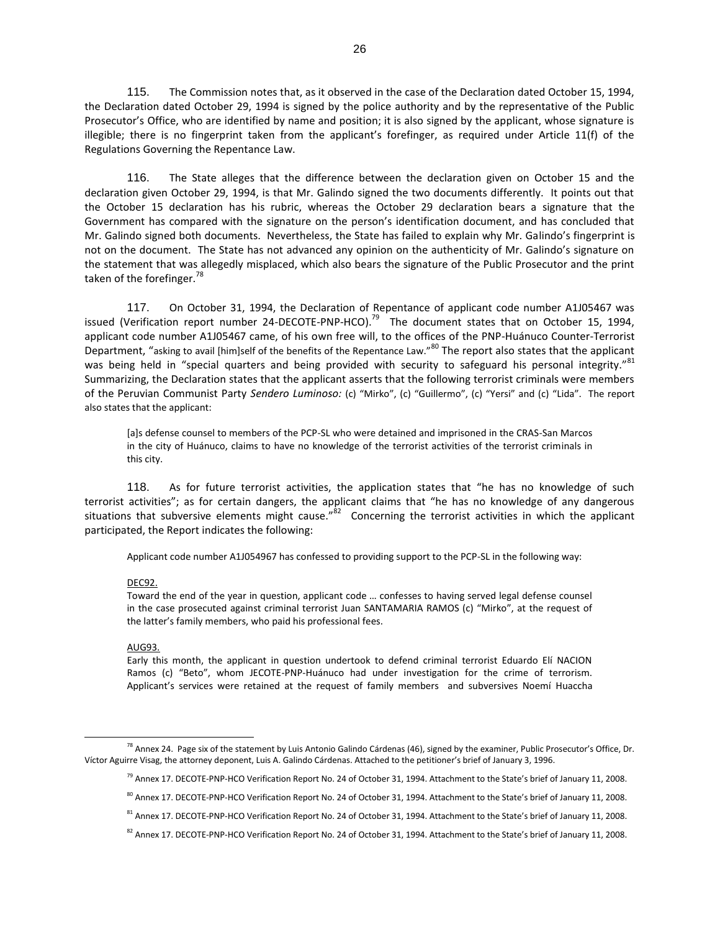115. The Commission notes that, as it observed in the case of the Declaration dated October 15, 1994, the Declaration dated October 29, 1994 is signed by the police authority and by the representative of the Public Prosecutor's Office, who are identified by name and position; it is also signed by the applicant, whose signature is illegible; there is no fingerprint taken from the applicant's forefinger, as required under Article 11(f) of the Regulations Governing the Repentance Law.

116. The State alleges that the difference between the declaration given on October 15 and the declaration given October 29, 1994, is that Mr. Galindo signed the two documents differently. It points out that the October 15 declaration has his rubric, whereas the October 29 declaration bears a signature that the Government has compared with the signature on the person's identification document, and has concluded that Mr. Galindo signed both documents. Nevertheless, the State has failed to explain why Mr. Galindo's fingerprint is not on the document. The State has not advanced any opinion on the authenticity of Mr. Galindo's signature on the statement that was allegedly misplaced, which also bears the signature of the Public Prosecutor and the print taken of the forefinger.<sup>78</sup>

117. On October 31, 1994, the Declaration of Repentance of applicant code number A1J05467 was issued (Verification report number 24-DECOTE-PNP-HCO).<sup>79</sup> The document states that on October 15, 1994, applicant code number A1J05467 came, of his own free will, to the offices of the PNP-Huánuco Counter-Terrorist Department, "asking to avail [him]self of the benefits of the Repentance Law."<sup>80</sup> The report also states that the applicant was being held in "special quarters and being provided with security to safeguard his personal integrity."<sup>81</sup> Summarizing, the Declaration states that the applicant asserts that the following terrorist criminals were members of the Peruvian Communist Party *Sendero Luminoso:* (c) "Mirko", (c) "Guillermo", (c) "Yersi" and (c) "Lida". The report also states that the applicant:

[a]s defense counsel to members of the PCP-SL who were detained and imprisoned in the CRAS-San Marcos in the city of Huánuco, claims to have no knowledge of the terrorist activities of the terrorist criminals in this city.

118. As for future terrorist activities, the application states that "he has no knowledge of such terrorist activities"; as for certain dangers, the applicant claims that "he has no knowledge of any dangerous situations that subversive elements might cause."<sup>82</sup> Concerning the terrorist activities in which the applicant participated, the Report indicates the following:

Applicant code number A1J054967 has confessed to providing support to the PCP-SL in the following way:

#### DEC92.

Toward the end of the year in question, applicant code … confesses to having served legal defense counsel in the case prosecuted against criminal terrorist Juan SANTAMARIA RAMOS (c) "Mirko", at the request of the latter's family members, who paid his professional fees.

#### AUG93.

Early this month, the applicant in question undertook to defend criminal terrorist Eduardo Elí NACION Ramos (c) "Beto", whom JECOTE-PNP-Huánuco had under investigation for the crime of terrorism. Applicant's services were retained at the request of family members and subversives Noemí Huaccha

 $^{78}$  Annex 24. Page six of the statement by Luis Antonio Galindo Cárdenas (46), signed by the examiner, Public Prosecutor's Office, Dr. Víctor Aguirre Visag, the attorney deponent, Luis A. Galindo Cárdenas. Attached to the petitioner's brief of January 3, 1996.

<sup>&</sup>lt;sup>79</sup> Annex 17. DECOTE-PNP-HCO Verification Report No. 24 of October 31, 1994. Attachment to the State's brief of January 11, 2008.

<sup>80</sup> Annex 17. DECOTE-PNP-HCO Verification Report No. 24 of October 31, 1994. Attachment to the State's brief of January 11, 2008.

<sup>&</sup>lt;sup>81</sup> Annex 17. DECOTE-PNP-HCO Verification Report No. 24 of October 31, 1994. Attachment to the State's brief of January 11, 2008.

<sup>82</sup> Annex 17. DECOTE-PNP-HCO Verification Report No. 24 of October 31, 1994. Attachment to the State's brief of January 11, 2008.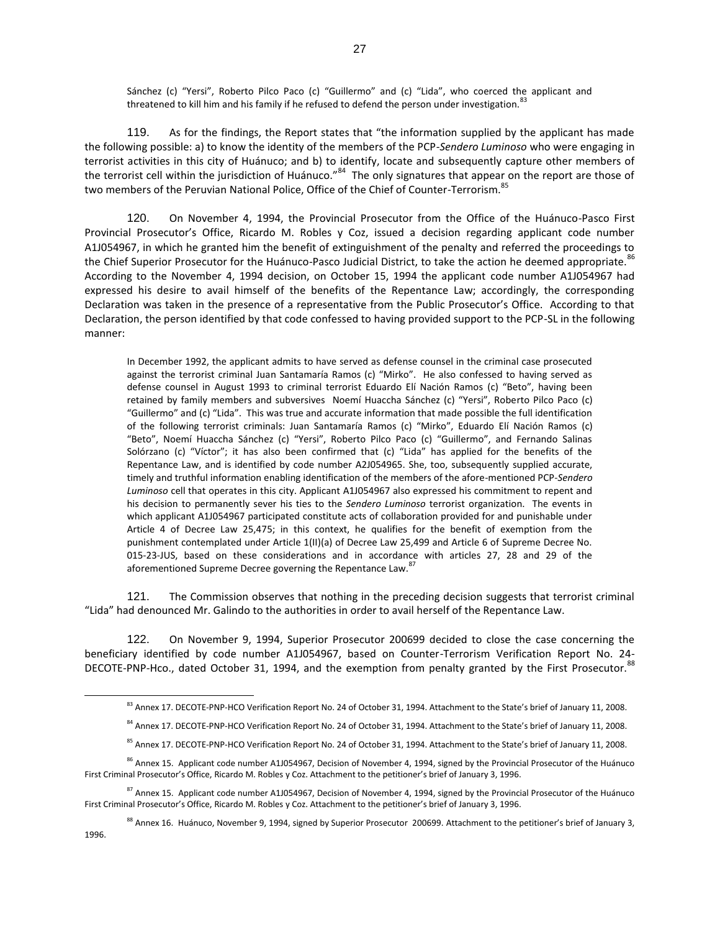Sánchez (c) "Yersi", Roberto Pilco Paco (c) "Guillermo" and (c) "Lida", who coerced the applicant and threatened to kill him and his family if he refused to defend the person under investigation.<sup>83</sup>

119. As for the findings, the Report states that "the information supplied by the applicant has made the following possible: a) to know the identity of the members of the PCP-*Sendero Luminoso* who were engaging in terrorist activities in this city of Huánuco; and b) to identify, locate and subsequently capture other members of the terrorist cell within the jurisdiction of Huánuco."<sup>84</sup> The only signatures that appear on the report are those of two members of the Peruvian National Police, Office of the Chief of Counter-Terrorism.<sup>85</sup>

120. On November 4, 1994, the Provincial Prosecutor from the Office of the Huánuco-Pasco First Provincial Prosecutor's Office, Ricardo M. Robles y Coz, issued a decision regarding applicant code number A1J054967, in which he granted him the benefit of extinguishment of the penalty and referred the proceedings to the Chief Superior Prosecutor for the Huánuco-Pasco Judicial District, to take the action he deemed appropriate.<sup>86</sup> According to the November 4, 1994 decision, on October 15, 1994 the applicant code number A1J054967 had expressed his desire to avail himself of the benefits of the Repentance Law; accordingly, the corresponding Declaration was taken in the presence of a representative from the Public Prosecutor's Office. According to that Declaration, the person identified by that code confessed to having provided support to the PCP-SL in the following manner:

In December 1992, the applicant admits to have served as defense counsel in the criminal case prosecuted against the terrorist criminal Juan Santamaría Ramos (c) "Mirko". He also confessed to having served as defense counsel in August 1993 to criminal terrorist Eduardo Elí Nación Ramos (c) "Beto", having been retained by family members and subversives Noemí Huaccha Sánchez (c) "Yersi", Roberto Pilco Paco (c) "Guillermo" and (c) "Lida". This was true and accurate information that made possible the full identification of the following terrorist criminals: Juan Santamaría Ramos (c) "Mirko", Eduardo Elí Nación Ramos (c) "Beto", Noemí Huaccha Sánchez (c) "Yersi", Roberto Pilco Paco (c) "Guillermo", and Fernando Salinas Solórzano (c) "Víctor"; it has also been confirmed that (c) "Lida" has applied for the benefits of the Repentance Law, and is identified by code number A2J054965. She, too, subsequently supplied accurate, timely and truthful information enabling identification of the members of the afore-mentioned PCP-*Sendero Luminoso* cell that operates in this city. Applicant A1J054967 also expressed his commitment to repent and his decision to permanently sever his ties to the *Sendero Luminoso* terrorist organization. The events in which applicant A1J054967 participated constitute acts of collaboration provided for and punishable under Article 4 of Decree Law 25,475; in this context, he qualifies for the benefit of exemption from the punishment contemplated under Article 1(II)(a) of Decree Law 25,499 and Article 6 of Supreme Decree No. 015-23-JUS, based on these considerations and in accordance with articles 27, 28 and 29 of the aforementioned Supreme Decree governing the Repentance Law.<sup>87</sup>

121. The Commission observes that nothing in the preceding decision suggests that terrorist criminal "Lida" had denounced Mr. Galindo to the authorities in order to avail herself of the Repentance Law.

122. On November 9, 1994, Superior Prosecutor 200699 decided to close the case concerning the beneficiary identified by code number A1J054967, based on Counter-Terrorism Verification Report No. 24- DECOTE-PNP-Hco., dated October 31, 1994, and the exemption from penalty granted by the First Prosecutor.<sup>88</sup>

<sup>83</sup> Annex 17. DECOTE-PNP-HCO Verification Report No. 24 of October 31, 1994. Attachment to the State's brief of January 11, 2008.

<sup>84</sup> Annex 17. DECOTE-PNP-HCO Verification Report No. 24 of October 31, 1994. Attachment to the State's brief of January 11, 2008.

<sup>&</sup>lt;sup>85</sup> Annex 17. DECOTE-PNP-HCO Verification Report No. 24 of October 31, 1994. Attachment to the State's brief of January 11, 2008.

<sup>&</sup>lt;sup>86</sup> Annex 15. Applicant code number A1J054967, Decision of November 4, 1994, signed by the Provincial Prosecutor of the Huánuco First Criminal Prosecutor's Office, Ricardo M. Robles y Coz. Attachment to the petitioner's brief of January 3, 1996.

 $87$  Annex 15. Applicant code number A1J054967, Decision of November 4, 1994, signed by the Provincial Prosecutor of the Huánuco First Criminal Prosecutor's Office, Ricardo M. Robles y Coz. Attachment to the petitioner's brief of January 3, 1996.

<sup>88</sup> Annex 16. Huánuco, November 9, 1994, signed by Superior Prosecutor 200699. Attachment to the petitioner's brief of January 3, 1996.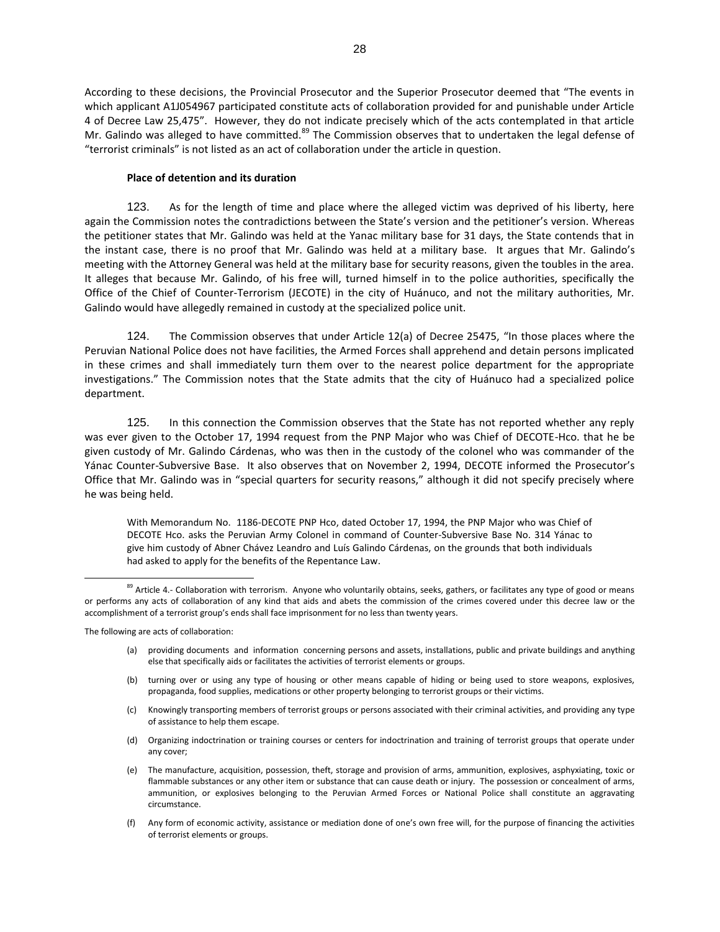According to these decisions, the Provincial Prosecutor and the Superior Prosecutor deemed that "The events in which applicant A1J054967 participated constitute acts of collaboration provided for and punishable under Article 4 of Decree Law 25,475". However, they do not indicate precisely which of the acts contemplated in that article Mr. Galindo was alleged to have committed.<sup>89</sup> The Commission observes that to undertaken the legal defense of "terrorist criminals" is not listed as an act of collaboration under the article in question.

#### **Place of detention and its duration**

123. As for the length of time and place where the alleged victim was deprived of his liberty, here again the Commission notes the contradictions between the State's version and the petitioner's version. Whereas the petitioner states that Mr. Galindo was held at the Yanac military base for 31 days, the State contends that in the instant case, there is no proof that Mr. Galindo was held at a military base. It argues that Mr. Galindo's meeting with the Attorney General was held at the military base for security reasons, given the toubles in the area. It alleges that because Mr. Galindo, of his free will, turned himself in to the police authorities, specifically the Office of the Chief of Counter-Terrorism (JECOTE) in the city of Huánuco, and not the military authorities, Mr. Galindo would have allegedly remained in custody at the specialized police unit.

124. The Commission observes that under Article 12(a) of Decree 25475, "In those places where the Peruvian National Police does not have facilities, the Armed Forces shall apprehend and detain persons implicated in these crimes and shall immediately turn them over to the nearest police department for the appropriate investigations." The Commission notes that the State admits that the city of Huánuco had a specialized police department.

125. In this connection the Commission observes that the State has not reported whether any reply was ever given to the October 17, 1994 request from the PNP Major who was Chief of DECOTE-Hco. that he be given custody of Mr. Galindo Cárdenas, who was then in the custody of the colonel who was commander of the Yánac Counter-Subversive Base. It also observes that on November 2, 1994, DECOTE informed the Prosecutor's Office that Mr. Galindo was in "special quarters for security reasons," although it did not specify precisely where he was being held.

With Memorandum No. 1186-DECOTE PNP Hco, dated October 17, 1994, the PNP Major who was Chief of DECOTE Hco. asks the Peruvian Army Colonel in command of Counter-Subversive Base No. 314 Yánac to give him custody of Abner Chávez Leandro and Luís Galindo Cárdenas, on the grounds that both individuals had asked to apply for the benefits of the Repentance Law.

The following are acts of collaboration:

- (a) providing documents and information concerning persons and assets, installations, public and private buildings and anything else that specifically aids or facilitates the activities of terrorist elements or groups.
- (b) turning over or using any type of housing or other means capable of hiding or being used to store weapons, explosives, propaganda, food supplies, medications or other property belonging to terrorist groups or their victims.
- (c) Knowingly transporting members of terrorist groups or persons associated with their criminal activities, and providing any type of assistance to help them escape.
- (d) Organizing indoctrination or training courses or centers for indoctrination and training of terrorist groups that operate under any cover;
- (e) The manufacture, acquisition, possession, theft, storage and provision of arms, ammunition, explosives, asphyxiating, toxic or flammable substances or any other item or substance that can cause death or injury. The possession or concealment of arms, ammunition, or explosives belonging to the Peruvian Armed Forces or National Police shall constitute an aggravating circumstance.
- (f) Any form of economic activity, assistance or mediation done of one's own free will, for the purpose of financing the activities of terrorist elements or groups.

<sup>&</sup>lt;sup>89</sup> Article 4.- Collaboration with terrorism. Anyone who voluntarily obtains, seeks, gathers, or facilitates any type of good or means or performs any acts of collaboration of any kind that aids and abets the commission of the crimes covered under this decree law or the accomplishment of a terrorist group's ends shall face imprisonment for no less than twenty years.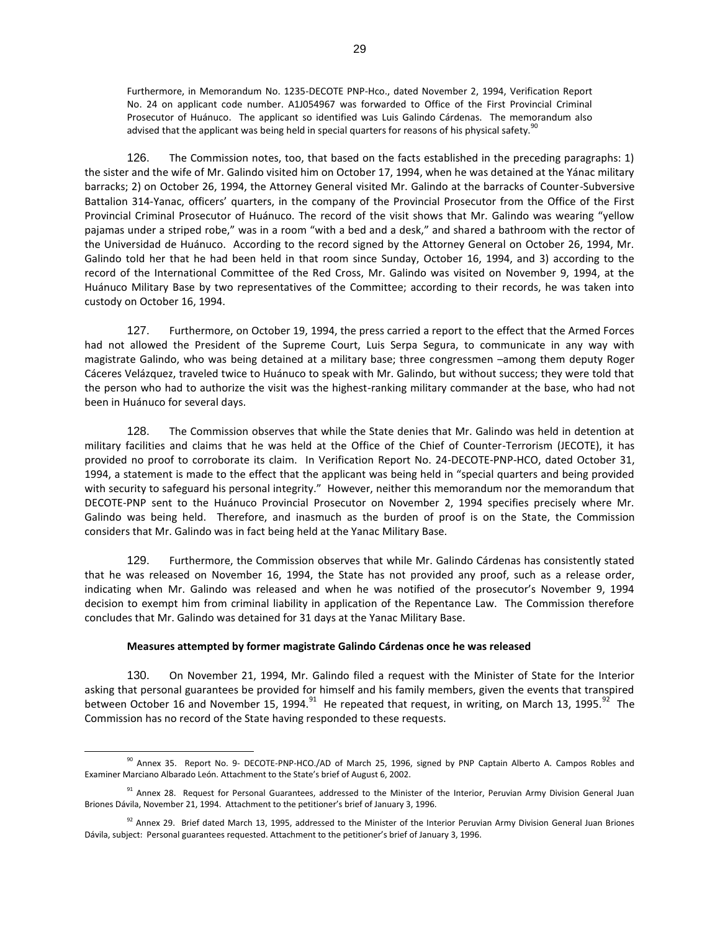Furthermore, in Memorandum No. 1235-DECOTE PNP-Hco., dated November 2, 1994, Verification Report No. 24 on applicant code number. A1J054967 was forwarded to Office of the First Provincial Criminal Prosecutor of Huánuco. The applicant so identified was Luis Galindo Cárdenas. The memorandum also advised that the applicant was being held in special quarters for reasons of his physical safety.<sup>90</sup>

126. The Commission notes, too, that based on the facts established in the preceding paragraphs: 1) the sister and the wife of Mr. Galindo visited him on October 17, 1994, when he was detained at the Yánac military barracks; 2) on October 26, 1994, the Attorney General visited Mr. Galindo at the barracks of Counter-Subversive Battalion 314-Yanac, officers' quarters, in the company of the Provincial Prosecutor from the Office of the First Provincial Criminal Prosecutor of Huánuco. The record of the visit shows that Mr. Galindo was wearing "yellow pajamas under a striped robe," was in a room "with a bed and a desk," and shared a bathroom with the rector of the Universidad de Huánuco. According to the record signed by the Attorney General on October 26, 1994, Mr. Galindo told her that he had been held in that room since Sunday, October 16, 1994, and 3) according to the record of the International Committee of the Red Cross, Mr. Galindo was visited on November 9, 1994, at the Huánuco Military Base by two representatives of the Committee; according to their records, he was taken into custody on October 16, 1994.

127. Furthermore, on October 19, 1994, the press carried a report to the effect that the Armed Forces had not allowed the President of the Supreme Court, Luis Serpa Segura, to communicate in any way with magistrate Galindo, who was being detained at a military base; three congressmen –among them deputy Roger Cáceres Velázquez, traveled twice to Huánuco to speak with Mr. Galindo, but without success; they were told that the person who had to authorize the visit was the highest-ranking military commander at the base, who had not been in Huánuco for several days.

128. The Commission observes that while the State denies that Mr. Galindo was held in detention at military facilities and claims that he was held at the Office of the Chief of Counter-Terrorism (JECOTE), it has provided no proof to corroborate its claim. In Verification Report No. 24-DECOTE-PNP-HCO, dated October 31, 1994, a statement is made to the effect that the applicant was being held in "special quarters and being provided with security to safeguard his personal integrity." However, neither this memorandum nor the memorandum that DECOTE-PNP sent to the Huánuco Provincial Prosecutor on November 2, 1994 specifies precisely where Mr. Galindo was being held. Therefore, and inasmuch as the burden of proof is on the State, the Commission considers that Mr. Galindo was in fact being held at the Yanac Military Base.

129. Furthermore, the Commission observes that while Mr. Galindo Cárdenas has consistently stated that he was released on November 16, 1994, the State has not provided any proof, such as a release order, indicating when Mr. Galindo was released and when he was notified of the prosecutor's November 9, 1994 decision to exempt him from criminal liability in application of the Repentance Law. The Commission therefore concludes that Mr. Galindo was detained for 31 days at the Yanac Military Base.

#### **Measures attempted by former magistrate Galindo Cárdenas once he was released**

130. On November 21, 1994, Mr. Galindo filed a request with the Minister of State for the Interior asking that personal guarantees be provided for himself and his family members, given the events that transpired between October 16 and November 15, 1994.<sup>91</sup> He repeated that request, in writing, on March 13, 1995.<sup>92</sup> The Commission has no record of the State having responded to these requests.

<sup>90</sup> Annex 35. Report No. 9- DECOTE-PNP-HCO./AD of March 25, 1996, signed by PNP Captain Alberto A. Campos Robles and Examiner Marciano Albarado León. Attachment to the State's brief of August 6, 2002.

<sup>91</sup> Annex 28. Request for Personal Guarantees, addressed to the Minister of the Interior, Peruvian Army Division General Juan Briones Dávila, November 21, 1994. Attachment to the petitioner's brief of January 3, 1996.

 $92$  Annex 29. Brief dated March 13, 1995, addressed to the Minister of the Interior Peruvian Army Division General Juan Briones Dávila, subject: Personal guarantees requested. Attachment to the petitioner's brief of January 3, 1996.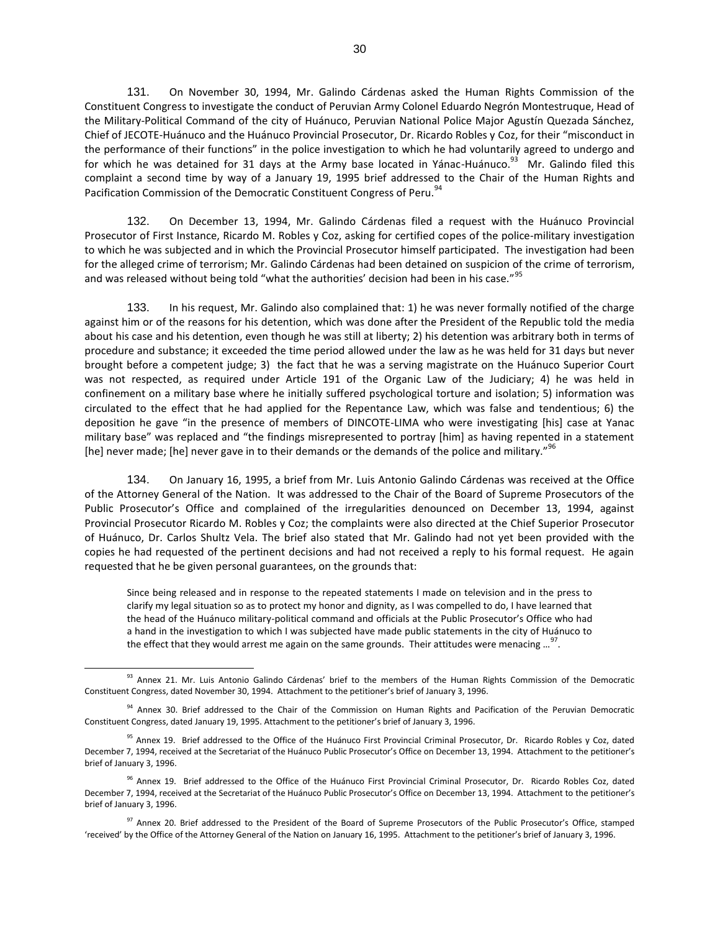131. On November 30, 1994, Mr. Galindo Cárdenas asked the Human Rights Commission of the Constituent Congress to investigate the conduct of Peruvian Army Colonel Eduardo Negrón Montestruque, Head of the Military-Political Command of the city of Huánuco, Peruvian National Police Major Agustín Quezada Sánchez, Chief of JECOTE-Huánuco and the Huánuco Provincial Prosecutor, Dr. Ricardo Robles y Coz, for their "misconduct in the performance of their functions" in the police investigation to which he had voluntarily agreed to undergo and for which he was detained for 31 days at the Army base located in Yánac-Huánuco.<sup>93</sup> Mr. Galindo filed this complaint a second time by way of a January 19, 1995 brief addressed to the Chair of the Human Rights and Pacification Commission of the Democratic Constituent Congress of Peru.<sup>94</sup>

132. On December 13, 1994, Mr. Galindo Cárdenas filed a request with the Huánuco Provincial Prosecutor of First Instance, Ricardo M. Robles y Coz, asking for certified copes of the police-military investigation to which he was subjected and in which the Provincial Prosecutor himself participated. The investigation had been for the alleged crime of terrorism; Mr. Galindo Cárdenas had been detained on suspicion of the crime of terrorism, and was released without being told "what the authorities' decision had been in his case."<sup>95</sup>

133. In his request, Mr. Galindo also complained that: 1) he was never formally notified of the charge against him or of the reasons for his detention, which was done after the President of the Republic told the media about his case and his detention, even though he was still at liberty; 2) his detention was arbitrary both in terms of procedure and substance; it exceeded the time period allowed under the law as he was held for 31 days but never brought before a competent judge; 3) the fact that he was a serving magistrate on the Huánuco Superior Court was not respected, as required under Article 191 of the Organic Law of the Judiciary; 4) he was held in confinement on a military base where he initially suffered psychological torture and isolation; 5) information was circulated to the effect that he had applied for the Repentance Law, which was false and tendentious; 6) the deposition he gave "in the presence of members of DINCOTE-LIMA who were investigating [his] case at Yanac military base" was replaced and "the findings misrepresented to portray [him] as having repented in a statement [he] never made; [he] never gave in to their demands or the demands of the police and military."<sup>96</sup>

134. On January 16, 1995, a brief from Mr. Luis Antonio Galindo Cárdenas was received at the Office of the Attorney General of the Nation. It was addressed to the Chair of the Board of Supreme Prosecutors of the Public Prosecutor's Office and complained of the irregularities denounced on December 13, 1994, against Provincial Prosecutor Ricardo M. Robles y Coz; the complaints were also directed at the Chief Superior Prosecutor of Huánuco, Dr. Carlos Shultz Vela. The brief also stated that Mr. Galindo had not yet been provided with the copies he had requested of the pertinent decisions and had not received a reply to his formal request. He again requested that he be given personal guarantees, on the grounds that:

Since being released and in response to the repeated statements I made on television and in the press to clarify my legal situation so as to protect my honor and dignity, as I was compelled to do, I have learned that the head of the Huánuco military-political command and officials at the Public Prosecutor's Office who had a hand in the investigation to which I was subjected have made public statements in the city of Huánuco to the effect that they would arrest me again on the same grounds. Their attitudes were menacing ...<sup>97</sup>.

<sup>93</sup> Annex 21. Mr. Luis Antonio Galindo Cárdenas' brief to the members of the Human Rights Commission of the Democratic Constituent Congress, dated November 30, 1994. Attachment to the petitioner's brief of January 3, 1996.

<sup>94</sup> Annex 30. Brief addressed to the Chair of the Commission on Human Rights and Pacification of the Peruvian Democratic Constituent Congress, dated January 19, 1995. Attachment to the petitioner's brief of January 3, 1996.

<sup>&</sup>lt;sup>95</sup> Annex 19. Brief addressed to the Office of the Huánuco First Provincial Criminal Prosecutor, Dr. Ricardo Robles y Coz, dated December 7, 1994, received at the Secretariat of the Huánuco Public Prosecutor's Office on December 13, 1994. Attachment to the petitioner's brief of January 3, 1996.

<sup>&</sup>lt;sup>96</sup> Annex 19. Brief addressed to the Office of the Huánuco First Provincial Criminal Prosecutor, Dr. Ricardo Robles Coz, dated December 7, 1994, received at the Secretariat of the Huánuco Public Prosecutor's Office on December 13, 1994. Attachment to the petitioner's brief of January 3, 1996.

<sup>&</sup>lt;sup>97</sup> Annex 20. Brief addressed to the President of the Board of Supreme Prosecutors of the Public Prosecutor's Office, stamped 'received' by the Office of the Attorney General of the Nation on January 16, 1995. Attachment to the petitioner's brief of January 3, 1996.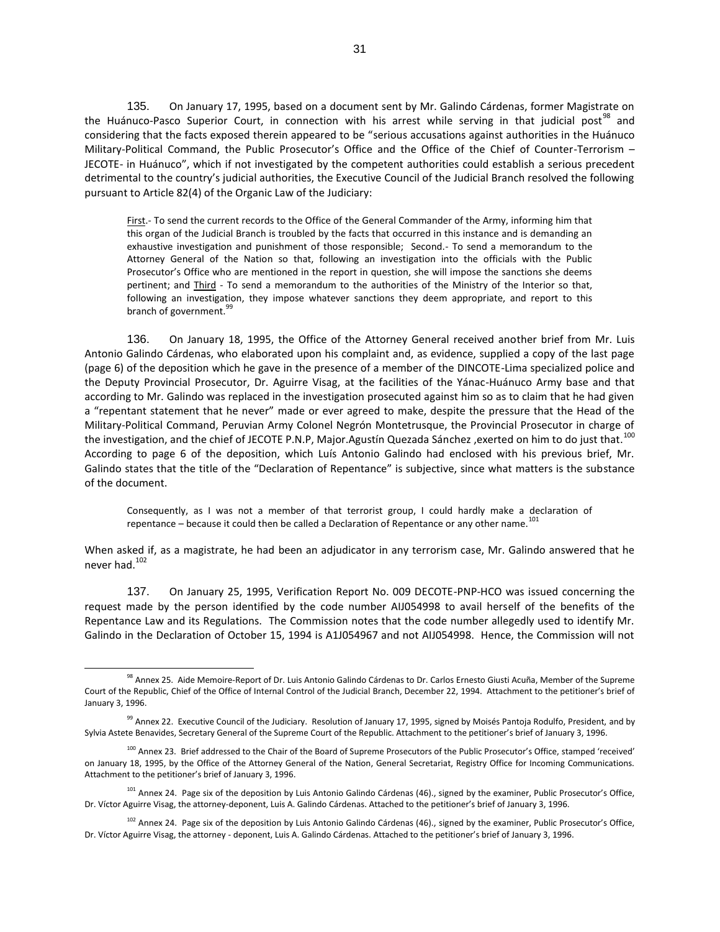135. On January 17, 1995, based on a document sent by Mr. Galindo Cárdenas, former Magistrate on the Huánuco-Pasco Superior Court, in connection with his arrest while serving in that judicial post<sup>98</sup> and considering that the facts exposed therein appeared to be "serious accusations against authorities in the Huánuco Military-Political Command, the Public Prosecutor's Office and the Office of the Chief of Counter-Terrorism – JECOTE- in Huánuco", which if not investigated by the competent authorities could establish a serious precedent detrimental to the country's judicial authorities, the Executive Council of the Judicial Branch resolved the following pursuant to Article 82(4) of the Organic Law of the Judiciary:

First.- To send the current records to the Office of the General Commander of the Army, informing him that this organ of the Judicial Branch is troubled by the facts that occurred in this instance and is demanding an exhaustive investigation and punishment of those responsible; Second.- To send a memorandum to the Attorney General of the Nation so that, following an investigation into the officials with the Public Prosecutor's Office who are mentioned in the report in question, she will impose the sanctions she deems pertinent; and *Third* - To send a memorandum to the authorities of the Ministry of the Interior so that, following an investigation, they impose whatever sanctions they deem appropriate, and report to this branch of government.<sup>99</sup>

136. On January 18, 1995, the Office of the Attorney General received another brief from Mr. Luis Antonio Galindo Cárdenas, who elaborated upon his complaint and, as evidence, supplied a copy of the last page (page 6) of the deposition which he gave in the presence of a member of the DINCOTE-Lima specialized police and the Deputy Provincial Prosecutor, Dr. Aguirre Visag, at the facilities of the Yánac-Huánuco Army base and that according to Mr. Galindo was replaced in the investigation prosecuted against him so as to claim that he had given a "repentant statement that he never" made or ever agreed to make, despite the pressure that the Head of the Military-Political Command, Peruvian Army Colonel Negrón Montetrusque, the Provincial Prosecutor in charge of the investigation, and the chief of JECOTE P.N.P, Major.Agustín Quezada Sánchez, exerted on him to do just that.<sup>100</sup> According to page 6 of the deposition, which Luís Antonio Galindo had enclosed with his previous brief, Mr. Galindo states that the title of the "Declaration of Repentance" is subjective, since what matters is the substance of the document.

Consequently, as I was not a member of that terrorist group, I could hardly make a declaration of repentance – because it could then be called a Declaration of Repentance or any other name.<sup>101</sup>

When asked if, as a magistrate, he had been an adjudicator in any terrorism case, Mr. Galindo answered that he never had.<sup>102</sup>

137. On January 25, 1995, Verification Report No. 009 DECOTE-PNP-HCO was issued concerning the request made by the person identified by the code number AIJ054998 to avail herself of the benefits of the Repentance Law and its Regulations. The Commission notes that the code number allegedly used to identify Mr. Galindo in the Declaration of October 15, 1994 is A1J054967 and not AIJ054998. Hence, the Commission will not

<sup>98</sup> Annex 25. Aide Memoire-Report of Dr. Luis Antonio Galindo Cárdenas to Dr. Carlos Ernesto Giusti Acuña, Member of the Supreme Court of the Republic, Chief of the Office of Internal Control of the Judicial Branch, December 22, 1994. Attachment to the petitioner's brief of January 3, 1996.

<sup>&</sup>lt;sup>99</sup> Annex 22. Executive Council of the Judiciary. Resolution of January 17, 1995, signed by Moisés Pantoja Rodulfo, President, and by Sylvia Astete Benavides, Secretary General of the Supreme Court of the Republic. Attachment to the petitioner's brief of January 3, 1996.

<sup>&</sup>lt;sup>100</sup> Annex 23. Brief addressed to the Chair of the Board of Supreme Prosecutors of the Public Prosecutor's Office, stamped 'received' on January 18, 1995, by the Office of the Attorney General of the Nation, General Secretariat, Registry Office for Incoming Communications. Attachment to the petitioner's brief of January 3, 1996.

<sup>&</sup>lt;sup>101</sup> Annex 24. Page six of the deposition by Luis Antonio Galindo Cárdenas (46)., signed by the examiner, Public Prosecutor's Office, Dr. Víctor Aguirre Visag, the attorney-deponent, Luis A. Galindo Cárdenas. Attached to the petitioner's brief of January 3, 1996.

<sup>&</sup>lt;sup>102</sup> Annex 24. Page six of the deposition by Luis Antonio Galindo Cárdenas (46)., signed by the examiner, Public Prosecutor's Office, Dr. Víctor Aguirre Visag, the attorney - deponent, Luis A. Galindo Cárdenas. Attached to the petitioner's brief of January 3, 1996.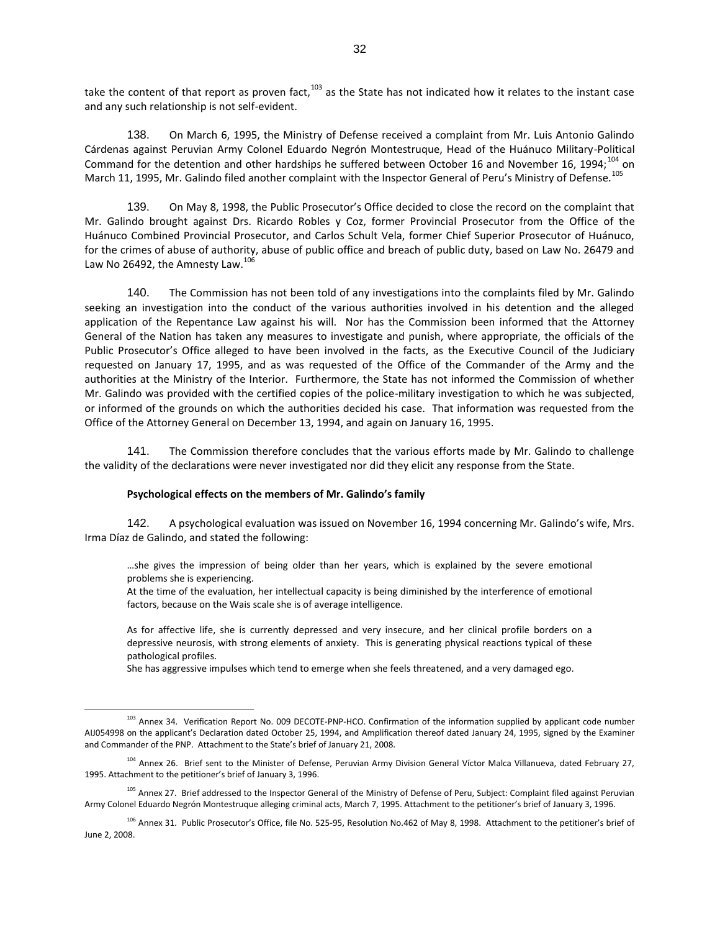take the content of that report as proven fact, $103$  as the State has not indicated how it relates to the instant case and any such relationship is not self-evident.

138. On March 6, 1995, the Ministry of Defense received a complaint from Mr. Luis Antonio Galindo Cárdenas against Peruvian Army Colonel Eduardo Negrón Montestruque, Head of the Huánuco Military-Political Command for the detention and other hardships he suffered between October 16 and November 16, 1994;<sup>104</sup> on March 11, 1995, Mr. Galindo filed another complaint with the Inspector General of Peru's Ministry of Defense.<sup>105</sup>

139. On May 8, 1998, the Public Prosecutor's Office decided to close the record on the complaint that Mr. Galindo brought against Drs. Ricardo Robles y Coz, former Provincial Prosecutor from the Office of the Huánuco Combined Provincial Prosecutor, and Carlos Schult Vela, former Chief Superior Prosecutor of Huánuco, for the crimes of abuse of authority, abuse of public office and breach of public duty, based on Law No. 26479 and Law No 26492, the Amnesty Law. $^{10}$ 

140. The Commission has not been told of any investigations into the complaints filed by Mr. Galindo seeking an investigation into the conduct of the various authorities involved in his detention and the alleged application of the Repentance Law against his will. Nor has the Commission been informed that the Attorney General of the Nation has taken any measures to investigate and punish, where appropriate, the officials of the Public Prosecutor's Office alleged to have been involved in the facts, as the Executive Council of the Judiciary requested on January 17, 1995, and as was requested of the Office of the Commander of the Army and the authorities at the Ministry of the Interior. Furthermore, the State has not informed the Commission of whether Mr. Galindo was provided with the certified copies of the police-military investigation to which he was subjected, or informed of the grounds on which the authorities decided his case. That information was requested from the Office of the Attorney General on December 13, 1994, and again on January 16, 1995.

141. The Commission therefore concludes that the various efforts made by Mr. Galindo to challenge the validity of the declarations were never investigated nor did they elicit any response from the State.

#### **Psychological effects on the members of Mr. Galindo's family**

142. A psychological evaluation was issued on November 16, 1994 concerning Mr. Galindo's wife, Mrs. Irma Díaz de Galindo, and stated the following:

…she gives the impression of being older than her years, which is explained by the severe emotional problems she is experiencing.

At the time of the evaluation, her intellectual capacity is being diminished by the interference of emotional factors, because on the Wais scale she is of average intelligence.

As for affective life, she is currently depressed and very insecure, and her clinical profile borders on a depressive neurosis, with strong elements of anxiety. This is generating physical reactions typical of these pathological profiles.

She has aggressive impulses which tend to emerge when she feels threatened, and a very damaged ego.

<sup>&</sup>lt;sup>103</sup> Annex 34. Verification Report No. 009 DECOTE-PNP-HCO. Confirmation of the information supplied by applicant code number AIJ054998 on the applicant's Declaration dated October 25, 1994, and Amplification thereof dated January 24, 1995, signed by the Examiner and Commander of the PNP. Attachment to the State's brief of January 21, 2008.

<sup>&</sup>lt;sup>104</sup> Annex 26. Brief sent to the Minister of Defense, Peruvian Army Division General Víctor Malca Villanueva, dated February 27, 1995. Attachment to the petitioner's brief of January 3, 1996.

<sup>&</sup>lt;sup>105</sup> Annex 27. Brief addressed to the Inspector General of the Ministry of Defense of Peru, Subject: Complaint filed against Peruvian Army Colonel Eduardo Negrón Montestruque alleging criminal acts, March 7, 1995. Attachment to the petitioner's brief of January 3, 1996.

<sup>106</sup> Annex 31. Public Prosecutor's Office, file No. 525-95, Resolution No.462 of May 8, 1998. Attachment to the petitioner's brief of June 2, 2008.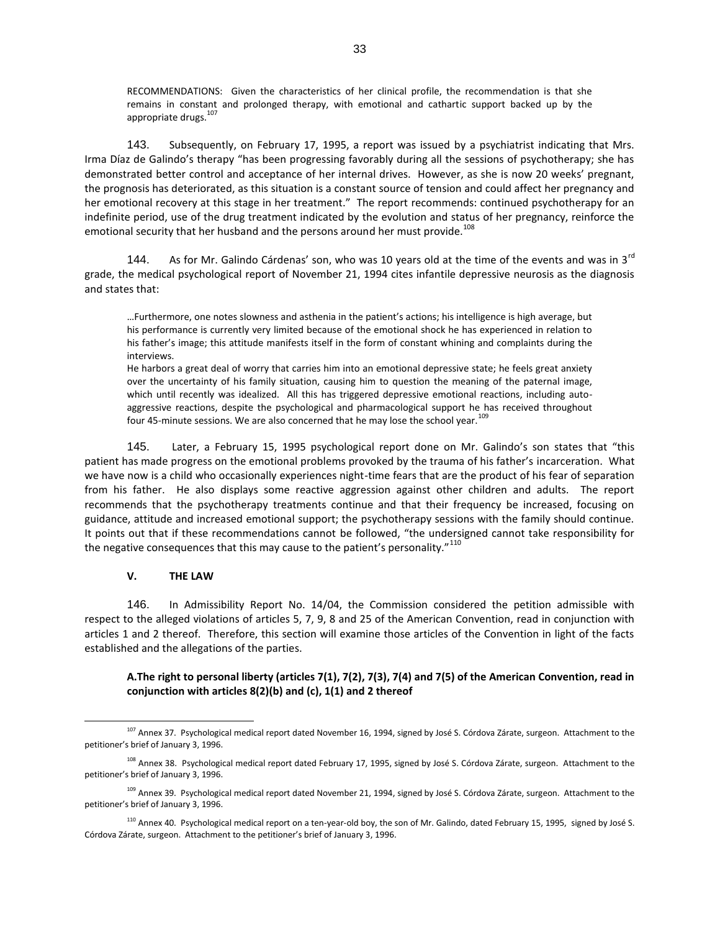RECOMMENDATIONS: Given the characteristics of her clinical profile, the recommendation is that she remains in constant and prolonged therapy, with emotional and cathartic support backed up by the appropriate drugs.<sup>107</sup>

143. Subsequently, on February 17, 1995, a report was issued by a psychiatrist indicating that Mrs. Irma Díaz de Galindo's therapy "has been progressing favorably during all the sessions of psychotherapy; she has demonstrated better control and acceptance of her internal drives. However, as she is now 20 weeks' pregnant, the prognosis has deteriorated, as this situation is a constant source of tension and could affect her pregnancy and her emotional recovery at this stage in her treatment." The report recommends: continued psychotherapy for an indefinite period, use of the drug treatment indicated by the evolution and status of her pregnancy, reinforce the emotional security that her husband and the persons around her must provide.<sup>108</sup>

144. As for Mr. Galindo Cárdenas' son, who was 10 years old at the time of the events and was in  $3^{rd}$ grade, the medical psychological report of November 21, 1994 cites infantile depressive neurosis as the diagnosis and states that:

…Furthermore, one notes slowness and asthenia in the patient's actions; his intelligence is high average, but his performance is currently very limited because of the emotional shock he has experienced in relation to his father's image; this attitude manifests itself in the form of constant whining and complaints during the interviews.

He harbors a great deal of worry that carries him into an emotional depressive state; he feels great anxiety over the uncertainty of his family situation, causing him to question the meaning of the paternal image, which until recently was idealized. All this has triggered depressive emotional reactions, including autoaggressive reactions, despite the psychological and pharmacological support he has received throughout four 45-minute sessions. We are also concerned that he may lose the school year.<sup>109</sup>

145. Later, a February 15, 1995 psychological report done on Mr. Galindo's son states that "this patient has made progress on the emotional problems provoked by the trauma of his father's incarceration. What we have now is a child who occasionally experiences night-time fears that are the product of his fear of separation from his father. He also displays some reactive aggression against other children and adults. The report recommends that the psychotherapy treatments continue and that their frequency be increased, focusing on guidance, attitude and increased emotional support; the psychotherapy sessions with the family should continue. It points out that if these recommendations cannot be followed, "the undersigned cannot take responsibility for the negative consequences that this may cause to the patient's personality."<sup>110</sup>

# **V. THE LAW**

 $\overline{a}$ 

146. In Admissibility Report No. 14/04, the Commission considered the petition admissible with respect to the alleged violations of articles 5, 7, 9, 8 and 25 of the American Convention, read in conjunction with articles 1 and 2 thereof. Therefore, this section will examine those articles of the Convention in light of the facts established and the allegations of the parties.

## **A.The right to personal liberty (articles 7(1), 7(2), 7(3), 7(4) and 7(5) of the American Convention, read in conjunction with articles 8(2)(b) and (c), 1(1) and 2 thereof**

<sup>&</sup>lt;sup>107</sup> Annex 37. Psychological medical report dated November 16, 1994, signed by José S. Córdova Zárate, surgeon. Attachment to the petitioner's brief of January 3, 1996.

<sup>&</sup>lt;sup>108</sup> Annex 38. Psychological medical report dated February 17, 1995, signed by José S. Córdova Zárate, surgeon. Attachment to the petitioner's brief of January 3, 1996.

<sup>&</sup>lt;sup>109</sup> Annex 39. Psychological medical report dated November 21, 1994, signed by José S. Córdova Zárate, surgeon. Attachment to the petitioner's brief of January 3, 1996.

 $110$  Annex 40. Psychological medical report on a ten-year-old boy, the son of Mr. Galindo, dated February 15, 1995, signed by José S. Córdova Zárate, surgeon. Attachment to the petitioner's brief of January 3, 1996.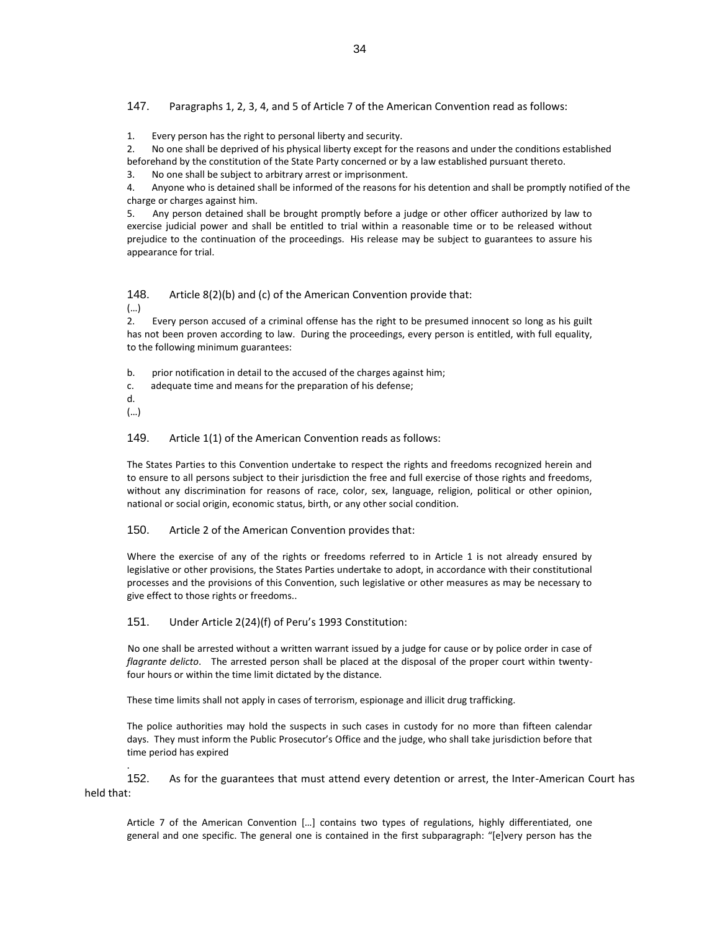147. Paragraphs 1, 2, 3, 4, and 5 of Article 7 of the American Convention read as follows:

1. Every person has the right to personal liberty and security.

2. No one shall be deprived of his physical liberty except for the reasons and under the conditions established beforehand by the constitution of the State Party concerned or by a law established pursuant thereto.

3. No one shall be subject to arbitrary arrest or imprisonment.

4. Anyone who is detained shall be informed of the reasons for his detention and shall be promptly notified of the charge or charges against him.

5. Any person detained shall be brought promptly before a judge or other officer authorized by law to exercise judicial power and shall be entitled to trial within a reasonable time or to be released without prejudice to the continuation of the proceedings. His release may be subject to guarantees to assure his appearance for trial.

148. Article 8(2)(b) and (c) of the American Convention provide that:

(…)

2. Every person accused of a criminal offense has the right to be presumed innocent so long as his guilt has not been proven according to law. During the proceedings, every person is entitled, with full equality, to the following minimum guarantees:

b. prior notification in detail to the accused of the charges against him;

- c. adequate time and means for the preparation of his defense;
- d.

.

(…)

149. Article 1(1) of the American Convention reads as follows:

The States Parties to this Convention undertake to respect the rights and freedoms recognized herein and to ensure to all persons subject to their jurisdiction the free and full exercise of those rights and freedoms, without any discrimination for reasons of race, color, sex, language, religion, political or other opinion, national or social origin, economic status, birth, or any other social condition.

150. Article 2 of the American Convention provides that:

Where the exercise of any of the rights or freedoms referred to in Article 1 is not already ensured by legislative or other provisions, the States Parties undertake to adopt, in accordance with their constitutional processes and the provisions of this Convention, such legislative or other measures as may be necessary to give effect to those rights or freedoms..

151. Under Article 2(24)(f) of Peru's 1993 Constitution:

No one shall be arrested without a written warrant issued by a judge for cause or by police order in case of *flagrante delicto*. The arrested person shall be placed at the disposal of the proper court within twentyfour hours or within the time limit dictated by the distance.

These time limits shall not apply in cases of terrorism, espionage and illicit drug trafficking.

The police authorities may hold the suspects in such cases in custody for no more than fifteen calendar days. They must inform the Public Prosecutor's Office and the judge, who shall take jurisdiction before that time period has expired

152. As for the guarantees that must attend every detention or arrest, the Inter-American Court has held that:

Article 7 of the American Convention […] contains two types of regulations, highly differentiated, one general and one specific. The general one is contained in the first subparagraph: "[e]very person has the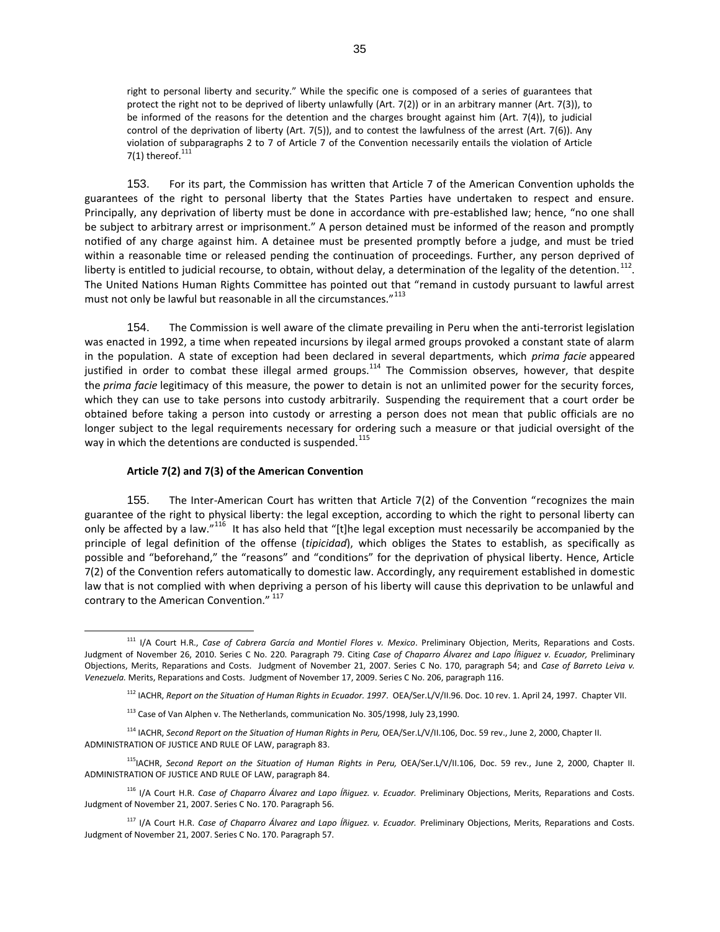right to personal liberty and security." While the specific one is composed of a series of guarantees that protect the right not to be deprived of liberty unlawfully (Art. 7(2)) or in an arbitrary manner (Art. 7(3)), to be informed of the reasons for the detention and the charges brought against him (Art. 7(4)), to judicial control of the deprivation of liberty (Art. 7(5)), and to contest the lawfulness of the arrest (Art. 7(6)). Any violation of subparagraphs 2 to 7 of Article 7 of the Convention necessarily entails the violation of Article 7(1) thereof. $^{111}$ 

153. For its part, the Commission has written that Article 7 of the American Convention upholds the guarantees of the right to personal liberty that the States Parties have undertaken to respect and ensure. Principally, any deprivation of liberty must be done in accordance with pre-established law; hence, "no one shall be subject to arbitrary arrest or imprisonment." A person detained must be informed of the reason and promptly notified of any charge against him. A detainee must be presented promptly before a judge, and must be tried within a reasonable time or released pending the continuation of proceedings. Further, any person deprived of liberty is entitled to judicial recourse, to obtain, without delay, a determination of the legality of the detention.  $^{112}$ . The United Nations Human Rights Committee has pointed out that "remand in custody pursuant to lawful arrest must not only be lawful but reasonable in all the circumstances."<sup>113</sup>

154. The Commission is well aware of the climate prevailing in Peru when the anti-terrorist legislation was enacted in 1992, a time when repeated incursions by ilegal armed groups provoked a constant state of alarm in the population. A state of exception had been declared in several departments, which *prima facie* appeared justified in order to combat these illegal armed groups.<sup>114</sup> The Commission observes, however, that despite the *prima facie* legitimacy of this measure, the power to detain is not an unlimited power for the security forces, which they can use to take persons into custody arbitrarily. Suspending the requirement that a court order be obtained before taking a person into custody or arresting a person does not mean that public officials are no longer subject to the legal requirements necessary for ordering such a measure or that judicial oversight of the way in which the detentions are conducted is suspended.<sup>115</sup>

#### **Article 7(2) and 7(3) of the American Convention**

155. The Inter-American Court has written that Article 7(2) of the Convention "recognizes the main guarantee of the right to physical liberty: the legal exception, according to which the right to personal liberty can only be affected by a law."<sup>116</sup> It has also held that "[t]he legal exception must necessarily be accompanied by the principle of legal definition of the offense (*tipicidad*), which obliges the States to establish, as specifically as possible and "beforehand," the "reasons" and "conditions" for the deprivation of physical liberty. Hence, Article 7(2) of the Convention refers automatically to domestic law. Accordingly, any requirement established in domestic law that is not complied with when depriving a person of his liberty will cause this deprivation to be unlawful and contrary to the American Convention." 117

<sup>111</sup> I/A Court H.R., *Case of Cabrera García and Montiel Flores v. Mexico*. Preliminary Objection, Merits, Reparations and Costs. Judgment of November 26, 2010. Series C No. 220. Paragraph 79. Citing *Case of Chaparro Álvarez and Lapo Íñiguez v. Ecuador,* Preliminary Objections, Merits, Reparations and Costs. Judgment of November 21, 2007. Series C No. 170, paragraph 54; and *Case of Barreto Leiva v. Venezuela.* Merits, Reparations and Costs. Judgment of November 17, 2009. Series C No. 206, paragraph 116.

<sup>112</sup> IACHR, *Report on the Situation of Human Rights in Ecuador. 1997*. OEA/Ser.L/V/II.96. Doc. 10 rev. 1. April 24, 1997. Chapter VII.

<sup>&</sup>lt;sup>113</sup> Case of Van Alphen v. The Netherlands, communication No. 305/1998, July 23,1990.

<sup>114</sup> IACHR, Second Report on the Situation of Human Rights in Peru, OEA/Ser.L/V/II.106, Doc. 59 rev., June 2, 2000, Chapter II. ADMINISTRATION OF JUSTICE AND RULE OF LAW, paragraph 83.

<sup>&</sup>lt;sup>115</sup>IACHR, Second Report on the Situation of Human Rights in Peru, OEA/Ser.L/V/II.106, Doc. 59 rev., June 2, 2000, Chapter II. ADMINISTRATION OF JUSTICE AND RULE OF LAW, paragraph 84.

<sup>116</sup> I/A Court H.R. *Case of Chaparro Álvarez and Lapo Íñiguez. v. Ecuador.* Preliminary Objections, Merits, Reparations and Costs. Judgment of November 21, 2007. Series C No. 170. Paragraph 56.

<sup>117</sup> I/A Court H.R. *Case of Chaparro Álvarez and Lapo Íñiguez. v. Ecuador.* Preliminary Objections, Merits, Reparations and Costs. Judgment of November 21, 2007. Series C No. 170. Paragraph 57.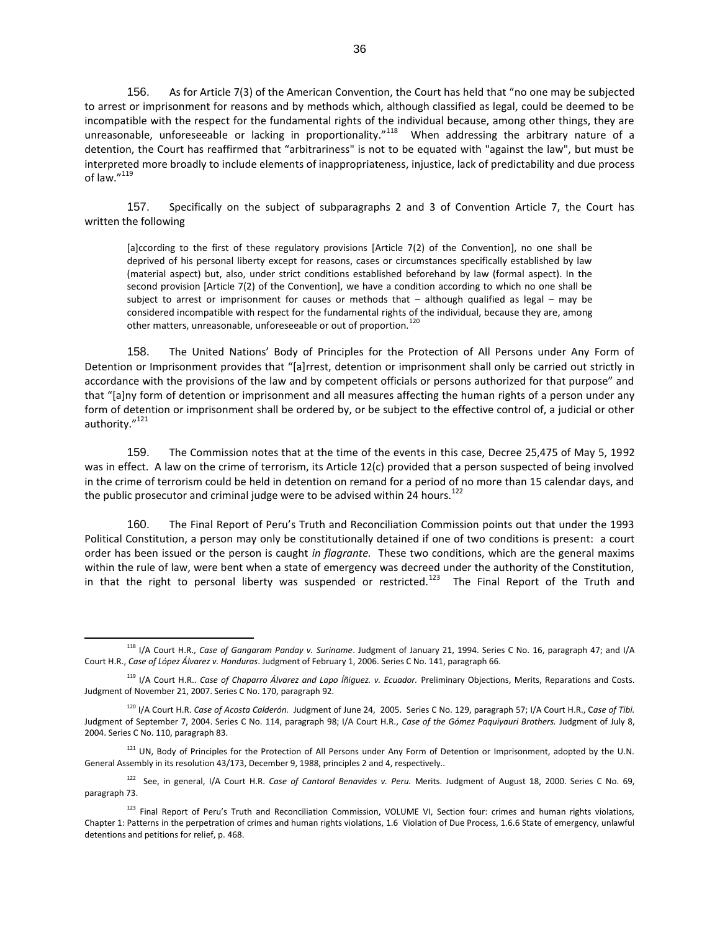156. As for Article 7(3) of the American Convention, the Court has held that "no one may be subjected to arrest or imprisonment for reasons and by methods which, although classified as legal, could be deemed to be incompatible with the respect for the fundamental rights of the individual because, among other things, they are unreasonable, unforeseeable or lacking in proportionality."<sup>118</sup> When addressing the arbitrary nature of a detention, the Court has reaffirmed that "arbitrariness" is not to be equated with "against the law", but must be interpreted more broadly to include elements of inappropriateness, injustice, lack of predictability and due process of law $^{\prime\prime}$ <sup>119</sup>

157. Specifically on the subject of subparagraphs 2 and 3 of Convention Article 7, the Court has written the following

[a]ccording to the first of these regulatory provisions [Article 7(2) of the Convention], no one shall be deprived of his personal liberty except for reasons, cases or circumstances specifically established by law (material aspect) but, also, under strict conditions established beforehand by law (formal aspect). In the second provision [Article 7(2) of the Convention], we have a condition according to which no one shall be subject to arrest or imprisonment for causes or methods that – although qualified as legal – may be considered incompatible with respect for the fundamental rights of the individual, because they are, among other matters, unreasonable, unforeseeable or out of proportion.<sup>120</sup>

158. The United Nations' Body of Principles for the Protection of All Persons under Any Form of Detention or Imprisonment provides that "[a]rrest, detention or imprisonment shall only be carried out strictly in accordance with the provisions of the law and by competent officials or persons authorized for that purpose" and that "[a]ny form of detention or imprisonment and all measures affecting the human rights of a person under any form of detention or imprisonment shall be ordered by, or be subject to the effective control of, a judicial or other authority."<sup>121</sup>

159. The Commission notes that at the time of the events in this case, Decree 25,475 of May 5, 1992 was in effect. A law on the crime of terrorism, its Article 12(c) provided that a person suspected of being involved in the crime of terrorism could be held in detention on remand for a period of no more than 15 calendar days, and the public prosecutor and criminal judge were to be advised within 24 hours.<sup>122</sup>

160. The Final Report of Peru's Truth and Reconciliation Commission points out that under the 1993 Political Constitution, a person may only be constitutionally detained if one of two conditions is present: a court order has been issued or the person is caught *in flagrante.* These two conditions, which are the general maxims within the rule of law, were bent when a state of emergency was decreed under the authority of the Constitution, in that the right to personal liberty was suspended or restricted.<sup>123</sup> The Final Report of the Truth and

<sup>118</sup> I/A Court H.R., *Case of Gangaram Panday v. Suriname*. Judgment of January 21, 1994. Series C No. 16, paragraph 47; and I/A Court H.R., *Case of López Álvarez v. Honduras*. Judgment of February 1, 2006. Series C No. 141, paragraph 66.

<sup>119</sup> I/A Court H.R.. *Case of Chaparro Álvarez and Lapo Íñiguez. v. Ecuador.* Preliminary Objections, Merits, Reparations and Costs. Judgment of November 21, 2007. Series C No. 170, paragraph 92.

<sup>120</sup> I/A Court H.R. *Case of Acosta Calderón.* Judgment of June 24, 2005. Series C No. 129, paragraph 57; I/A Court H.R., C*ase of Tibi.* Judgment of September 7, 2004. Series C No. 114, paragraph 98; I/A Court H.R., *Case of the Gómez Paquiyauri Brothers.* Judgment of July 8, 2004. Series C No. 110, paragraph 83.

<sup>&</sup>lt;sup>121</sup> UN, Body of Principles for the Protection of All Persons under Any Form of Detention or Imprisonment, adopted by the U.N. General Assembly in its resolution 43/173, December 9, 1988, principles 2 and 4, respectively..

<sup>122</sup> See, in general, I/A Court H.R. *Case of Cantoral Benavides v. Peru.* Merits. Judgment of August 18, 2000. Series C No. 69, paragraph 73.

<sup>&</sup>lt;sup>123</sup> Final Report of Peru's Truth and Reconciliation Commission, VOLUME VI, Section four: crimes and human rights violations, Chapter 1: Patterns in the perpetration of crimes and human rights violations, 1.6 Violation of Due Process, 1.6.6 State of emergency, unlawful detentions and petitions for relief, p. 468.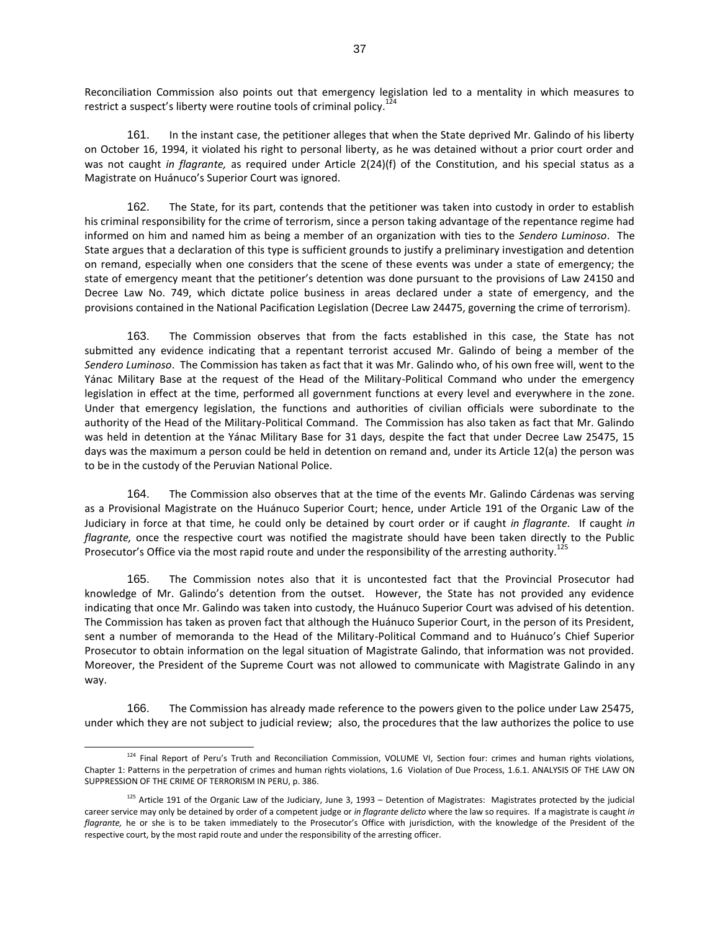Reconciliation Commission also points out that emergency legislation led to a mentality in which measures to restrict a suspect's liberty were routine tools of criminal policy.<sup>1</sup>

161. In the instant case, the petitioner alleges that when the State deprived Mr. Galindo of his liberty on October 16, 1994, it violated his right to personal liberty, as he was detained without a prior court order and was not caught *in flagrante,* as required under Article 2(24)(f) of the Constitution, and his special status as a Magistrate on Huánuco's Superior Court was ignored.

162. The State, for its part, contends that the petitioner was taken into custody in order to establish his criminal responsibility for the crime of terrorism, since a person taking advantage of the repentance regime had informed on him and named him as being a member of an organization with ties to the *Sendero Luminoso*. The State argues that a declaration of this type is sufficient grounds to justify a preliminary investigation and detention on remand, especially when one considers that the scene of these events was under a state of emergency; the state of emergency meant that the petitioner's detention was done pursuant to the provisions of Law 24150 and Decree Law No. 749, which dictate police business in areas declared under a state of emergency, and the provisions contained in the National Pacification Legislation (Decree Law 24475, governing the crime of terrorism).

163. The Commission observes that from the facts established in this case, the State has not submitted any evidence indicating that a repentant terrorist accused Mr. Galindo of being a member of the *Sendero Luminoso*. The Commission has taken as fact that it was Mr. Galindo who, of his own free will, went to the Yánac Military Base at the request of the Head of the Military-Political Command who under the emergency legislation in effect at the time, performed all government functions at every level and everywhere in the zone. Under that emergency legislation, the functions and authorities of civilian officials were subordinate to the authority of the Head of the Military-Political Command. The Commission has also taken as fact that Mr. Galindo was held in detention at the Yánac Military Base for 31 days, despite the fact that under Decree Law 25475, 15 days was the maximum a person could be held in detention on remand and, under its Article 12(a) the person was to be in the custody of the Peruvian National Police.

164. The Commission also observes that at the time of the events Mr. Galindo Cárdenas was serving as a Provisional Magistrate on the Huánuco Superior Court; hence, under Article 191 of the Organic Law of the Judiciary in force at that time, he could only be detained by court order or if caught *in flagrante.* If caught *in flagrante,* once the respective court was notified the magistrate should have been taken directly to the Public Prosecutor's Office via the most rapid route and under the responsibility of the arresting authority.<sup>125</sup>

165. The Commission notes also that it is uncontested fact that the Provincial Prosecutor had knowledge of Mr. Galindo's detention from the outset. However, the State has not provided any evidence indicating that once Mr. Galindo was taken into custody, the Huánuco Superior Court was advised of his detention. The Commission has taken as proven fact that although the Huánuco Superior Court, in the person of its President, sent a number of memoranda to the Head of the Military-Political Command and to Huánuco's Chief Superior Prosecutor to obtain information on the legal situation of Magistrate Galindo, that information was not provided. Moreover, the President of the Supreme Court was not allowed to communicate with Magistrate Galindo in any way.

166. The Commission has already made reference to the powers given to the police under Law 25475, under which they are not subject to judicial review; also, the procedures that the law authorizes the police to use

 $\overline{a}$ 

<sup>&</sup>lt;sup>124</sup> Final Report of Peru's Truth and Reconciliation Commission, VOLUME VI, Section four: crimes and human rights violations, Chapter 1: Patterns in the perpetration of crimes and human rights violations, 1.6 Violation of Due Process, 1.6.1. ANALYSIS OF THE LAW ON SUPPRESSION OF THE CRIME OF TERRORISM IN PERU, p. 386.

<sup>&</sup>lt;sup>125</sup> Article 191 of the Organic Law of the Judiciary, June 3, 1993 – Detention of Magistrates: Magistrates protected by the judicial career service may only be detained by order of a competent judge or *in flagrante delicto* where the law so requires. If a magistrate is caught *in flagrante,* he or she is to be taken immediately to the Prosecutor's Office with jurisdiction, with the knowledge of the President of the respective court, by the most rapid route and under the responsibility of the arresting officer.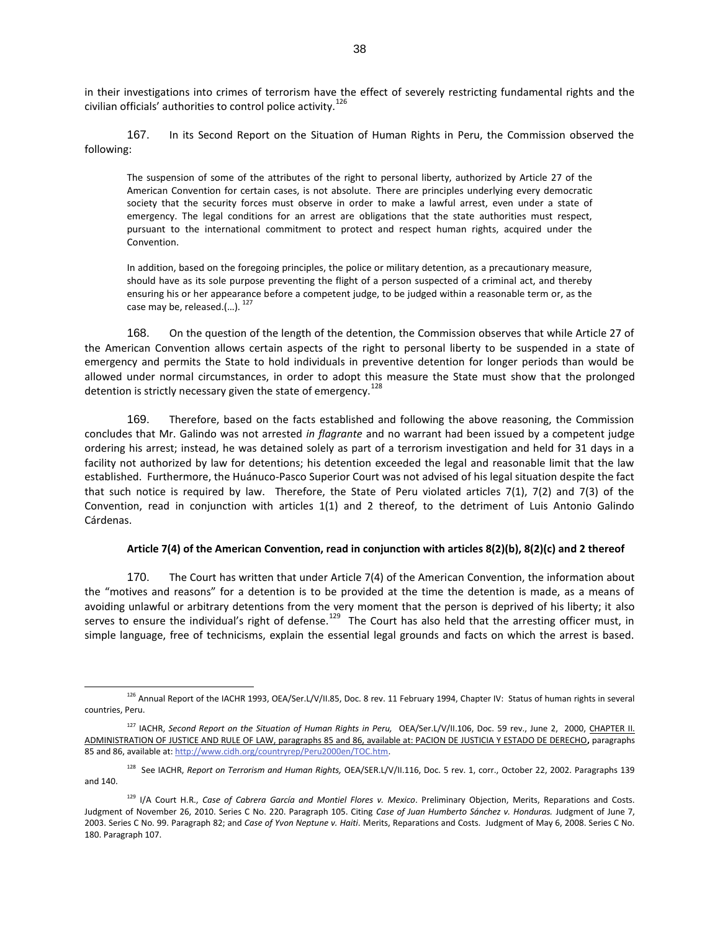in their investigations into crimes of terrorism have the effect of severely restricting fundamental rights and the civilian officials' authorities to control police activity.<sup>126</sup>

167. In its Second Report on the Situation of Human Rights in Peru, the Commission observed the following:

The suspension of some of the attributes of the right to personal liberty, authorized by Article 27 of the American Convention for certain cases, is not absolute. There are principles underlying every democratic society that the security forces must observe in order to make a lawful arrest, even under a state of emergency. The legal conditions for an arrest are obligations that the state authorities must respect, pursuant to the international commitment to protect and respect human rights, acquired under the Convention.

In addition, based on the foregoing principles, the police or military detention, as a precautionary measure, should have as its sole purpose preventing the flight of a person suspected of a criminal act, and thereby ensuring his or her appearance before a competent judge, to be judged within a reasonable term or, as the case may be, released.(…)*.* 127

168. On the question of the length of the detention, the Commission observes that while Article 27 of the American Convention allows certain aspects of the right to personal liberty to be suspended in a state of emergency and permits the State to hold individuals in preventive detention for longer periods than would be allowed under normal circumstances, in order to adopt this measure the State must show that the prolonged detention is strictly necessary given the state of emergency.<sup>128</sup>

169. Therefore, based on the facts established and following the above reasoning, the Commission concludes that Mr. Galindo was not arrested *in flagrante* and no warrant had been issued by a competent judge ordering his arrest; instead, he was detained solely as part of a terrorism investigation and held for 31 days in a facility not authorized by law for detentions; his detention exceeded the legal and reasonable limit that the law established. Furthermore, the Huánuco-Pasco Superior Court was not advised of his legal situation despite the fact that such notice is required by law. Therefore, the State of Peru violated articles 7(1), 7(2) and 7(3) of the Convention, read in conjunction with articles 1(1) and 2 thereof, to the detriment of Luis Antonio Galindo Cárdenas.

#### **Article 7(4) of the American Convention, read in conjunction with articles 8(2)(b), 8(2)(c) and 2 thereof**

170. The Court has written that under Article 7(4) of the American Convention, the information about the "motives and reasons" for a detention is to be provided at the time the detention is made, as a means of avoiding unlawful or arbitrary detentions from the very moment that the person is deprived of his liberty; it also serves to ensure the individual's right of defense.<sup>129</sup> The Court has also held that the arresting officer must, in simple language, free of technicisms, explain the essential legal grounds and facts on which the arrest is based.

<sup>&</sup>lt;sup>126</sup> Annual Report of the IACHR 1993, OEA/Ser.L/V/II.85, Doc. 8 rev. 11 February 1994, Chapter IV: Status of human rights in several countries, Peru.

<sup>&</sup>lt;sup>127</sup> IACHR, Second Report on the Situation of Human Rights in Peru, OEA/Ser.L/V/II.106, Doc. 59 rev., June 2, 2000, CHAPTER II. [ADMINISTRATION OF JUSTICE AND RULE OF LAW, paragraphs 85 and 86, available at: PACION DE JUSTICIA Y ESTADO DE DERECHO](http://www.cidh.oas.org/countryrep/Peru2000sp/capitulo2.htm)**,** paragraphs 85 and 86, available at[: http://www.cidh.org/countryrep/Peru2000en/TOC.htm.](http://www.cidh.org/countryrep/Peru2000en/TOC.htm)

<sup>128</sup> See IACHR, *Report on Terrorism and Human Rights,* OEA/SER.L/V/II.116, Doc. 5 rev. 1, corr., October 22, 2002. Paragraphs 139 and 140.

<sup>129</sup> I/A Court H.R., *Case of Cabrera García and Montiel Flores v. Mexico*. Preliminary Objection, Merits, Reparations and Costs. Judgment of November 26, 2010. Series C No. 220. Paragraph 105. Citing *Case of Juan Humberto Sánchez v. Honduras.* Judgment of June 7, 2003. Series C No. 99. Paragraph 82; and *Case of Yvon Neptune v. Haiti*. Merits, Reparations and Costs. Judgment of May 6, 2008. Series C No. 180. Paragraph 107.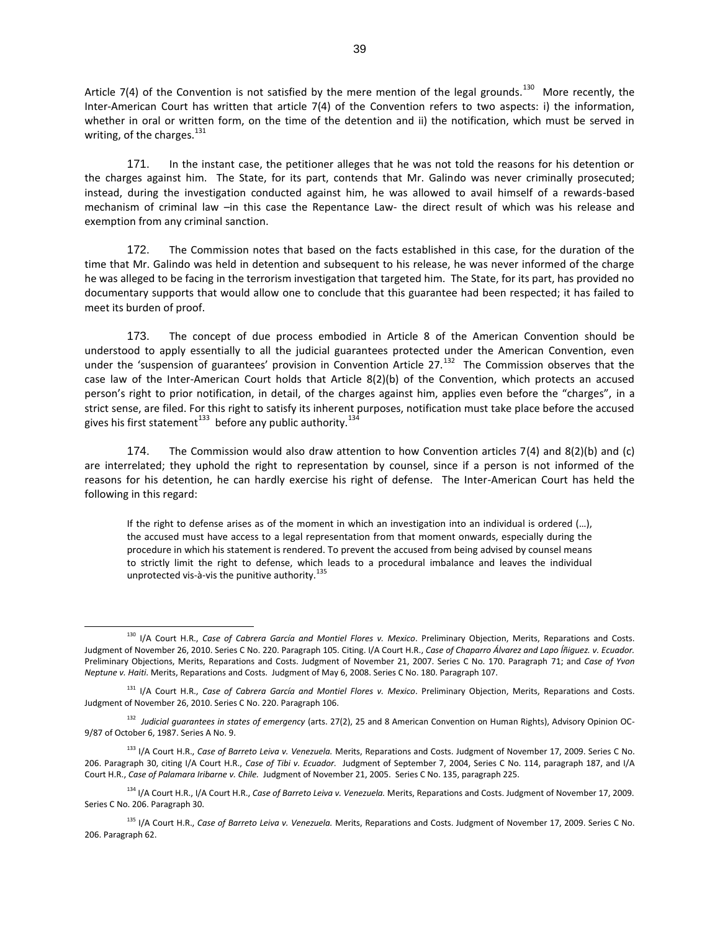Article 7(4) of the Convention is not satisfied by the mere mention of the legal grounds.<sup>130</sup> More recently, the Inter-American Court has written that article 7(4) of the Convention refers to two aspects: i) the information, whether in oral or written form, on the time of the detention and ii) the notification, which must be served in writing, of the charges. $^{131}$ 

171. In the instant case, the petitioner alleges that he was not told the reasons for his detention or the charges against him. The State, for its part, contends that Mr. Galindo was never criminally prosecuted; instead, during the investigation conducted against him, he was allowed to avail himself of a rewards-based mechanism of criminal law –in this case the Repentance Law- the direct result of which was his release and exemption from any criminal sanction.

172. The Commission notes that based on the facts established in this case, for the duration of the time that Mr. Galindo was held in detention and subsequent to his release, he was never informed of the charge he was alleged to be facing in the terrorism investigation that targeted him. The State, for its part, has provided no documentary supports that would allow one to conclude that this guarantee had been respected; it has failed to meet its burden of proof.

173. The concept of due process embodied in Article 8 of the American Convention should be understood to apply essentially to all the judicial guarantees protected under the American Convention, even under the 'suspension of guarantees' provision in Convention Article 27.<sup>132</sup> The Commission observes that the case law of the Inter-American Court holds that Article 8(2)(b) of the Convention, which protects an accused person's right to prior notification, in detail, of the charges against him, applies even before the "charges", in a strict sense, are filed. For this right to satisfy its inherent purposes, notification must take place before the accused gives his first statement<sup>133</sup> before any public authority.<sup>134</sup>

174. The Commission would also draw attention to how Convention articles 7(4) and 8(2)(b) and (c) are interrelated; they uphold the right to representation by counsel, since if a person is not informed of the reasons for his detention, he can hardly exercise his right of defense. The Inter-American Court has held the following in this regard:

If the right to defense arises as of the moment in which an investigation into an individual is ordered (…), the accused must have access to a legal representation from that moment onwards, especially during the procedure in which his statement is rendered. To prevent the accused from being advised by counsel means to strictly limit the right to defense, which leads to a procedural imbalance and leaves the individual unprotected vis-à-vis the punitive authority.<sup>135</sup>

<sup>130</sup> I/A Court H.R., *Case of Cabrera García and Montiel Flores v. Mexico*. Preliminary Objection, Merits, Reparations and Costs. Judgment of November 26, 2010. Series C No. 220. Paragraph 105. Citing. I/A Court H.R., *Case of Chaparro Álvarez and Lapo Íñiguez. v. Ecuador.* Preliminary Objections, Merits, Reparations and Costs. Judgment of November 21, 2007. Series C No. 170. Paragraph 71; and *Case of Yvon Neptune v. Haiti*. Merits, Reparations and Costs. Judgment of May 6, 2008. Series C No. 180. Paragraph 107.

<sup>131</sup> I/A Court H.R., *Case of Cabrera García and Montiel Flores v. Mexico*. Preliminary Objection, Merits, Reparations and Costs. Judgment of November 26, 2010. Series C No. 220. Paragraph 106.

<sup>132</sup> *Judicial guarantees in states of emergency* (arts. 27(2), 25 and 8 American Convention on Human Rights), Advisory Opinion OC-9/87 of October 6, 1987. Series A No. 9.

<sup>133</sup> I/A Court H.R., *Case of Barreto Leiva v. Venezuela.* Merits, Reparations and Costs. Judgment of November 17, 2009. Series C No. 206. Paragraph 30, citing I/A Court H.R., *Case of Tibi v. Ecuador.* Judgment of September 7, 2004, Series C No. 114, paragraph 187, and I/A Court H.R., *Case of Palamara Iribarne v. Chile.* Judgment of November 21, 2005. Series C No. 135, paragraph 225.

<sup>134</sup> I/A Court H.R., I/A Court H.R., *Case of Barreto Leiva v. Venezuela.* Merits, Reparations and Costs. Judgment of November 17, 2009. Series C No. 206. Paragraph 30.

<sup>135</sup> I/A Court H.R., *Case of Barreto Leiva v. Venezuela.* Merits, Reparations and Costs. Judgment of November 17, 2009. Series C No. 206. Paragraph 62.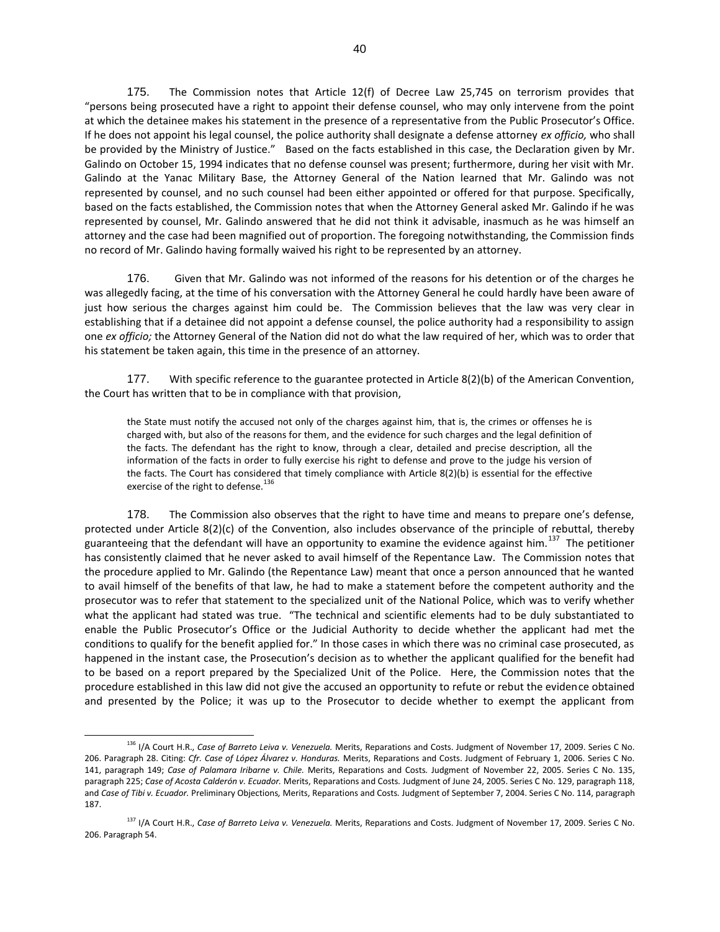175. The Commission notes that Article 12(f) of Decree Law 25,745 on terrorism provides that "persons being prosecuted have a right to appoint their defense counsel, who may only intervene from the point at which the detainee makes his statement in the presence of a representative from the Public Prosecutor's Office. If he does not appoint his legal counsel, the police authority shall designate a defense attorney *ex officio,* who shall be provided by the Ministry of Justice." Based on the facts established in this case, the Declaration given by Mr. Galindo on October 15, 1994 indicates that no defense counsel was present; furthermore, during her visit with Mr. Galindo at the Yanac Military Base, the Attorney General of the Nation learned that Mr. Galindo was not represented by counsel, and no such counsel had been either appointed or offered for that purpose. Specifically, based on the facts established, the Commission notes that when the Attorney General asked Mr. Galindo if he was represented by counsel, Mr. Galindo answered that he did not think it advisable, inasmuch as he was himself an attorney and the case had been magnified out of proportion. The foregoing notwithstanding, the Commission finds no record of Mr. Galindo having formally waived his right to be represented by an attorney.

176. Given that Mr. Galindo was not informed of the reasons for his detention or of the charges he was allegedly facing, at the time of his conversation with the Attorney General he could hardly have been aware of just how serious the charges against him could be. The Commission believes that the law was very clear in establishing that if a detainee did not appoint a defense counsel, the police authority had a responsibility to assign one *ex officio;* the Attorney General of the Nation did not do what the law required of her, which was to order that his statement be taken again, this time in the presence of an attorney.

177. With specific reference to the guarantee protected in Article 8(2)(b) of the American Convention, the Court has written that to be in compliance with that provision,

the State must notify the accused not only of the charges against him, that is, the crimes or offenses he is charged with, but also of the reasons for them, and the evidence for such charges and the legal definition of the facts. The defendant has the right to know, through a clear, detailed and precise description, all the information of the facts in order to fully exercise his right to defense and prove to the judge his version of the facts. The Court has considered that timely compliance with Article 8(2)(b) is essential for the effective exercise of the right to defense.<sup>136</sup>

178. The Commission also observes that the right to have time and means to prepare one's defense, protected under Article 8(2)(c) of the Convention, also includes observance of the principle of rebuttal, thereby guaranteeing that the defendant will have an opportunity to examine the evidence against him.<sup>137</sup> The petitioner has consistently claimed that he never asked to avail himself of the Repentance Law. The Commission notes that the procedure applied to Mr. Galindo (the Repentance Law) meant that once a person announced that he wanted to avail himself of the benefits of that law, he had to make a statement before the competent authority and the prosecutor was to refer that statement to the specialized unit of the National Police, which was to verify whether what the applicant had stated was true. "The technical and scientific elements had to be duly substantiated to enable the Public Prosecutor's Office or the Judicial Authority to decide whether the applicant had met the conditions to qualify for the benefit applied for." In those cases in which there was no criminal case prosecuted, as happened in the instant case, the Prosecution's decision as to whether the applicant qualified for the benefit had to be based on a report prepared by the Specialized Unit of the Police. Here, the Commission notes that the procedure established in this law did not give the accused an opportunity to refute or rebut the evidence obtained and presented by the Police; it was up to the Prosecutor to decide whether to exempt the applicant from

 $\overline{a}$ 

<sup>136</sup> I/A Court H.R., *Case of Barreto Leiva v. Venezuela.* Merits, Reparations and Costs. Judgment of November 17, 2009. Series C No. 206. Paragraph 28. Citing: *Cfr. Case of López Álvarez v. Honduras.* Merits, Reparations and Costs. Judgment of February 1, 2006. Series C No. 141, paragraph 149; *Case of Palamara Iribarne v. Chile.* Merits, Reparations and Costs*.* Judgment of November 22, 2005. Series C No. 135, paragraph 225; *Case of Acosta Calderón v. Ecuador.* Merits, Reparations and Costs*.* Judgment of June 24, 2005. Series C No. 129, paragraph 118, and *Case of Tibi v. Ecuador.* Preliminary Objections*,* Merits, Reparations and Costs*.* Judgment of September 7, 2004. Series C No. 114, paragraph 187.

<sup>137</sup> I/A Court H.R., *Case of Barreto Leiva v. Venezuela.* Merits, Reparations and Costs. Judgment of November 17, 2009. Series C No. 206. Paragraph 54.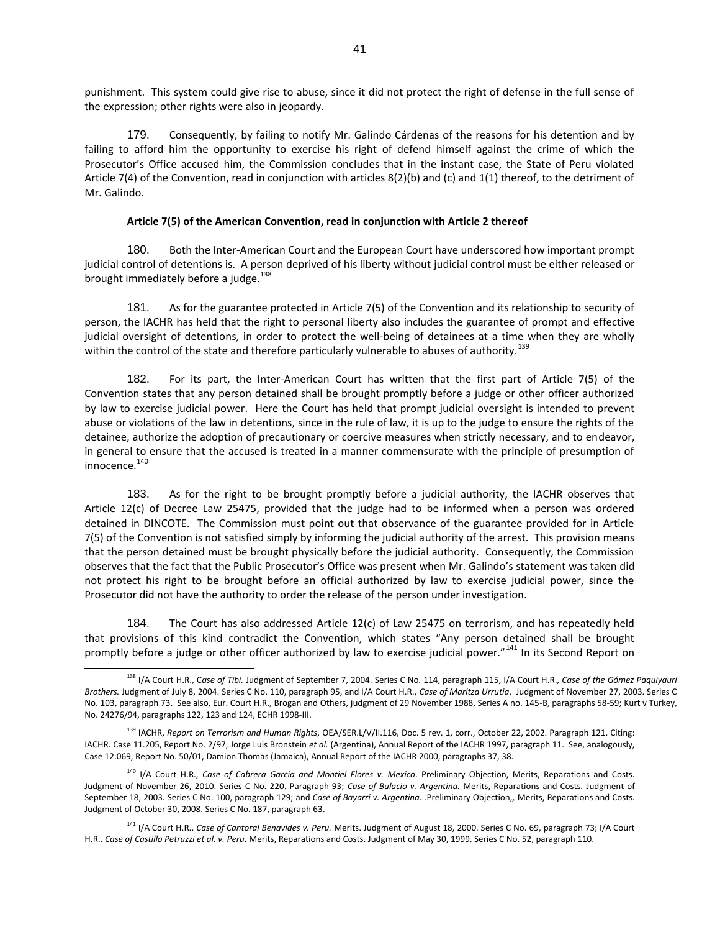punishment. This system could give rise to abuse, since it did not protect the right of defense in the full sense of the expression; other rights were also in jeopardy.

179. Consequently, by failing to notify Mr. Galindo Cárdenas of the reasons for his detention and by failing to afford him the opportunity to exercise his right of defend himself against the crime of which the Prosecutor's Office accused him, the Commission concludes that in the instant case, the State of Peru violated Article 7(4) of the Convention, read in conjunction with articles 8(2)(b) and (c) and 1(1) thereof, to the detriment of Mr. Galindo.

#### **Article 7(5) of the American Convention, read in conjunction with Article 2 thereof**

180. Both the Inter-American Court and the European Court have underscored how important prompt judicial control of detentions is. A person deprived of his liberty without judicial control must be either released or brought immediately before a judge.<sup>138</sup>

181. As for the guarantee protected in Article 7(5) of the Convention and its relationship to security of person, the IACHR has held that the right to personal liberty also includes the guarantee of prompt and effective judicial oversight of detentions, in order to protect the well-being of detainees at a time when they are wholly within the control of the state and therefore particularly vulnerable to abuses of authority.<sup>139</sup>

182. For its part, the Inter-American Court has written that the first part of Article 7(5) of the Convention states that any person detained shall be brought promptly before a judge or other officer authorized by law to exercise judicial power. Here the Court has held that prompt judicial oversight is intended to prevent abuse or violations of the law in detentions, since in the rule of law, it is up to the judge to ensure the rights of the detainee, authorize the adoption of precautionary or coercive measures when strictly necessary, and to endeavor, in general to ensure that the accused is treated in a manner commensurate with the principle of presumption of  $innocence.<sup>140</sup>$ 

183. As for the right to be brought promptly before a judicial authority, the IACHR observes that Article 12(c) of Decree Law 25475, provided that the judge had to be informed when a person was ordered detained in DINCOTE. The Commission must point out that observance of the guarantee provided for in Article 7(5) of the Convention is not satisfied simply by informing the judicial authority of the arrest. This provision means that the person detained must be brought physically before the judicial authority. Consequently, the Commission observes that the fact that the Public Prosecutor's Office was present when Mr. Galindo's statement was taken did not protect his right to be brought before an official authorized by law to exercise judicial power, since the Prosecutor did not have the authority to order the release of the person under investigation.

184. The Court has also addressed Article 12(c) of Law 25475 on terrorism, and has repeatedly held that provisions of this kind contradict the Convention, which states "Any person detained shall be brought promptly before a judge or other officer authorized by law to exercise judicial power."<sup>141</sup> In its Second Report on

 $\overline{a}$ 

<sup>138</sup> I/A Court H.R., C*ase of Tibi.* Judgment of September 7, 2004. Series C No. 114, paragraph 115, I/A Court H.R., *Case of the Gómez Paquiyauri Brothers.* Judgment of July 8, 2004. Series C No. 110, paragraph 95, and I/A Court H.R., *Case of Maritza Urrutia*. Judgment of November 27, 2003. Series C No. 103, paragraph 73. See also, Eur. Court H.R., Brogan and Others, judgment of 29 November 1988, Series A no. 145-B, paragraphs 58-59; Kurt v Turkey, No. 24276/94, paragraphs 122, 123 and 124, ECHR 1998-III.

<sup>139</sup> IACHR, *Report on Terrorism and Human Rights*, OEA/SER.L/V/II.116, Doc. 5 rev. 1, corr., October 22, 2002. Paragraph 121. Citing: IACHR. Case 11.205, Report No. 2/97, Jorge Luis Bronstein *et al.* (Argentina), Annual Report of the IACHR 1997, paragraph 11. See, analogously, Case 12.069, Report No. 50/01, Damion Thomas (Jamaica), Annual Report of the IACHR 2000, paragraphs 37, 38.

<sup>140</sup> I/A Court H.R., *Case of Cabrera García and Montiel Flores v. Mexico*. Preliminary Objection, Merits, Reparations and Costs. Judgment of November 26, 2010. Series C No. 220. Paragraph 93; *Case of Bulacio v. Argentina.* Merits, Reparations and Costs*.* Judgment of September 18, 2003. Series C No. 100, paragraph 129; and *Case of Bayarri v. Argentina. .*Preliminary Objection,*,* Merits, Reparations and Costs*.*  Judgment of October 30, 2008. Series C No. 187, paragraph 63.

<sup>141</sup> I/A Court H.R.. *Case of Cantoral Benavides v. Peru.* Merits. Judgment of August 18, 2000. Series C No. 69, paragraph 73; I/A Court H.R.. *Case of Castillo Petruzzi et al. v. Peru***.** Merits, Reparations and Costs. Judgment of May 30, 1999. Series C No. 52, paragraph 110.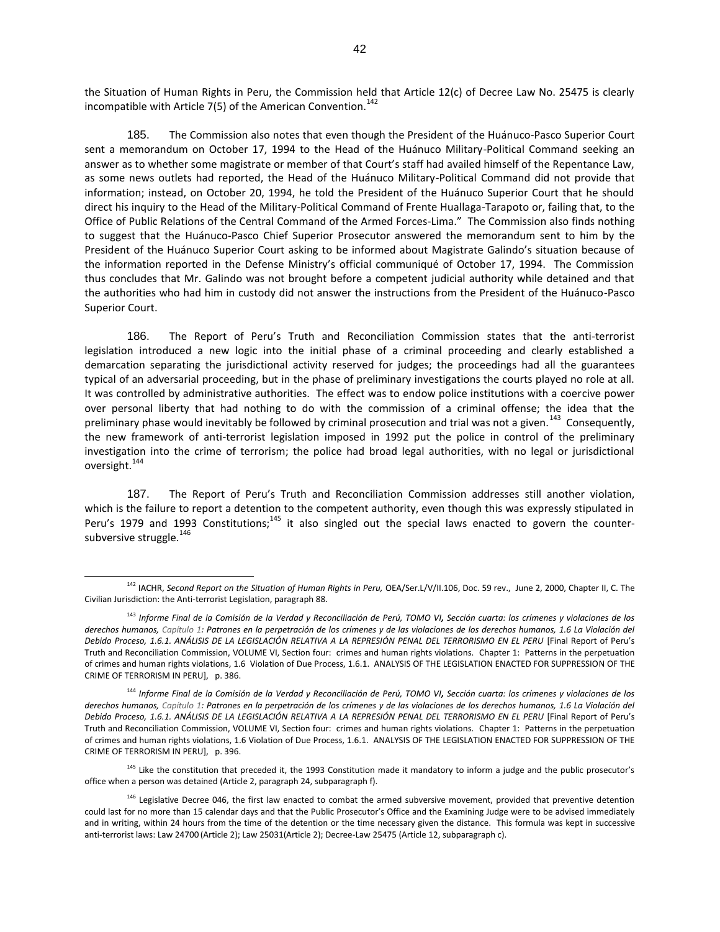the Situation of Human Rights in Peru, the Commission held that Article 12(c) of Decree Law No. 25475 is clearly incompatible with Article 7(5) of the American Convention.<sup>142</sup>

185. The Commission also notes that even though the President of the Huánuco-Pasco Superior Court sent a memorandum on October 17, 1994 to the Head of the Huánuco Military-Political Command seeking an answer as to whether some magistrate or member of that Court's staff had availed himself of the Repentance Law, as some news outlets had reported, the Head of the Huánuco Military-Political Command did not provide that information; instead, on October 20, 1994, he told the President of the Huánuco Superior Court that he should direct his inquiry to the Head of the Military-Political Command of Frente Huallaga-Tarapoto or, failing that, to the Office of Public Relations of the Central Command of the Armed Forces-Lima." The Commission also finds nothing to suggest that the Huánuco-Pasco Chief Superior Prosecutor answered the memorandum sent to him by the President of the Huánuco Superior Court asking to be informed about Magistrate Galindo's situation because of the information reported in the Defense Ministry's official communiqué of October 17, 1994. The Commission thus concludes that Mr. Galindo was not brought before a competent judicial authority while detained and that the authorities who had him in custody did not answer the instructions from the President of the Huánuco-Pasco Superior Court.

186. The Report of Peru's Truth and Reconciliation Commission states that the anti-terrorist legislation introduced a new logic into the initial phase of a criminal proceeding and clearly established a demarcation separating the jurisdictional activity reserved for judges; the proceedings had all the guarantees typical of an adversarial proceeding, but in the phase of preliminary investigations the courts played no role at all. It was controlled by administrative authorities. The effect was to endow police institutions with a coercive power over personal liberty that had nothing to do with the commission of a criminal offense; the idea that the preliminary phase would inevitably be followed by criminal prosecution and trial was not a given.<sup>143</sup> Consequently, the new framework of anti-terrorist legislation imposed in 1992 put the police in control of the preliminary investigation into the crime of terrorism; the police had broad legal authorities, with no legal or jurisdictional oversight.<sup>144</sup>

187. The Report of Peru's Truth and Reconciliation Commission addresses still another violation, which is the failure to report a detention to the competent authority, even though this was expressly stipulated in Peru's 1979 and 1993 Constitutions;<sup>145</sup> it also singled out the special laws enacted to govern the countersubversive struggle.<sup>146</sup>

 $\overline{a}$ 

<sup>145</sup> Like the constitution that preceded it, the 1993 Constitution made it mandatory to inform a judge and the public prosecutor's office when a person was detained (Article 2, paragraph 24, subparagraph f).

<sup>&</sup>lt;sup>142</sup> IACHR, Second Report on the Situation of Human Rights in Peru, OEA/Ser.L/V/II.106, Doc. 59 rev., June 2, 2000, Chapter II, C. The Civilian Jurisdiction: the Anti-terrorist Legislation, paragraph 88.

<sup>143</sup> *Informe Final de la Comisión de la Verdad y Reconciliación de Perú, TOMO VI, Sección cuarta: los crímenes y violaciones de los derechos humanos, Capítulo 1: Patrones en la perpetración de los crímenes y de las violaciones de los derechos humanos, 1.6 La Violación del Debido Proceso, 1.6.1. ANÁLISIS DE LA LEGISLACIÓN RELATIVA A LA REPRESIÓN PENAL DEL TERRORISMO EN EL PERU* [Final Report of Peru's Truth and Reconciliation Commission, VOLUME VI, Section four: crimes and human rights violations. Chapter 1: Patterns in the perpetuation of crimes and human rights violations, 1.6 Violation of Due Process, 1.6.1. ANALYSIS OF THE LEGISLATION ENACTED FOR SUPPRESSION OF THE CRIME OF TERRORISM IN PERU], p. 386.

<sup>144</sup> *Informe Final de la Comisión de la Verdad y Reconciliación de Perú, TOMO VI, Sección cuarta: los crímenes y violaciones de los derechos humanos, Capítulo 1: Patrones en la perpetración de los crímenes y de las violaciones de los derechos humanos, 1.6 La Violación del Debido Proceso, 1.6.1. ANÁLISIS DE LA LEGISLACIÓN RELATIVA A LA REPRESIÓN PENAL DEL TERRORISMO EN EL PERU* [Final Report of Peru's Truth and Reconciliation Commission, VOLUME VI, Section four: crimes and human rights violations. Chapter 1: Patterns in the perpetuation of crimes and human rights violations, 1.6 Violation of Due Process, 1.6.1. ANALYSIS OF THE LEGISLATION ENACTED FOR SUPPRESSION OF THE CRIME OF TERRORISM IN PERU], p. 396.

<sup>&</sup>lt;sup>146</sup> Legislative Decree 046, the first law enacted to combat the armed subversive movement, provided that preventive detention could last for no more than 15 calendar days and that the Public Prosecutor's Office and the Examining Judge were to be advised immediately and in writing, within 24 hours from the time of the detention or the time necessary given the distance. This formula was kept in successive anti-terrorist laws: Law 24700 (Article 2); Law 25031(Article 2); Decree-Law 25475 (Article 12, subparagraph c).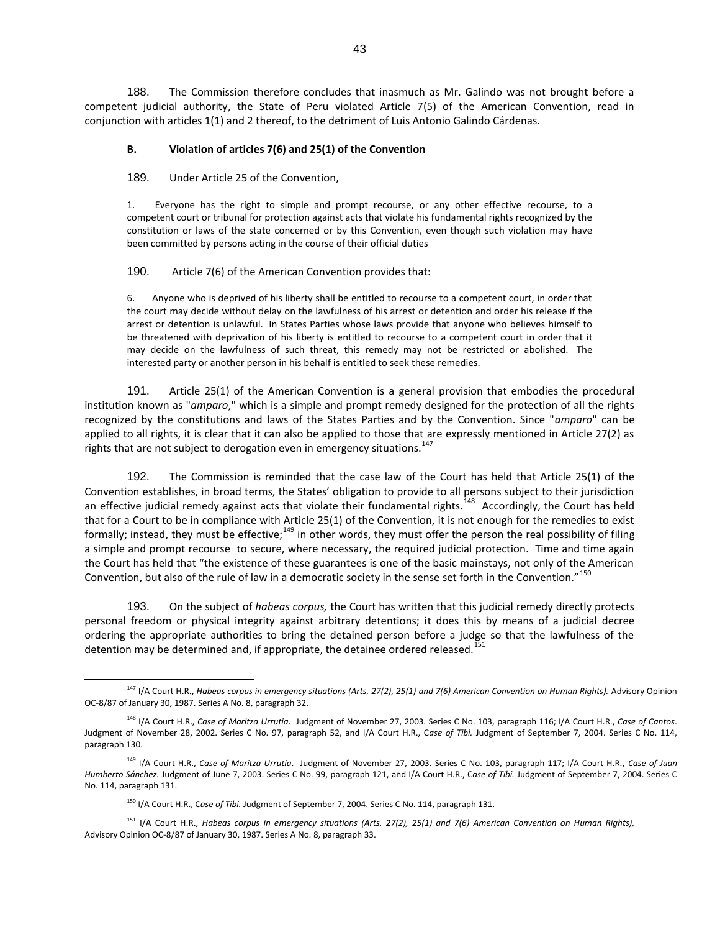188. The Commission therefore concludes that inasmuch as Mr. Galindo was not brought before a competent judicial authority, the State of Peru violated Article 7(5) of the American Convention, read in conjunction with articles 1(1) and 2 thereof, to the detriment of Luis Antonio Galindo Cárdenas.

## **B. Violation of articles 7(6) and 25(1) of the Convention**

189. Under Article 25 of the Convention,

1. Everyone has the right to simple and prompt recourse, or any other effective recourse, to a competent court or tribunal for protection against acts that violate his fundamental rights recognized by the constitution or laws of the state concerned or by this Convention, even though such violation may have been committed by persons acting in the course of their official duties

190. Article 7(6) of the American Convention provides that:

6. Anyone who is deprived of his liberty shall be entitled to recourse to a competent court, in order that the court may decide without delay on the lawfulness of his arrest or detention and order his release if the arrest or detention is unlawful. In States Parties whose laws provide that anyone who believes himself to be threatened with deprivation of his liberty is entitled to recourse to a competent court in order that it may decide on the lawfulness of such threat, this remedy may not be restricted or abolished. The interested party or another person in his behalf is entitled to seek these remedies.

191. Article 25(1) of the American Convention is a general provision that embodies the procedural institution known as "*amparo*," which is a simple and prompt remedy designed for the protection of all the rights recognized by the constitutions and laws of the States Parties and by the Convention. Since "*amparo*" can be applied to all rights, it is clear that it can also be applied to those that are expressly mentioned in Article 27(2) as rights that are not subject to derogation even in emergency situations.<sup>147</sup>

192. The Commission is reminded that the case law of the Court has held that Article 25(1) of the Convention establishes, in broad terms, the States' obligation to provide to all persons subject to their jurisdiction an effective judicial remedy against acts that violate their fundamental rights.<sup>148</sup> Accordingly, the Court has held that for a Court to be in compliance with Article 25(1) of the Convention, it is not enough for the remedies to exist formally; instead, they must be effective;<sup>149</sup> in other words, they must offer the person the real possibility of filing a simple and prompt recourse to secure, where necessary, the required judicial protection. Time and time again the Court has held that "the existence of these guarantees is one of the basic mainstays, not only of the American Convention, but also of the rule of law in a democratic society in the sense set forth in the Convention."<sup>150</sup>

193. On the subject of *habeas corpus,* the Court has written that this judicial remedy directly protects personal freedom or physical integrity against arbitrary detentions; it does this by means of a judicial decree ordering the appropriate authorities to bring the detained person before a judge so that the lawfulness of the detention may be determined and, if appropriate, the detainee ordered released.<sup>151</sup>

<sup>&</sup>lt;sup>147</sup> I/A Court H.R., *Habeas corpus in emergency situations (Arts. 27(2), 25(1) and 7(6) American Convention on Human Rights). Advisory Opinion* OC-8/87 of January 30, 1987. Series A No. 8, paragraph 32.

<sup>148</sup> I/A Court H.R., *Case of Maritza Urrutia*. Judgment of November 27, 2003. Series C No. 103, paragraph 116; I/A Court H.R., *Case of Cantos*. Judgment of November 28, 2002. Series C No. 97, paragraph 52, and I/A Court H.R., C*ase of Tibi.* Judgment of September 7, 2004. Series C No. 114, paragraph 130.

<sup>149</sup> I/A Court H.R., *Case of Maritza Urrutia*. Judgment of November 27, 2003. Series C No. 103, paragraph 117; I/A Court H.R., *Case of Juan Humberto Sánchez.* Judgment of June 7, 2003. Series C No. 99, paragraph 121, and I/A Court H.R., C*ase of Tibi.* Judgment of September 7, 2004. Series C No. 114, paragraph 131.

<sup>150</sup> I/A Court H.R., C*ase of Tibi.* Judgment of September 7, 2004. Series C No. 114, paragraph 131.

<sup>151</sup> I/A Court H.R., *Habeas corpus in emergency situations (Arts. 27(2), 25(1) and 7(6) American Convention on Human Rights),*  Advisory Opinion OC-8/87 of January 30, 1987. Series A No. 8, paragraph 33.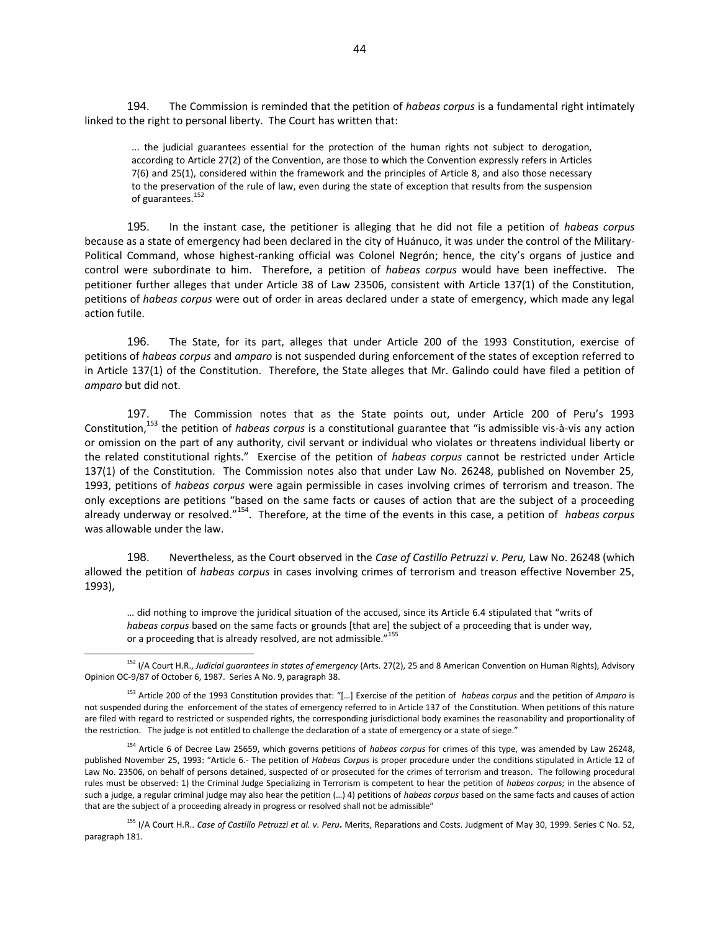194. The Commission is reminded that the petition of *habeas corpus* is a fundamental right intimately linked to the right to personal liberty. The Court has written that:

... the judicial guarantees essential for the protection of the human rights not subject to derogation, according to Article 27(2) of the Convention, are those to which the Convention expressly refers in Articles 7(6) and 25(1), considered within the framework and the principles of Article 8, and also those necessary to the preservation of the rule of law, even during the state of exception that results from the suspension of guarantees.<sup>152</sup>

195. In the instant case, the petitioner is alleging that he did not file a petition of *habeas corpus*  because as a state of emergency had been declared in the city of Huánuco, it was under the control of the Military-Political Command, whose highest-ranking official was Colonel Negrón; hence, the city's organs of justice and control were subordinate to him. Therefore, a petition of *habeas corpus* would have been ineffective. The petitioner further alleges that under Article 38 of Law 23506, consistent with Article 137(1) of the Constitution, petitions of *habeas corpus* were out of order in areas declared under a state of emergency, which made any legal action futile.

196. The State, for its part, alleges that under Article 200 of the 1993 Constitution, exercise of petitions of *habeas corpus* and *amparo* is not suspended during enforcement of the states of exception referred to in Article 137(1) of the Constitution. Therefore, the State alleges that Mr. Galindo could have filed a petition of *amparo* but did not.

197. The Commission notes that as the State points out, under Article 200 of Peru's 1993 Constitution,<sup>153</sup> the petition of *habeas corpus* is a constitutional guarantee that "is admissible vis-à-vis any action or omission on the part of any authority, civil servant or individual who violates or threatens individual liberty or the related constitutional rights." Exercise of the petition of *habeas corpus* cannot be restricted under Article 137(1) of the Constitution. The Commission notes also that under Law No. 26248, published on November 25, 1993, petitions of *habeas corpus* were again permissible in cases involving crimes of terrorism and treason. The only exceptions are petitions "based on the same facts or causes of action that are the subject of a proceeding already underway or resolved."<sup>154</sup>. Therefore, at the time of the events in this case, a petition of *habeas corpus*  was allowable under the law.

198. Nevertheless, as the Court observed in the *Case of Castillo Petruzzi v. Peru,* Law No. 26248 (which allowed the petition of *habeas corpus* in cases involving crimes of terrorism and treason effective November 25, 1993),

… did nothing to improve the juridical situation of the accused, since its Article 6.4 stipulated that "writs of *habeas corpus* based on the same facts or grounds [that are] the subject of a proceeding that is under way, or a proceeding that is already resolved, are not admissible."<sup>155</sup>

 $\overline{a}$ 

<sup>155</sup> I/A Court H.R.. Case of Castillo Petruzzi et al. v. Peru. Merits, Reparations and Costs. Judgment of May 30, 1999. Series C No. 52, paragraph 181.

<sup>152</sup> I/A Court H.R., *Judicial guarantees in states of emergency* (Arts. 27(2), 25 and 8 American Convention on Human Rights), Advisory Opinion OC-9/87 of October 6, 1987. Series A No. 9, paragraph 38.

<sup>153</sup> Article 200 of the 1993 Constitution provides that: "[…] Exercise of the petition of *habeas corpus* and the petition of *Amparo* is not suspended during the enforcement of the states of emergency referred to in Article 137 of the Constitution. When petitions of this nature are filed with regard to restricted or suspended rights, the corresponding jurisdictional body examines the reasonability and proportionality of the restriction. The judge is not entitled to challenge the declaration of a state of emergency or a state of siege."

<sup>154</sup> Article 6 of Decree Law 25659, which governs petitions of *habeas corpus* for crimes of this type, was amended by Law 26248, published November 25, 1993: "Article 6.- The petition of *Habeas Corpus* is proper procedure under the conditions stipulated in Article 12 of Law No. 23506, on behalf of persons detained, suspected of or prosecuted for the crimes of terrorism and treason. The following procedural rules must be observed: 1) the Criminal Judge Specializing in Terrorism is competent to hear the petition of *habeas corpus;* in the absence of such a judge, a regular criminal judge may also hear the petition (…) 4) petitions of *habeas corpus* based on the same facts and causes of action that are the subject of a proceeding already in progress or resolved shall not be admissible"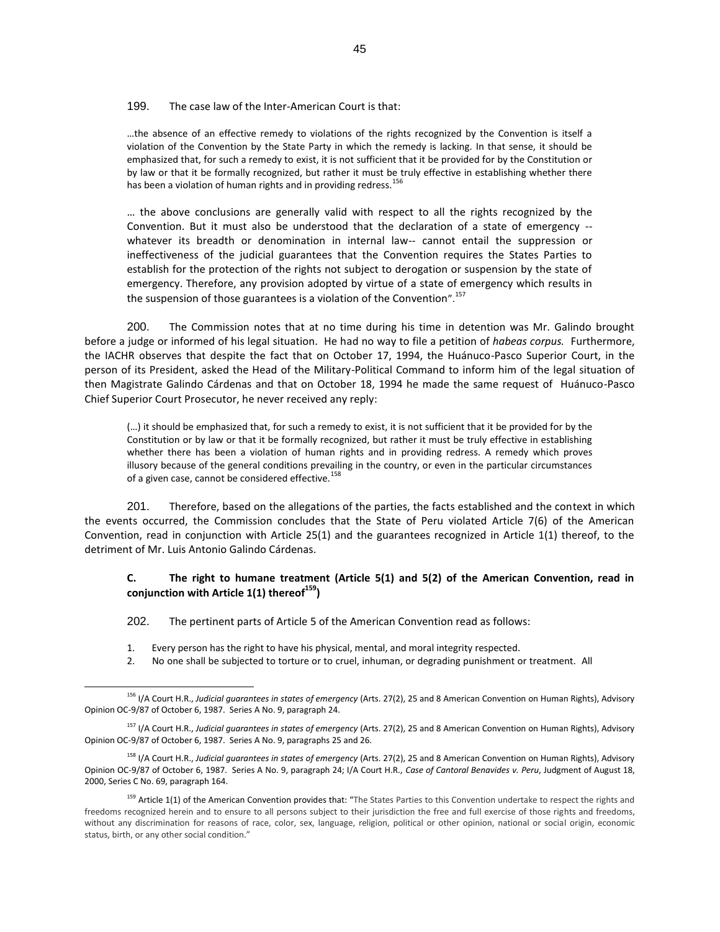199. The case law of the Inter-American Court is that:

…the absence of an effective remedy to violations of the rights recognized by the Convention is itself a violation of the Convention by the State Party in which the remedy is lacking. In that sense, it should be emphasized that, for such a remedy to exist, it is not sufficient that it be provided for by the Constitution or by law or that it be formally recognized, but rather it must be truly effective in establishing whether there has been a violation of human rights and in providing redress.<sup>156</sup>

… the above conclusions are generally valid with respect to all the rights recognized by the Convention. But it must also be understood that the declaration of a state of emergency - whatever its breadth or denomination in internal law-- cannot entail the suppression or ineffectiveness of the judicial guarantees that the Convention requires the States Parties to establish for the protection of the rights not subject to derogation or suspension by the state of emergency. Therefore, any provision adopted by virtue of a state of emergency which results in the suspension of those guarantees is a violation of the Convention".<sup>157</sup>

200. The Commission notes that at no time during his time in detention was Mr. Galindo brought before a judge or informed of his legal situation. He had no way to file a petition of *habeas corpus.* Furthermore, the IACHR observes that despite the fact that on October 17, 1994, the Huánuco-Pasco Superior Court, in the person of its President, asked the Head of the Military-Political Command to inform him of the legal situation of then Magistrate Galindo Cárdenas and that on October 18, 1994 he made the same request of Huánuco-Pasco Chief Superior Court Prosecutor, he never received any reply:

(…) it should be emphasized that, for such a remedy to exist, it is not sufficient that it be provided for by the Constitution or by law or that it be formally recognized, but rather it must be truly effective in establishing whether there has been a violation of human rights and in providing redress. A remedy which proves illusory because of the general conditions prevailing in the country, or even in the particular circumstances of a given case, cannot be considered effective. $158$ 

201. Therefore, based on the allegations of the parties, the facts established and the context in which the events occurred, the Commission concludes that the State of Peru violated Article 7(6) of the American Convention, read in conjunction with Article 25(1) and the guarantees recognized in Article 1(1) thereof, to the detriment of Mr. Luis Antonio Galindo Cárdenas.

## **C. The right to humane treatment (Article 5(1) and 5(2) of the American Convention, read in conjunction with Article 1(1) thereof<sup>159</sup>)**

202. The pertinent parts of Article 5 of the American Convention read as follows:

1. Every person has the right to have his physical, mental, and moral integrity respected.

2. No one shall be subjected to torture or to cruel, inhuman, or degrading punishment or treatment. All

<sup>156</sup> I/A Court H.R., *Judicial guarantees in states of emergency* (Arts. 27(2), 25 and 8 American Convention on Human Rights), Advisory Opinion OC-9/87 of October 6, 1987. Series A No. 9, paragraph 24.

<sup>157</sup> I/A Court H.R., *Judicial guarantees in states of emergency* (Arts. 27(2), 25 and 8 American Convention on Human Rights), Advisory Opinion OC-9/87 of October 6, 1987. Series A No. 9, paragraphs 25 and 26.

<sup>158</sup> I/A Court H.R., *Judicial guarantees in states of emergency* (Arts. 27(2), 25 and 8 American Convention on Human Rights), Advisory Opinion OC-9/87 of October 6, 1987. Series A No. 9, paragraph 24; I/A Court H.R., *Case of Cantoral Benavides v. Peru*, Judgment of August 18, 2000, Series C No. 69, paragraph 164.

<sup>&</sup>lt;sup>159</sup> Article 1(1) of the American Convention provides that: "The States Parties to this Convention undertake to respect the rights and freedoms recognized herein and to ensure to all persons subject to their jurisdiction the free and full exercise of those rights and freedoms, without any discrimination for reasons of race, color, sex, language, religion, political or other opinion, national or social origin, economic status, birth, or any other social condition."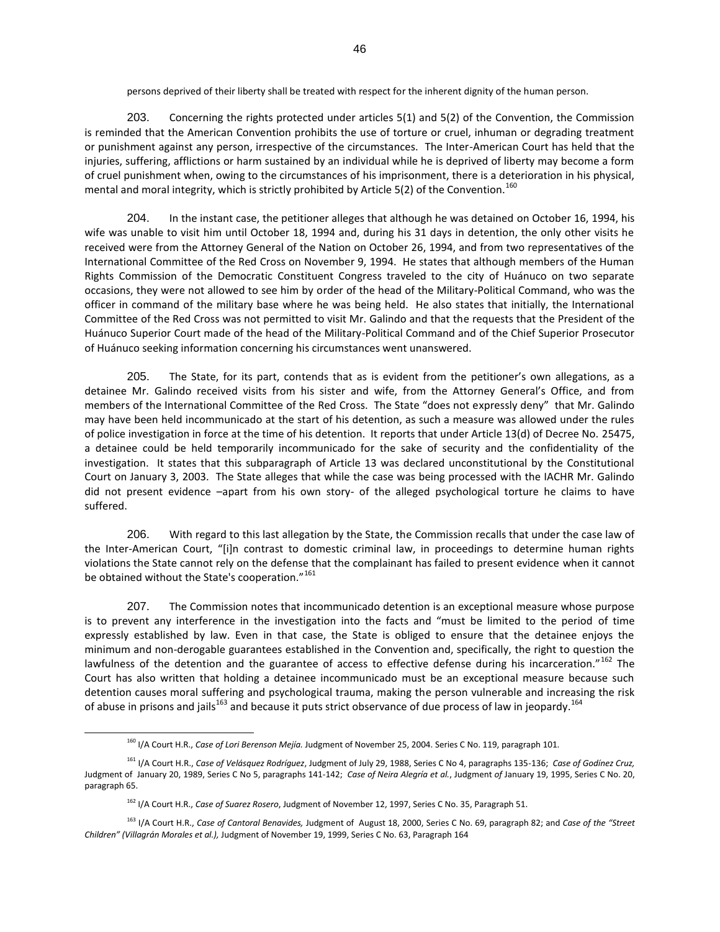persons deprived of their liberty shall be treated with respect for the inherent dignity of the human person.

203. Concerning the rights protected under articles 5(1) and 5(2) of the Convention, the Commission is reminded that the American Convention prohibits the use of torture or cruel, inhuman or degrading treatment or punishment against any person, irrespective of the circumstances. The Inter-American Court has held that the injuries, suffering, afflictions or harm sustained by an individual while he is deprived of liberty may become a form of cruel punishment when, owing to the circumstances of his imprisonment, there is a deterioration in his physical, mental and moral integrity, which is strictly prohibited by Article 5(2) of the Convention.<sup>160</sup>

204. In the instant case, the petitioner alleges that although he was detained on October 16, 1994, his wife was unable to visit him until October 18, 1994 and, during his 31 days in detention, the only other visits he received were from the Attorney General of the Nation on October 26, 1994, and from two representatives of the International Committee of the Red Cross on November 9, 1994. He states that although members of the Human Rights Commission of the Democratic Constituent Congress traveled to the city of Huánuco on two separate occasions, they were not allowed to see him by order of the head of the Military-Political Command, who was the officer in command of the military base where he was being held. He also states that initially, the International Committee of the Red Cross was not permitted to visit Mr. Galindo and that the requests that the President of the Huánuco Superior Court made of the head of the Military-Political Command and of the Chief Superior Prosecutor of Huánuco seeking information concerning his circumstances went unanswered.

205. The State, for its part, contends that as is evident from the petitioner's own allegations, as a detainee Mr. Galindo received visits from his sister and wife, from the Attorney General's Office, and from members of the International Committee of the Red Cross. The State "does not expressly deny" that Mr. Galindo may have been held incommunicado at the start of his detention, as such a measure was allowed under the rules of police investigation in force at the time of his detention. It reports that under Article 13(d) of Decree No. 25475, a detainee could be held temporarily incommunicado for the sake of security and the confidentiality of the investigation. It states that this subparagraph of Article 13 was declared unconstitutional by the Constitutional Court on January 3, 2003. The State alleges that while the case was being processed with the IACHR Mr. Galindo did not present evidence –apart from his own story- of the alleged psychological torture he claims to have suffered.

206. With regard to this last allegation by the State, the Commission recalls that under the case law of the Inter-American Court, "[i]n contrast to domestic criminal law, in proceedings to determine human rights violations the State cannot rely on the defense that the complainant has failed to present evidence when it cannot be obtained without the State's cooperation." $^{161}$ 

207. The Commission notes that incommunicado detention is an exceptional measure whose purpose is to prevent any interference in the investigation into the facts and "must be limited to the period of time expressly established by law. Even in that case, the State is obliged to ensure that the detainee enjoys the minimum and non-derogable guarantees established in the Convention and, specifically, the right to question the lawfulness of the detention and the guarantee of access to effective defense during his incarceration."<sup>162</sup> The Court has also written that holding a detainee incommunicado must be an exceptional measure because such detention causes moral suffering and psychological trauma, making the person vulnerable and increasing the risk of abuse in prisons and jails<sup>163</sup> and because it puts strict observance of due process of law in jeopardy.<sup>164</sup>

 $\overline{a}$ 

<sup>160</sup> I/A Court H.R., *Case of Lori Berenson Mejía.* Judgment of November 25, 2004. Series C No. 119, paragraph 101.

<sup>161</sup> I/A Court H.R., *[Case of Velásquez Rodríguez](http://www.nu.or.cr/cd/PUBLICAC/SERIE_C/C_4_ESP.HTM)*, Judgment of July 29, 1988, Series C No 4, paragraphs 135-136; *[Case of Godínez Cruz,](http://www.nu.or.cr/cd/PUBLICAC/SERIE_C/C_5_ESP.HTM)* Judgment of January 20, 1989, Series C No 5, paragraphs 141-142; *[Case of Neira Alegría et al.](http://www.nu.or.cr/cd/PUBLICAC/SERIE_C/C_20_ESP.HTM)*, Judgment *of* January 19, 1995, Series C No. 20, paragraph 65.

<sup>162</sup> I/A Court H.R., *Case of Suarez Rosero*, Judgment of November 12, 1997, Series C No. 35, Paragraph 51.

<sup>163</sup> I/A Court H.R., *Case of Cantoral Benavides,* Judgment of August 18, 2000, Series C No. 69, paragraph 82; and *Case of the "Street Children" (Villagrán Morales et al.),* Judgment of November 19, 1999, Series C No. 63, Paragraph 164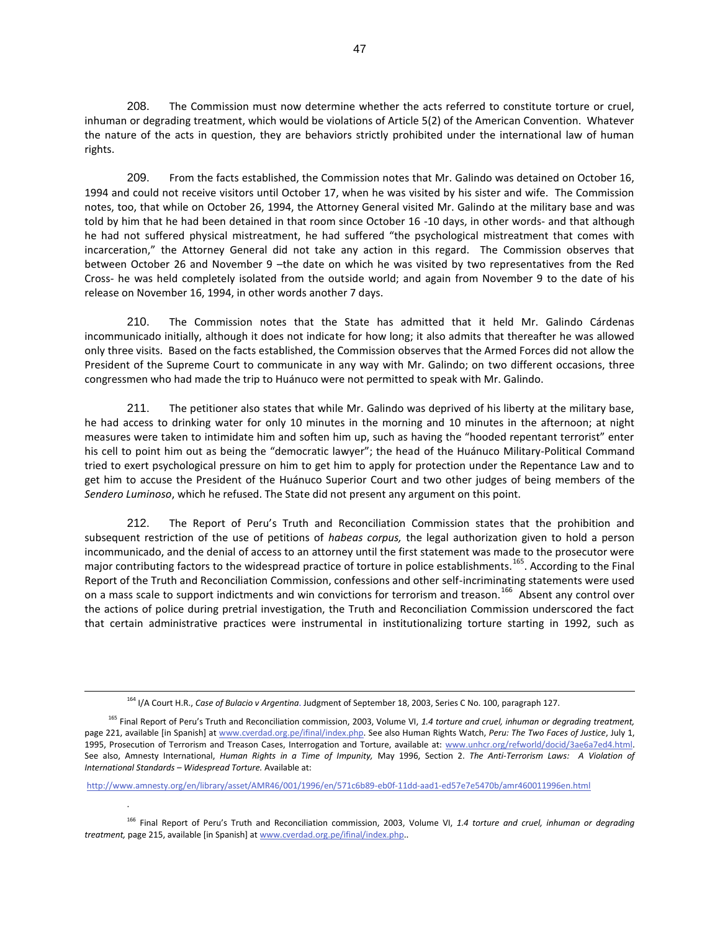208. The Commission must now determine whether the acts referred to constitute torture or cruel, inhuman or degrading treatment, which would be violations of Article 5(2) of the American Convention. Whatever the nature of the acts in question, they are behaviors strictly prohibited under the international law of human rights.

209. From the facts established, the Commission notes that Mr. Galindo was detained on October 16, 1994 and could not receive visitors until October 17, when he was visited by his sister and wife. The Commission notes, too, that while on October 26, 1994, the Attorney General visited Mr. Galindo at the military base and was told by him that he had been detained in that room since October 16 -10 days, in other words- and that although he had not suffered physical mistreatment, he had suffered "the psychological mistreatment that comes with incarceration," the Attorney General did not take any action in this regard. The Commission observes that between October 26 and November 9 –the date on which he was visited by two representatives from the Red Cross- he was held completely isolated from the outside world; and again from November 9 to the date of his release on November 16, 1994, in other words another 7 days.

210. The Commission notes that the State has admitted that it held Mr. Galindo Cárdenas incommunicado initially, although it does not indicate for how long; it also admits that thereafter he was allowed only three visits. Based on the facts established, the Commission observes that the Armed Forces did not allow the President of the Supreme Court to communicate in any way with Mr. Galindo; on two different occasions, three congressmen who had made the trip to Huánuco were not permitted to speak with Mr. Galindo.

211. The petitioner also states that while Mr. Galindo was deprived of his liberty at the military base, he had access to drinking water for only 10 minutes in the morning and 10 minutes in the afternoon; at night measures were taken to intimidate him and soften him up, such as having the "hooded repentant terrorist" enter his cell to point him out as being the "democratic lawyer"; the head of the Huánuco Military-Political Command tried to exert psychological pressure on him to get him to apply for protection under the Repentance Law and to get him to accuse the President of the Huánuco Superior Court and two other judges of being members of the *Sendero Luminoso*, which he refused. The State did not present any argument on this point.

212. The Report of Peru's Truth and Reconciliation Commission states that the prohibition and subsequent restriction of the use of petitions of *habeas corpus,* the legal authorization given to hold a person incommunicado, and the denial of access to an attorney until the first statement was made to the prosecutor were major contributing factors to the widespread practice of torture in police establishments.<sup>165</sup>. According to the Final Report of the Truth and Reconciliation Commission, confessions and other self-incriminating statements were used on a mass scale to support indictments and win convictions for terrorism and treason.<sup>166</sup> Absent any control over the actions of police during pretrial investigation, the Truth and Reconciliation Commission underscored the fact that certain administrative practices were instrumental in institutionalizing torture starting in 1992, such as

.

<http://www.amnesty.org/en/library/asset/AMR46/001/1996/en/571c6b89-eb0f-11dd-aad1-ed57e7e5470b/amr460011996en.html>

<sup>164</sup> I/A Court H.R., *Case of Bulacio v Argentina*. Judgment of September 18, 2003, Series C No. 100, paragraph 127.

<sup>165</sup> Final Report of Peru's Truth and Reconciliation commission, 2003, Volume VI, *1.4 torture and cruel, inhuman or degrading treatment,*  page 221, available [in Spanish] a[t www.cverdad.org.pe/ifinal/index.php.](http://www.cverdad.org.pe/ifinal/index.php) See also Human Rights Watch, *Peru: The Two Faces of Justice*, July 1, 1995, Prosecution of Terrorism and Treason Cases, Interrogation and Torture, available at: [www.unhcr.org/refworld/docid/3ae6a7ed4.html.](http://www.unhcr.org/refworld/docid/3ae6a7ed4.html) See also, Amnesty International, *Human Rights in a Time of Impunity,* May 1996, Section 2. *The Anti-Terrorism Laws: A Violation of International Standards – Widespread Torture.* Available at:

<sup>166</sup> Final Report of Peru's Truth and Reconciliation commission, 2003, Volume VI, *1.4 torture and cruel, inhuman or degrading treatment,* page 215, available [in Spanish] a[t www.cverdad.org.pe/ifinal/index.php..](http://www.cverdad.org.pe/ifinal/index.php)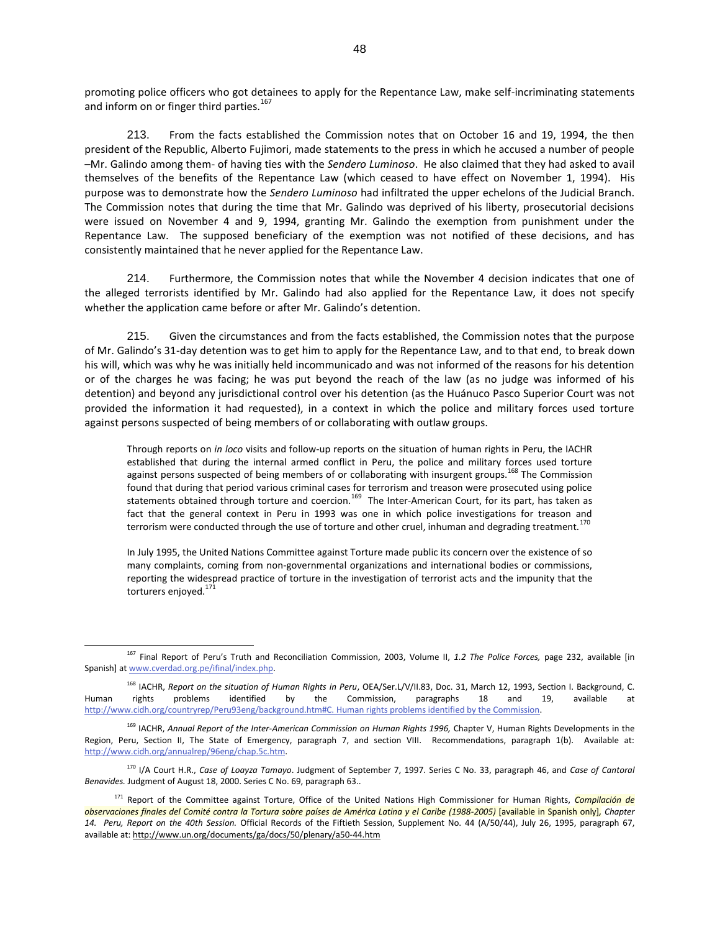promoting police officers who got detainees to apply for the Repentance Law, make self-incriminating statements and inform on or finger third parties.<sup>167</sup>

213. From the facts established the Commission notes that on October 16 and 19, 1994, the then president of the Republic, Alberto Fujimori, made statements to the press in which he accused a number of people –Mr. Galindo among them- of having ties with the *Sendero Luminoso*. He also claimed that they had asked to avail themselves of the benefits of the Repentance Law (which ceased to have effect on November 1, 1994). His purpose was to demonstrate how the *Sendero Luminoso* had infiltrated the upper echelons of the Judicial Branch. The Commission notes that during the time that Mr. Galindo was deprived of his liberty, prosecutorial decisions were issued on November 4 and 9, 1994, granting Mr. Galindo the exemption from punishment under the Repentance Law. The supposed beneficiary of the exemption was not notified of these decisions, and has consistently maintained that he never applied for the Repentance Law.

214. Furthermore, the Commission notes that while the November 4 decision indicates that one of the alleged terrorists identified by Mr. Galindo had also applied for the Repentance Law, it does not specify whether the application came before or after Mr. Galindo's detention.

215. Given the circumstances and from the facts established, the Commission notes that the purpose of Mr. Galindo's 31-day detention was to get him to apply for the Repentance Law, and to that end, to break down his will, which was why he was initially held incommunicado and was not informed of the reasons for his detention or of the charges he was facing; he was put beyond the reach of the law (as no judge was informed of his detention) and beyond any jurisdictional control over his detention (as the Huánuco Pasco Superior Court was not provided the information it had requested), in a context in which the police and military forces used torture against persons suspected of being members of or collaborating with outlaw groups.

Through reports on *in loco* visits and follow-up reports on the situation of human rights in Peru, the IACHR established that during the internal armed conflict in Peru, the police and military forces used torture against persons suspected of being members of or collaborating with insurgent groups.<sup>168</sup> The Commission found that during that period various criminal cases for terrorism and treason were prosecuted using police statements obtained through torture and coercion.<sup>169</sup> The Inter-American Court, for its part, has taken as fact that the general context in Peru in 1993 was one in which police investigations for treason and terrorism were conducted through the use of torture and other cruel, inhuman and degrading treatment.<sup>170</sup>

In July 1995, the United Nations Committee against Torture made public its concern over the existence of so many complaints, coming from non-governmental organizations and international bodies or commissions, reporting the widespread practice of torture in the investigation of terrorist acts and the impunity that the torturers enjoyed.<sup>171</sup>

<sup>170</sup> I/A Court H.R., *Case of Loayza Tamayo*. Judgment of September 7, 1997. Series C No. 33, paragraph 46, and *Case of Cantoral Benavides.* Judgment of August 18, 2000. Series C No. 69, paragraph 63..

<sup>167</sup> Final Report of Peru's Truth and Reconciliation Commission, 2003, Volume II, *1.2 The Police Forces,* page 232, available [in Spanish] a[t www.cverdad.org.pe/ifinal/index.php.](http://www.cverdad.org.pe/ifinal/index.php)

<sup>168</sup> IACHR, *Report on the situation of Human Rights in Peru*, OEA/Ser.L/V/II.83, Doc. 31, March 12, 1993, Section I. Background, C. Human rights problems identified by the Commission, paragraphs 18 and 19, available at [http://www.cidh.org/countryrep/Peru93eng/background.htm#C. Human rights problems identified by the Commission.](http://www.cidh.org/countryrep/Peru93eng/background.htm#C. Human rights problems identified by the Commission)

<sup>&</sup>lt;sup>169</sup> IACHR, Annual Report of the Inter-American Commission on Human Rights 1996, Chapter V, Human Rights Developments in the Region, Peru, Section II, The State of Emergency, paragraph 7, and section VIII. Recommendations, paragraph 1(b). Available at: [http://www.cidh.org/annualrep/96eng/chap.5c.htm.](http://www.cidh.org/annualrep/96eng/chap.5c.htm) 

<sup>171</sup> Report of the Committee against Torture, Office of the United Nations High Commissioner for Human Rights, *Compilación de observaciones finales del Comité contra la Tortura sobre países de América Latina y el Caribe (1988-2005)* [available in Spanish only]*, Chapter 14. Peru, Report on the 40th Session.* Official Records of the Fiftieth Session, Supplement No. 44 (A/50/44), July 26, 1995, paragraph 67, available at[: http://www.un.org/documents/ga/docs/50/plenary/a50-44.htm](http://www.un.org/documents/ga/docs/50/plenary/a50-44.htm)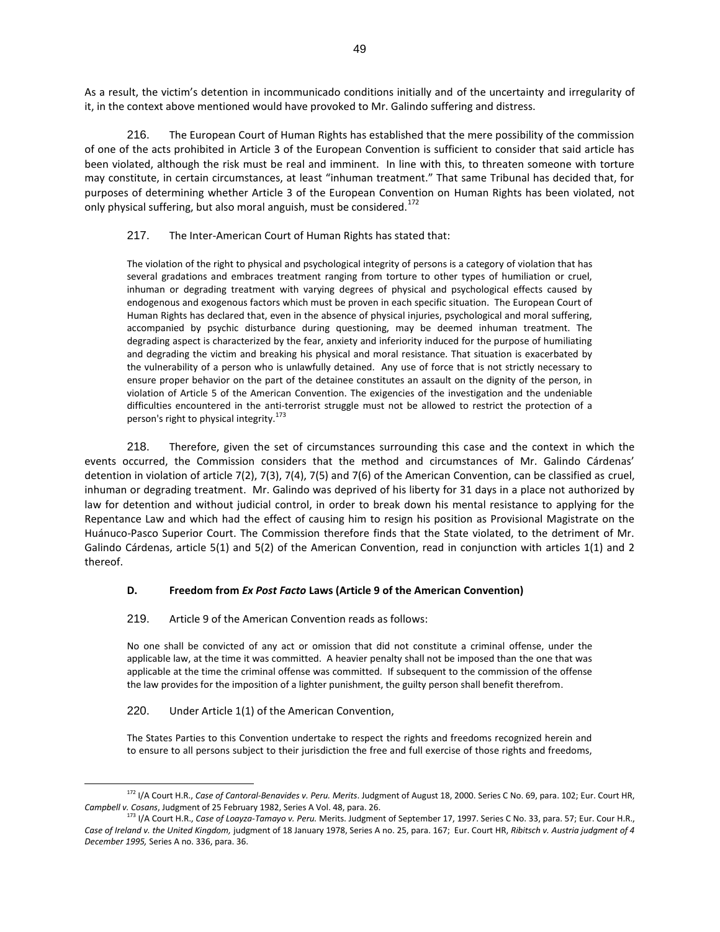As a result, the victim's detention in incommunicado conditions initially and of the uncertainty and irregularity of it, in the context above mentioned would have provoked to Mr. Galindo suffering and distress.

216. The European Court of Human Rights has established that the mere possibility of the commission of one of the acts prohibited in Article 3 of the European Convention is sufficient to consider that said article has been violated, although the risk must be real and imminent. In line with this, to threaten someone with torture may constitute, in certain circumstances, at least "inhuman treatment." That same Tribunal has decided that, for purposes of determining whether Article 3 of the European Convention on Human Rights has been violated, not only physical suffering, but also moral anguish, must be considered.<sup>172</sup>

## 217. The Inter-American Court of Human Rights has stated that:

The violation of the right to physical and psychological integrity of persons is a category of violation that has several gradations and embraces treatment ranging from torture to other types of humiliation or cruel, inhuman or degrading treatment with varying degrees of physical and psychological effects caused by endogenous and exogenous factors which must be proven in each specific situation. The European Court of Human Rights has declared that, even in the absence of physical injuries, psychological and moral suffering, accompanied by psychic disturbance during questioning, may be deemed inhuman treatment. The degrading aspect is characterized by the fear, anxiety and inferiority induced for the purpose of humiliating and degrading the victim and breaking his physical and moral resistance. That situation is exacerbated by the vulnerability of a person who is unlawfully detained. Any use of force that is not strictly necessary to ensure proper behavior on the part of the detainee constitutes an assault on the dignity of the person, in violation of Article 5 of the American Convention. The exigencies of the investigation and the undeniable difficulties encountered in the anti-terrorist struggle must not be allowed to restrict the protection of a person's right to physical integrity.<sup>173</sup>

218. Therefore, given the set of circumstances surrounding this case and the context in which the events occurred, the Commission considers that the method and circumstances of Mr. Galindo Cárdenas' detention in violation of article 7(2), 7(3), 7(4), 7(5) and 7(6) of the American Convention, can be classified as cruel, inhuman or degrading treatment. Mr. Galindo was deprived of his liberty for 31 days in a place not authorized by law for detention and without judicial control, in order to break down his mental resistance to applying for the Repentance Law and which had the effect of causing him to resign his position as Provisional Magistrate on the Huánuco-Pasco Superior Court. The Commission therefore finds that the State violated, to the detriment of Mr. Galindo Cárdenas, article 5(1) and 5(2) of the American Convention, read in conjunction with articles 1(1) and 2 thereof.

#### **D. Freedom from** *Ex Post Facto* **Laws (Article 9 of the American Convention)**

#### 219. Article 9 of the American Convention reads as follows:

No one shall be convicted of any act or omission that did not constitute a criminal offense, under the applicable law, at the time it was committed. A heavier penalty shall not be imposed than the one that was applicable at the time the criminal offense was committed. If subsequent to the commission of the offense the law provides for the imposition of a lighter punishment, the guilty person shall benefit therefrom.

# 220. Under Article 1(1) of the American Convention,

 $\overline{a}$ 

The States Parties to this Convention undertake to respect the rights and freedoms recognized herein and to ensure to all persons subject to their jurisdiction the free and full exercise of those rights and freedoms,

<sup>172</sup> I/A Court H.R., *Case of Cantoral-Benavides v. Peru. Merits*. Judgment of August 18, 2000. Series C No. 69, para. 102; Eur. Court HR, *Campbell v. Cosans*, Judgment of 25 February 1982, Series A Vol. 48, para. 26.

<sup>173</sup> I/A Court H.R., *Case of Loayza-Tamayo v. Peru.* Merits. Judgment of September 17, 1997. Series C No. 33, para. 57; Eur. Cour H.R., *Case of Ireland v. the United Kingdom,* judgment of 18 January 1978, Series A no. 25, para. 167; Eur. Court HR, *Ribitsch v. Austria judgment of 4 December 1995,* Series A no. 336, para. 36.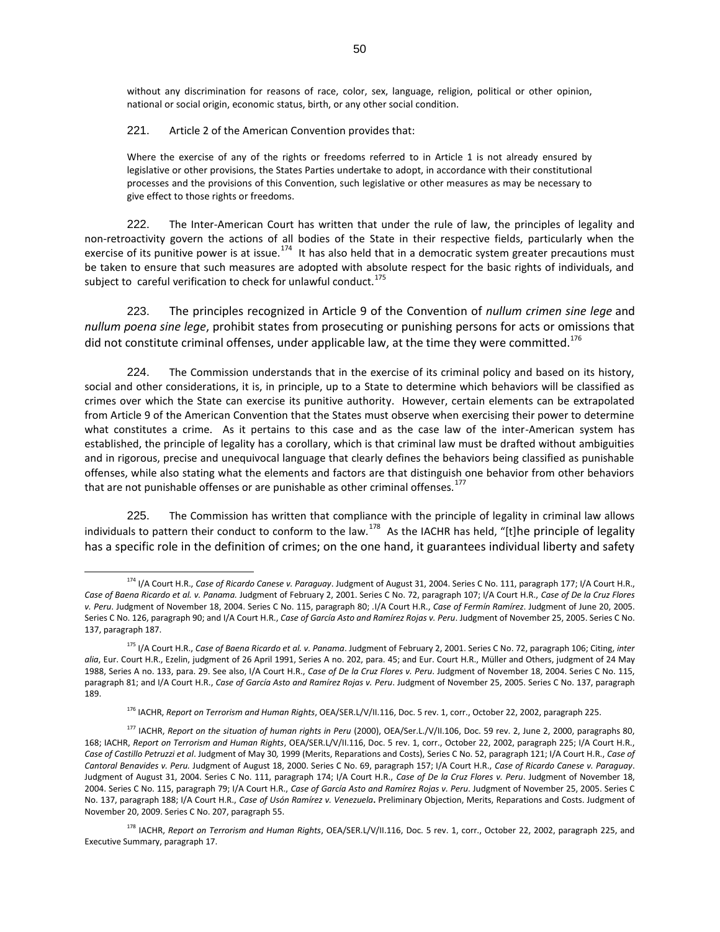without any discrimination for reasons of race, color, sex, language, religion, political or other opinion, national or social origin, economic status, birth, or any other social condition.

221. Article 2 of the American Convention provides that:

Where the exercise of any of the rights or freedoms referred to in Article 1 is not already ensured by legislative or other provisions, the States Parties undertake to adopt, in accordance with their constitutional processes and the provisions of this Convention, such legislative or other measures as may be necessary to give effect to those rights or freedoms.

222. The Inter-American Court has written that under the rule of law, the principles of legality and non-retroactivity govern the actions of all bodies of the State in their respective fields, particularly when the exercise of its punitive power is at issue.<sup>174</sup> It has also held that in a democratic system greater precautions must be taken to ensure that such measures are adopted with absolute respect for the basic rights of individuals, and subject to careful verification to check for unlawful conduct.<sup>175</sup>

223. The principles recognized in Article 9 of the Convention of *nullum crimen sine lege* and *nullum poena sine lege*, prohibit states from prosecuting or punishing persons for acts or omissions that did not constitute criminal offenses, under applicable law, at the time they were committed.<sup>176</sup>

224. The Commission understands that in the exercise of its criminal policy and based on its history, social and other considerations, it is, in principle, up to a State to determine which behaviors will be classified as crimes over which the State can exercise its punitive authority. However, certain elements can be extrapolated from Article 9 of the American Convention that the States must observe when exercising their power to determine what constitutes a crime. As it pertains to this case and as the case law of the inter-American system has established, the principle of legality has a corollary, which is that criminal law must be drafted without ambiguities and in rigorous, precise and unequivocal language that clearly defines the behaviors being classified as punishable offenses, while also stating what the elements and factors are that distinguish one behavior from other behaviors that are not punishable offenses or are punishable as other criminal offenses.<sup>177</sup>

225. The Commission has written that compliance with the principle of legality in criminal law allows individuals to pattern their conduct to conform to the law.<sup>178</sup> As the IACHR has held, "[t]he principle of legality has a specific role in the definition of crimes; on the one hand, it guarantees individual liberty and safety

<sup>174</sup> I/A Court H.R., *Case of Ricardo Canese v. Paraguay*. Judgment of August 31, 2004. Series C No. 111, paragraph 177; I/A Court H.R., *Case of Baena Ricardo et al. v. Panama.* Judgment of February 2, 2001. Series C No. 72, paragraph 107; I/A Court H.R., *Case of De la Cruz Flores v. Peru*. Judgment of November 18, 2004. Series C No. 115, paragraph 80; *.*I/A Court H.R., *Case of Fermín Ramírez*. Judgment of June 20, 2005. Series C No. 126, paragraph 90; and I/A Court H.R., *Case of García Asto and Ramírez Rojas v. Peru*. Judgment of November 25, 2005. Series C No. 137, paragraph 187.

<sup>175</sup> I/A Court H.R., *Case of Baena Ricardo et al. v. Panama*. Judgment of February 2, 2001. Series C No. 72, paragraph 106; Citing, *inter alia*, Eur. Court H.R., Ezelin, judgment of 26 April 1991, Series A no. 202, para. 45; and Eur. Court H.R., Müller and Others, judgment of 24 May 1988, Series A no. 133, para. 29. See also, I/A Court H.R., *Case of De la Cruz Flores v. Peru*. Judgment of November 18, 2004. Series C No. 115, paragraph 81; and I/A Court H.R., *Case of García Asto and Ramírez Rojas v. Peru*. Judgment of November 25, 2005. Series C No. 137, paragraph 189.

<sup>176</sup> IACHR, *Report on Terrorism and Human Rights*, OEA/SER.L/V/II.116, Doc. 5 rev. 1, corr., October 22, 2002, paragraph 225.

<sup>177</sup> IACHR, *Report on the situation of human rights in Peru* (2000), OEA/Ser.L./V/II.106, Doc. 59 rev. 2, June 2, 2000, paragraphs 80, 168; IACHR, *Report on Terrorism and Human Rights*, OEA/SER.L/V/II.116, Doc. 5 rev. 1, corr., October 22, 2002, paragraph 225; I/A Court H.R., *Case of Castillo Petruzzi et al*. Judgment of May 30*,* 1999 (Merits, Reparations and Costs), Series C No. 52, paragraph 121; I/A Court H.R., *Case of Cantoral Benavides v. Peru.* Judgment of August 18, 2000. Series C No. 69, paragraph 157; I/A Court H.R., *Case of Ricardo Canese v. Paraguay*. Judgment of August 31, 2004. Series C No. 111, paragraph 174; I/A Court H.R., *Case of De la Cruz Flores v. Peru*. Judgment of November 18, 2004. Series C No. 115, paragraph 79; I/A Court H.R., *Case of García Asto and Ramírez Rojas v. Peru*. Judgment of November 25, 2005. Series C No. 137, paragraph 188; I/A Court H.R., *Case of Usón Ramírez v. Venezuela***.** Preliminary Objection, Merits, Reparations and Costs. Judgment of November 20, 2009. Series C No. 207, paragraph 55.

<sup>178</sup> IACHR, *Report on Terrorism and Human Rights*, OEA/SER.L/V/II.116, Doc. 5 rev. 1, corr., October 22, 2002, paragraph 225, and Executive Summary, paragraph 17.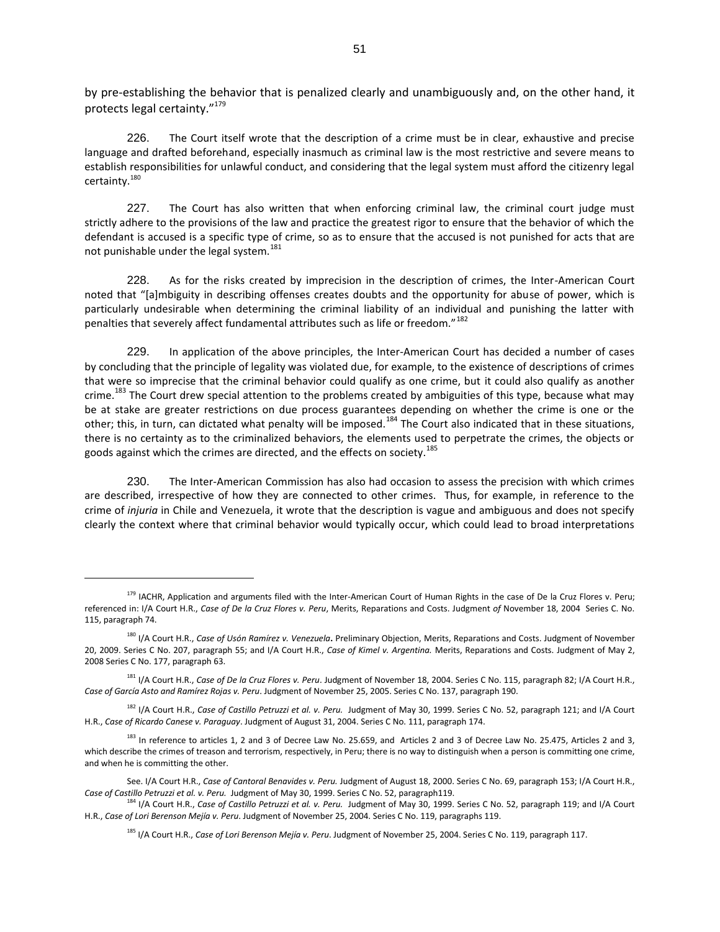by pre-establishing the behavior that is penalized clearly and unambiguously and, on the other hand, it protects legal certainty."<sup>179</sup>

226. The Court itself wrote that the description of a crime must be in clear, exhaustive and precise language and drafted beforehand, especially inasmuch as criminal law is the most restrictive and severe means to establish responsibilities for unlawful conduct, and considering that the legal system must afford the citizenry legal certainty.<sup>180</sup>

227. The Court has also written that when enforcing criminal law, the criminal court judge must strictly adhere to the provisions of the law and practice the greatest rigor to ensure that the behavior of which the defendant is accused is a specific type of crime, so as to ensure that the accused is not punished for acts that are not punishable under the legal system.<sup>181</sup>

228. As for the risks created by imprecision in the description of crimes, the Inter-American Court noted that "[a]mbiguity in describing offenses creates doubts and the opportunity for abuse of power, which is particularly undesirable when determining the criminal liability of an individual and punishing the latter with penalties that severely affect fundamental attributes such as life or freedom."<sup>182</sup>

229. In application of the above principles, the Inter-American Court has decided a number of cases by concluding that the principle of legality was violated due, for example, to the existence of descriptions of crimes that were so imprecise that the criminal behavior could qualify as one crime, but it could also qualify as another crime.<sup>183</sup> The Court drew special attention to the problems created by ambiguities of this type, because what may be at stake are greater restrictions on due process guarantees depending on whether the crime is one or the other; this, in turn, can dictated what penalty will be imposed.<sup>184</sup> The Court also indicated that in these situations, there is no certainty as to the criminalized behaviors, the elements used to perpetrate the crimes, the objects or goods against which the crimes are directed, and the effects on society.<sup>185</sup>

230. The Inter-American Commission has also had occasion to assess the precision with which crimes are described, irrespective of how they are connected to other crimes. Thus, for example, in reference to the crime of *injuria* in Chile and Venezuela, it wrote that the description is vague and ambiguous and does not specify clearly the context where that criminal behavior would typically occur, which could lead to broad interpretations

<sup>&</sup>lt;sup>179</sup> IACHR, Application and arguments filed with the Inter-American Court of Human Rights in the case of De la Cruz Flores v. Peru; referenced in: I/A Court H.R., *Case of De la Cruz Flores v. Peru*, Merits, Reparations and Costs. Judgment *of* November 18, 2004 Series C. No. 115, paragraph 74.

<sup>180</sup> I/A Court H.R., *Case of Usón Ramírez v. Venezuela***.** Preliminary Objection, Merits, Reparations and Costs. Judgment of November 20, 2009. Series C No. 207, paragraph 55; and I/A Court H.R., *Case of Kimel v. Argentina.* Merits, Reparations and Costs. Judgment of May 2, 2008 Series C No. 177, paragraph 63.

<sup>181</sup> I/A Court H.R., *Case of De la Cruz Flores v. Peru*. Judgment of November 18, 2004. Series C No. 115, paragraph 82; I/A Court H.R., *Case of García Asto and Ramírez Rojas v. Peru*. Judgment of November 25, 2005. Series C No. 137, paragraph 190.

<sup>182</sup> I/A Court H.R., *Case of Castillo Petruzzi et al. v. Peru.* Judgment of May 30, 1999. Series C No. 52, paragraph 121; and I/A Court H.R., *Case of Ricardo Canese v. Paraguay*. Judgment of August 31, 2004. Series C No. 111, paragraph 174.

<sup>183</sup> In reference to articles 1, 2 and 3 of Decree Law No. 25.659, and Articles 2 and 3 of Decree Law No. 25.475, Articles 2 and 3, which describe the crimes of treason and terrorism, respectively, in Peru; there is no way to distinguish when a person is committing one crime, and when he is committing the other.

See. I/A Court H.R., *Case of Cantoral Benavides v. Peru.* Judgment of August 18, 2000. Series C No. 69, paragraph 153; I/A Court H.R., *Case of Castillo Petruzzi et al. v. Peru.* Judgment of May 30, 1999. Series C No. 52, paragraph119.

<sup>184</sup> I/A Court H.R., *Case of Castillo Petruzzi et al. v. Peru.* Judgment of May 30, 1999. Series C No. 52, paragraph 119; and I/A Court H.R., *Case of Lori Berenson Mejía v. Peru*. Judgment of November 25, 2004. Series C No. 119, paragraphs 119.

<sup>185</sup> I/A Court H.R., *Case of Lori Berenson Mejía v. Peru*. Judgment of November 25, 2004. Series C No. 119, paragraph 117.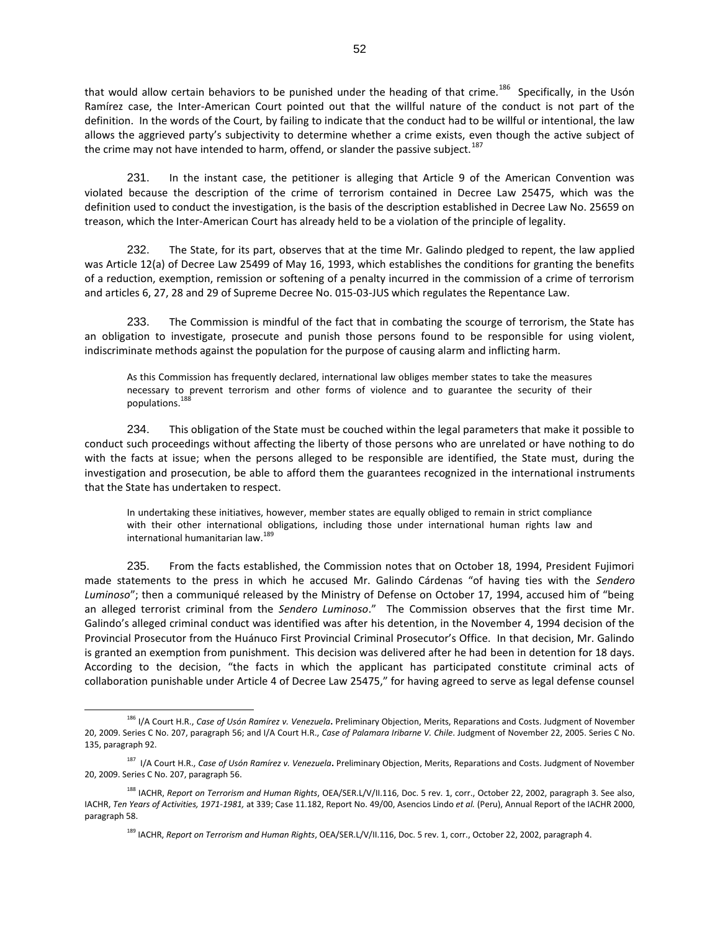that would allow certain behaviors to be punished under the heading of that crime.<sup>186</sup> Specifically, in the Usón Ramírez case, the Inter-American Court pointed out that the willful nature of the conduct is not part of the definition. In the words of the Court, by failing to indicate that the conduct had to be willful or intentional, the law allows the aggrieved party's subjectivity to determine whether a crime exists, even though the active subject of the crime may not have intended to harm, offend, or slander the passive subject.<sup>187</sup>

231. In the instant case, the petitioner is alleging that Article 9 of the American Convention was violated because the description of the crime of terrorism contained in Decree Law 25475, which was the definition used to conduct the investigation, is the basis of the description established in Decree Law No. 25659 on treason, which the Inter-American Court has already held to be a violation of the principle of legality.

232. The State, for its part, observes that at the time Mr. Galindo pledged to repent, the law applied was Article 12(a) of Decree Law 25499 of May 16, 1993, which establishes the conditions for granting the benefits of a reduction, exemption, remission or softening of a penalty incurred in the commission of a crime of terrorism and articles 6, 27, 28 and 29 of Supreme Decree No. 015-03-JUS which regulates the Repentance Law.

233. The Commission is mindful of the fact that in combating the scourge of terrorism, the State has an obligation to investigate, prosecute and punish those persons found to be responsible for using violent, indiscriminate methods against the population for the purpose of causing alarm and inflicting harm.

As this Commission has frequently declared, international law obliges member states to take the measures necessary to prevent terrorism and other forms of violence and to guarantee the security of their populations.<sup>188</sup>

234. This obligation of the State must be couched within the legal parameters that make it possible to conduct such proceedings without affecting the liberty of those persons who are unrelated or have nothing to do with the facts at issue; when the persons alleged to be responsible are identified, the State must, during the investigation and prosecution, be able to afford them the guarantees recognized in the international instruments that the State has undertaken to respect.

In undertaking these initiatives, however, member states are equally obliged to remain in strict compliance with their other international obligations, including those under international human rights law and international humanitarian law.<sup>189</sup>

235. From the facts established, the Commission notes that on October 18, 1994, President Fujimori made statements to the press in which he accused Mr. Galindo Cárdenas "of having ties with the *Sendero Luminoso*"; then a communiqué released by the Ministry of Defense on October 17, 1994, accused him of "being an alleged terrorist criminal from the *Sendero Luminoso*." The Commission observes that the first time Mr. Galindo's alleged criminal conduct was identified was after his detention, in the November 4, 1994 decision of the Provincial Prosecutor from the Huánuco First Provincial Criminal Prosecutor's Office. In that decision, Mr. Galindo is granted an exemption from punishment. This decision was delivered after he had been in detention for 18 days. According to the decision, "the facts in which the applicant has participated constitute criminal acts of collaboration punishable under Article 4 of Decree Law 25475," for having agreed to serve as legal defense counsel

<sup>186</sup> I/A Court H.R., *Case of Usón Ramírez v. Venezuela***.** Preliminary Objection, Merits, Reparations and Costs. Judgment of November 20, 2009. Series C No. 207, paragraph 56; and I/A Court H.R., *Case of Palamara Iribarne V. Chile*. Judgment of November 22, 2005. Series C No. 135, paragraph 92.

<sup>187</sup> I/A Court H.R., *Case of Usón Ramírez v. Venezuela***.** Preliminary Objection, Merits, Reparations and Costs. Judgment of November 20, 2009. Series C No. 207, paragraph 56.

<sup>188</sup> IACHR, *Report on Terrorism and Human Rights*, OEA/SER.L/V/II.116, Doc. 5 rev. 1, corr., October 22, 2002, paragraph 3. See also, IACHR, *Ten Years of Activities, 1971-1981,* at 339; Case 11.182, Report No. 49/00, Asencios Lindo *et al.* (Peru), Annual Report of the IACHR 2000, paragraph 58.

<sup>189</sup> IACHR, *Report on Terrorism and Human Rights*, OEA/SER.L/V/II.116, Doc. 5 rev. 1, corr., October 22, 2002, paragraph 4.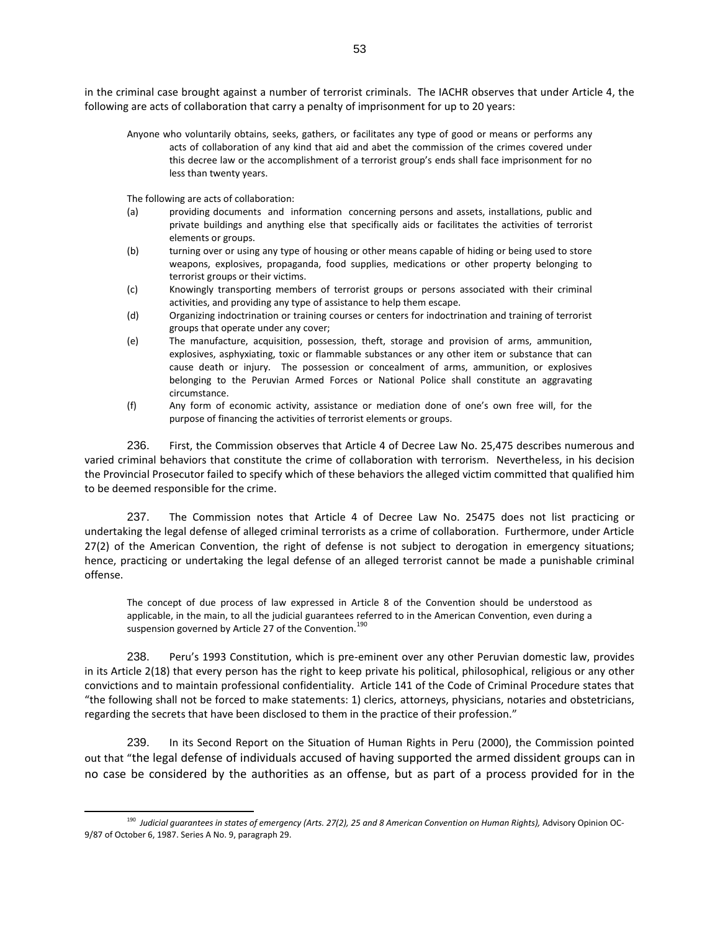in the criminal case brought against a number of terrorist criminals. The IACHR observes that under Article 4, the following are acts of collaboration that carry a penalty of imprisonment for up to 20 years:

Anyone who voluntarily obtains, seeks, gathers, or facilitates any type of good or means or performs any acts of collaboration of any kind that aid and abet the commission of the crimes covered under this decree law or the accomplishment of a terrorist group's ends shall face imprisonment for no less than twenty years.

The following are acts of collaboration:

 $\overline{a}$ 

- (a) providing documents and information concerning persons and assets, installations, public and private buildings and anything else that specifically aids or facilitates the activities of terrorist elements or groups.
- (b) turning over or using any type of housing or other means capable of hiding or being used to store weapons, explosives, propaganda, food supplies, medications or other property belonging to terrorist groups or their victims.
- (c) Knowingly transporting members of terrorist groups or persons associated with their criminal activities, and providing any type of assistance to help them escape.
- (d) Organizing indoctrination or training courses or centers for indoctrination and training of terrorist groups that operate under any cover;
- (e) The manufacture, acquisition, possession, theft, storage and provision of arms, ammunition, explosives, asphyxiating, toxic or flammable substances or any other item or substance that can cause death or injury. The possession or concealment of arms, ammunition, or explosives belonging to the Peruvian Armed Forces or National Police shall constitute an aggravating circumstance.
- (f) Any form of economic activity, assistance or mediation done of one's own free will, for the purpose of financing the activities of terrorist elements or groups.

236. First, the Commission observes that Article 4 of Decree Law No. 25,475 describes numerous and varied criminal behaviors that constitute the crime of collaboration with terrorism. Nevertheless, in his decision the Provincial Prosecutor failed to specify which of these behaviors the alleged victim committed that qualified him to be deemed responsible for the crime.

237. The Commission notes that Article 4 of Decree Law No. 25475 does not list practicing or undertaking the legal defense of alleged criminal terrorists as a crime of collaboration. Furthermore, under Article 27(2) of the American Convention, the right of defense is not subject to derogation in emergency situations; hence, practicing or undertaking the legal defense of an alleged terrorist cannot be made a punishable criminal offense.

The concept of due process of law expressed in Article 8 of the Convention should be understood as applicable, in the main, to all the judicial guarantees referred to in the American Convention, even during a suspension governed by Article 27 of the Convention.<sup>190</sup>

238. Peru's 1993 Constitution, which is pre-eminent over any other Peruvian domestic law, provides in its Article 2(18) that every person has the right to keep private his political, philosophical, religious or any other convictions and to maintain professional confidentiality. Article 141 of the Code of Criminal Procedure states that "the following shall not be forced to make statements: 1) clerics, attorneys, physicians, notaries and obstetricians, regarding the secrets that have been disclosed to them in the practice of their profession."

239. In its Second Report on the Situation of Human Rights in Peru (2000), the Commission pointed out that "the legal defense of individuals accused of having supported the armed dissident groups can in no case be considered by the authorities as an offense, but as part of a process provided for in the

<sup>190</sup> *Judicial guarantees in states of emergency (Arts. 27(2), 25 and 8 American Convention on Human Rights),* Advisory Opinion OC-9/87 of October 6, 1987. Series A No. 9, paragraph 29.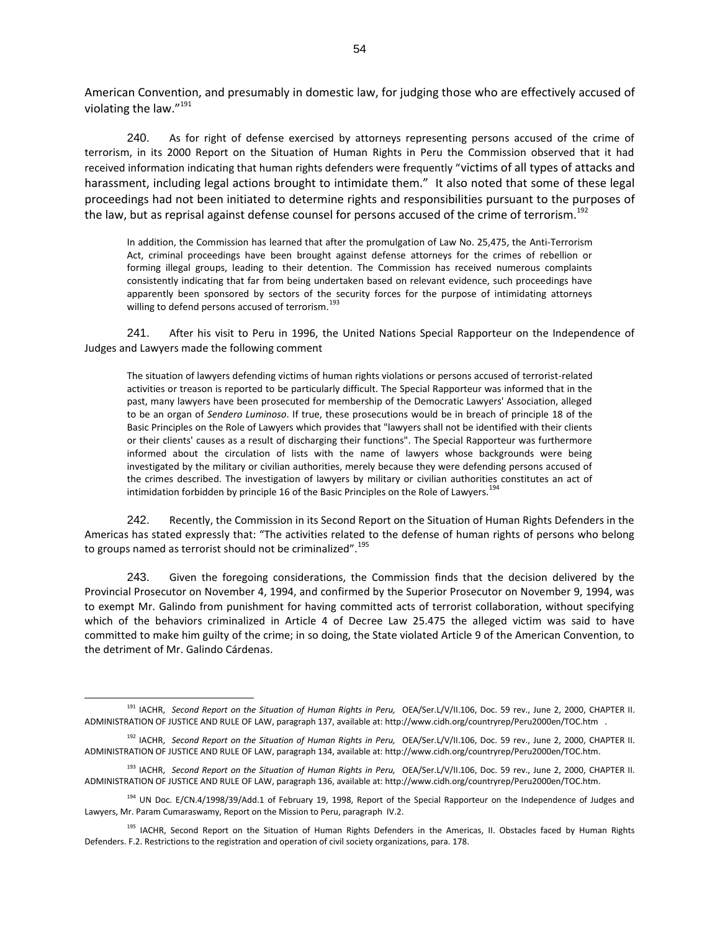American Convention, and presumably in domestic law, for judging those who are effectively accused of violating the law."<sup>191</sup>

240. As for right of defense exercised by attorneys representing persons accused of the crime of terrorism, in its 2000 Report on the Situation of Human Rights in Peru the Commission observed that it had received information indicating that human rights defenders were frequently "victims of all types of attacks and harassment, including legal actions brought to intimidate them." It also noted that some of these legal proceedings had not been initiated to determine rights and responsibilities pursuant to the purposes of the law, but as reprisal against defense counsel for persons accused of the crime of terrorism.<sup>192</sup>

In addition, the Commission has learned that after the promulgation of Law No. 25,475, the Anti-Terrorism Act, criminal proceedings have been brought against defense attorneys for the crimes of rebellion or forming illegal groups, leading to their detention. The Commission has received numerous complaints consistently indicating that far from being undertaken based on relevant evidence, such proceedings have apparently been sponsored by sectors of the security forces for the purpose of intimidating attorneys willing to defend persons accused of terrorism.<sup>19</sup>

241. After his visit to Peru in 1996, the United Nations Special Rapporteur on the Independence of Judges and Lawyers made the following comment

The situation of lawyers defending victims of human rights violations or persons accused of terrorist-related activities or treason is reported to be particularly difficult. The Special Rapporteur was informed that in the past, many lawyers have been prosecuted for membership of the Democratic Lawyers' Association, alleged to be an organ of *Sendero Luminoso*. If true, these prosecutions would be in breach of principle 18 of the Basic Principles on the Role of Lawyers which provides that "lawyers shall not be identified with their clients or their clients' causes as a result of discharging their functions". The Special Rapporteur was furthermore informed about the circulation of lists with the name of lawyers whose backgrounds were being investigated by the military or civilian authorities, merely because they were defending persons accused of the crimes described. The investigation of lawyers by military or civilian authorities constitutes an act of intimidation forbidden by principle 16 of the Basic Principles on the Role of Lawyers.<sup>1</sup>

242. Recently, the Commission in its Second Report on the Situation of Human Rights Defenders in the Americas has stated expressly that: "The activities related to the defense of human rights of persons who belong to groups named as terrorist should not be criminalized".<sup>195</sup>

243. Given the foregoing considerations, the Commission finds that the decision delivered by the Provincial Prosecutor on November 4, 1994, and confirmed by the Superior Prosecutor on November 9, 1994, was to exempt Mr. Galindo from punishment for having committed acts of terrorist collaboration, without specifying which of the behaviors criminalized in Article 4 of Decree Law 25.475 the alleged victim was said to have committed to make him guilty of the crime; in so doing, the State violated Article 9 of the American Convention, to the detriment of Mr. Galindo Cárdenas.

<sup>&</sup>lt;sup>191</sup> IACHR, *Second Report on the Situation of Human Rights in Peru, OEA/Ser.L/V/II.106, Doc. 59 rev., June 2, 2000, CHAPTER II.* ADMINISTRATION OF JUSTICE AND RULE OF LAW, paragraph 137, available at[: http://www.cidh.org/countryrep/Peru2000en/TOC.htm](http://www.cidh.org/countryrep/Peru2000en/TOC.htm) .

<sup>&</sup>lt;sup>192</sup> IACHR, *Second Report on the Situation of Human Rights in Peru, OEA/Ser.L/V/II.106, Doc. 59 rev., June 2, 2000, CHAPTER II.* ADMINISTRATION OF JUSTICE AND RULE OF LAW, paragraph 134, available at[: http://www.cidh.org/countryrep/Peru2000en/TOC.htm.](http://www.cidh.org/countryrep/Peru2000en/TOC.htm)

<sup>&</sup>lt;sup>193</sup> IACHR, *Second Report on the Situation of Human Rights in Peru, OEA/Ser.L/V/II.106, Doc. 59 rev., June 2, 2000, CHAPTER II.* ADMINISTRATION OF JUSTICE AND RULE OF LAW, paragraph 136, available at[: http://www.cidh.org/countryrep/Peru2000en/TOC.htm.](http://www.cidh.org/countryrep/Peru2000en/TOC.htm)

<sup>194</sup> UN Doc. E/CN.4/1998/39/Add.1 of February 19, 1998, Report of the Special Rapporteur on the Independence of Judges and Lawyers, Mr. Param Cumaraswamy, Report on the Mission to Peru, paragraph IV.2.

<sup>&</sup>lt;sup>195</sup> IACHR, Second Report on the Situation of Human Rights Defenders in the Americas, II. Obstacles faced by Human Rights Defenders. F.2. Restrictions to the registration and operation of civil society organizations, para. 178.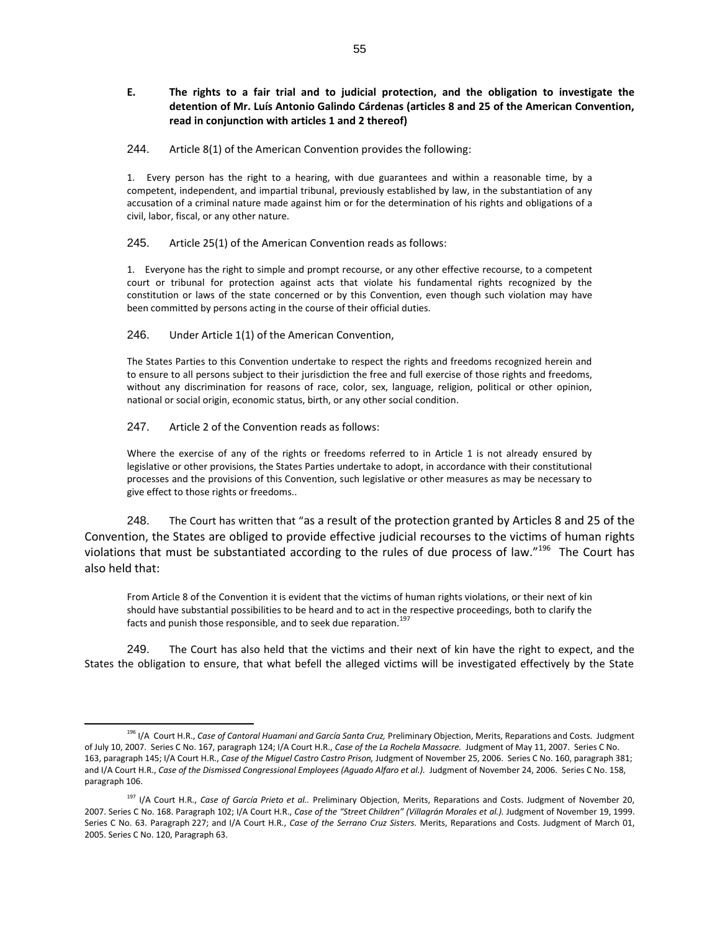- **E. The rights to a fair trial and to judicial protection, and the obligation to investigate the detention of Mr. Luís Antonio Galindo Cárdenas (articles 8 and 25 of the American Convention, read in conjunction with articles 1 and 2 thereof)**
- 244. Article 8(1) of the American Convention provides the following:

1. Every person has the right to a hearing, with due guarantees and within a reasonable time, by a competent, independent, and impartial tribunal, previously established by law, in the substantiation of any accusation of a criminal nature made against him or for the determination of his rights and obligations of a civil, labor, fiscal, or any other nature.

245. Article 25(1) of the American Convention reads as follows:

1. Everyone has the right to simple and prompt recourse, or any other effective recourse, to a competent court or tribunal for protection against acts that violate his fundamental rights recognized by the constitution or laws of the state concerned or by this Convention, even though such violation may have been committed by persons acting in the course of their official duties.

246. Under Article 1(1) of the American Convention,

The States Parties to this Convention undertake to respect the rights and freedoms recognized herein and to ensure to all persons subject to their jurisdiction the free and full exercise of those rights and freedoms, without any discrimination for reasons of race, color, sex, language, religion, political or other opinion, national or social origin, economic status, birth, or any other social condition.

247. Article 2 of the Convention reads as follows:

Where the exercise of any of the rights or freedoms referred to in Article 1 is not already ensured by legislative or other provisions, the States Parties undertake to adopt, in accordance with their constitutional processes and the provisions of this Convention, such legislative or other measures as may be necessary to give effect to those rights or freedoms..

248. The Court has written that "as a result of the protection granted by Articles 8 and 25 of the Convention, the States are obliged to provide effective judicial recourses to the victims of human rights violations that must be substantiated according to the rules of due process of law."<sup>196</sup> The Court has also held that:

From Article 8 of the Convention it is evident that the victims of human rights violations, or their next of kin should have substantial possibilities to be heard and to act in the respective proceedings, both to clarify the facts and punish those responsible, and to seek due reparation.<sup>197</sup>

249. The Court has also held that the victims and their next of kin have the right to expect, and the States the obligation to ensure, that what befell the alleged victims will be investigated effectively by the State

<sup>&</sup>lt;sup>196</sup> I/A Court H.R., Case of Cantoral Huamani and García Santa Cruz, Preliminary Objection, Merits, Reparations and Costs. Judgment of July 10, 2007. Series C No. 167, paragraph 124; I/A Court H.R., *Case of the La Rochela Massacre.* Judgment of May 11, 2007. Series C No. 163, paragraph 145; I/A Court H.R., *Case of the Miguel Castro Castro Prison,* Judgment of November 25, 2006. Series C No. 160, paragraph 381; and I/A Court H.R., Case of the Dismissed Congressional Employees (Aguado Alfaro et al.). Judgment of November 24, 2006. Series C No. 158, paragraph 106.

<sup>197</sup> I/A Court H.R., *Case of García Prieto et al..* Preliminary Objection, Merits, Reparations and Costs. Judgment of November 20, 2007. Series C No. 168. Paragraph 102; I/A Court H.R., *Case of the "Street Children" (Villagrán Morales et al.).* Judgment of November 19, 1999. Series C No. 63. Paragraph 227; and I/A Court H.R., *Case of the Serrano Cruz Sisters.* Merits, Reparations and Costs. Judgment of March 01, 2005. Series C No. 120, Paragraph 63.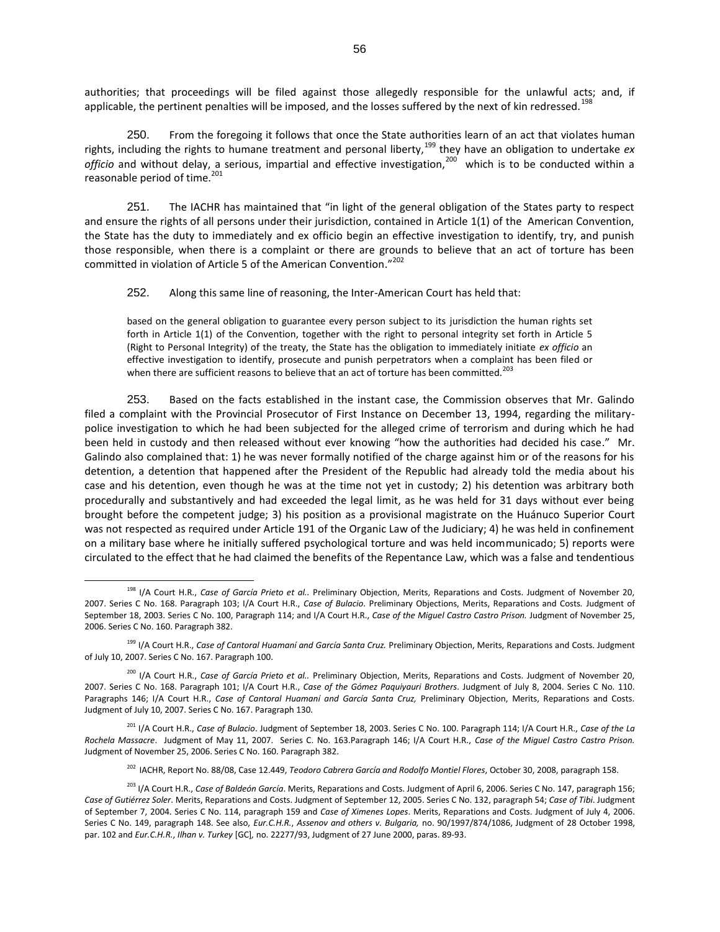authorities; that proceedings will be filed against those allegedly responsible for the unlawful acts; and, if applicable, the pertinent penalties will be imposed, and the losses suffered by the next of kin redressed.<sup>198</sup>

250. From the foregoing it follows that once the State authorities learn of an act that violates human rights, including the rights to humane treatment and personal liberty,<sup>199</sup> they have an obligation to undertake *ex* officio and without delay, a serious, impartial and effective investigation,<sup>200</sup> which is to be conducted within a reasonable period of time. $201$ 

251. The IACHR has maintained that "in light of the general obligation of the States party to respect and ensure the rights of all persons under their jurisdiction, contained in Article 1(1) of the American Convention, the State has the duty to immediately and ex officio begin an effective investigation to identify, try, and punish those responsible, when there is a complaint or there are grounds to believe that an act of torture has been committed in violation of Article 5 of the American Convention."<sup>202</sup>

252. Along this same line of reasoning, the Inter-American Court has held that:

based on the general obligation to guarantee every person subject to its jurisdiction the human rights set forth in Article 1(1) of the Convention, together with the right to personal integrity set forth in Article 5 (Right to Personal Integrity) of the treaty, the State has the obligation to immediately initiate *ex officio* an effective investigation to identify, prosecute and punish perpetrators when a complaint has been filed or when there are sufficient reasons to believe that an act of torture has been committed.<sup>203</sup>

253. Based on the facts established in the instant case, the Commission observes that Mr. Galindo filed a complaint with the Provincial Prosecutor of First Instance on December 13, 1994, regarding the militarypolice investigation to which he had been subjected for the alleged crime of terrorism and during which he had been held in custody and then released without ever knowing "how the authorities had decided his case." Mr. Galindo also complained that: 1) he was never formally notified of the charge against him or of the reasons for his detention, a detention that happened after the President of the Republic had already told the media about his case and his detention, even though he was at the time not yet in custody; 2) his detention was arbitrary both procedurally and substantively and had exceeded the legal limit, as he was held for 31 days without ever being brought before the competent judge; 3) his position as a provisional magistrate on the Huánuco Superior Court was not respected as required under Article 191 of the Organic Law of the Judiciary; 4) he was held in confinement on a military base where he initially suffered psychological torture and was held incommunicado; 5) reports were circulated to the effect that he had claimed the benefits of the Repentance Law, which was a false and tendentious

 $\overline{a}$ 

<sup>198</sup> I/A Court H.R., *Case of García Prieto et al..* Preliminary Objection, Merits, Reparations and Costs. Judgment of November 20, 2007. Series C No. 168. Paragraph 103; I/A Court H.R., *Case of Bulacio*. Preliminary Objections, Merits, Reparations and Costs*.* Judgment of September 18, 2003. Series C No. 100, Paragraph 114; and I/A Court H.R., *Case of the Miguel Castro Castro Prison.* Judgment of November 25, 2006. Series C No. 160. Paragraph 382.

<sup>199</sup> I/A Court H.R., *Case of Cantoral Huamaní and García Santa Cruz.* Preliminary Objection, Merits, Reparations and Costs. Judgment of July 10, 2007. Series C No. 167. Paragraph 100.

<sup>&</sup>lt;sup>200</sup> I/A Court H.R., *Case of García Prieto et al..* Preliminary Objection, Merits, Reparations and Costs. Judgment of November 20, 2007. Series C No. 168. Paragraph 101; I/A Court H.R., *Case of the Gómez Paquiyauri Brothers*. Judgment of July 8, 2004. Series C No. 110. Paragraphs 146; I/A Court H.R., *Case of Cantoral Huamaní and García Santa Cruz,* Preliminary Objection, Merits, Reparations and Costs. Judgment of July 10, 2007. Series C No. 167. Paragraph 130.

<sup>201</sup> I/A Court H.R., *Case of Bulacio*. Judgment of September 18, 2003. Series C No. 100. Paragraph 114; I/A Court H.R., *Case of the La Rochela Massacre*. Judgment of May 11, 2007. Series C. No. 163.Paragraph 146; I/A Court H.R., *Case of the Miguel Castro Castro Prison.* Judgment of November 25, 2006. Series C No. 160. Paragraph 382.

<sup>202</sup> IACHR, Report No. 88/08, Case 12.449, *Teodoro Cabrera García and Rodolfo Montiel Flores*, October 30, 2008, paragraph 158.

<sup>203</sup> I/A Court H.R., *Case of Baldeón García*. Merits, Reparations and Costs. Judgment of April 6, 2006. Series C No. 147, paragraph 156; *Case of Gutiérrez Soler*. Merits, Reparations and Costs. Judgment of September 12, 2005. Series C No. 132, paragraph 54; *Case of Tibi*. Judgment of September 7, 2004. Series C No. 114, paragraph 159 and *Case of Ximenes Lopes*. Merits, Reparations and Costs. Judgment of July 4, 2006. Series C No. 149, paragraph 148. See also, *Eur.C.H.R.*, *Assenov and others v. Bulgaria,* no. 90/1997/874/1086, Judgment of 28 October 1998, par. 102 and *Eur.C.H.R.*, *Ilhan v. Turkey* [GC]*,* no. 22277/93, Judgment of 27 June 2000, paras. 89-93.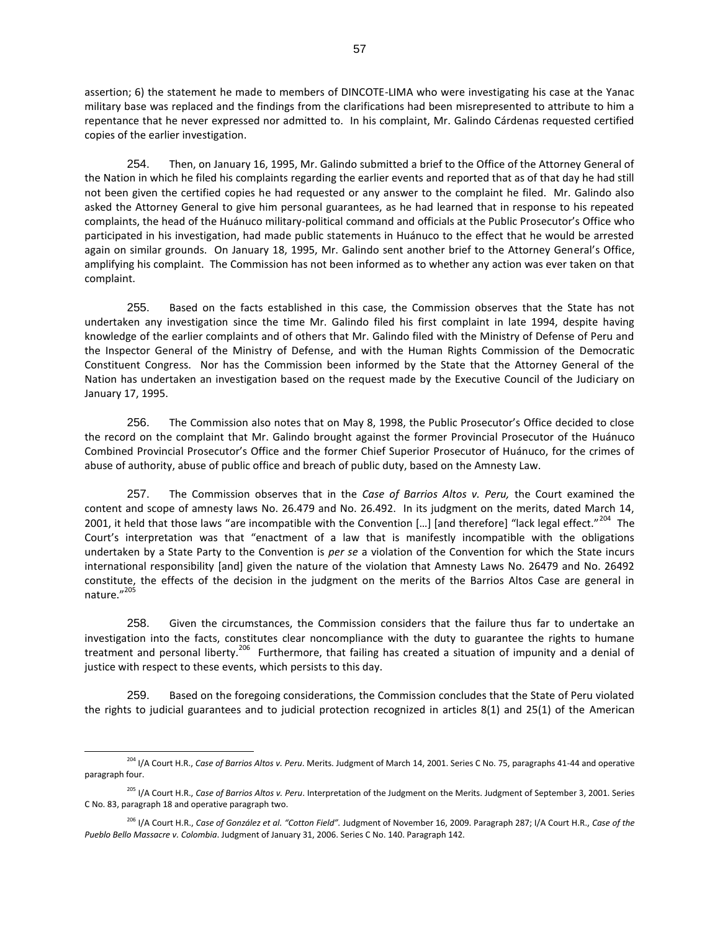assertion; 6) the statement he made to members of DINCOTE-LIMA who were investigating his case at the Yanac military base was replaced and the findings from the clarifications had been misrepresented to attribute to him a repentance that he never expressed nor admitted to. In his complaint, Mr. Galindo Cárdenas requested certified copies of the earlier investigation.

254. Then, on January 16, 1995, Mr. Galindo submitted a brief to the Office of the Attorney General of the Nation in which he filed his complaints regarding the earlier events and reported that as of that day he had still not been given the certified copies he had requested or any answer to the complaint he filed. Mr. Galindo also asked the Attorney General to give him personal guarantees, as he had learned that in response to his repeated complaints, the head of the Huánuco military-political command and officials at the Public Prosecutor's Office who participated in his investigation, had made public statements in Huánuco to the effect that he would be arrested again on similar grounds. On January 18, 1995, Mr. Galindo sent another brief to the Attorney General's Office, amplifying his complaint. The Commission has not been informed as to whether any action was ever taken on that complaint.

255. Based on the facts established in this case, the Commission observes that the State has not undertaken any investigation since the time Mr. Galindo filed his first complaint in late 1994, despite having knowledge of the earlier complaints and of others that Mr. Galindo filed with the Ministry of Defense of Peru and the Inspector General of the Ministry of Defense, and with the Human Rights Commission of the Democratic Constituent Congress. Nor has the Commission been informed by the State that the Attorney General of the Nation has undertaken an investigation based on the request made by the Executive Council of the Judiciary on January 17, 1995.

256. The Commission also notes that on May 8, 1998, the Public Prosecutor's Office decided to close the record on the complaint that Mr. Galindo brought against the former Provincial Prosecutor of the Huánuco Combined Provincial Prosecutor's Office and the former Chief Superior Prosecutor of Huánuco, for the crimes of abuse of authority, abuse of public office and breach of public duty, based on the Amnesty Law.

257. The Commission observes that in the *Case of Barrios Altos v. Peru,* the Court examined the content and scope of amnesty laws No. 26.479 and No. 26.492. In its judgment on the merits, dated March 14, 2001, it held that those laws "are incompatible with the Convention [...] [and therefore] "lack legal effect."<sup>204</sup> The Court's interpretation was that "enactment of a law that is manifestly incompatible with the obligations undertaken by a State Party to the Convention is *per se* a violation of the Convention for which the State incurs international responsibility [and] given the nature of the violation that Amnesty Laws No. 26479 and No. 26492 constitute, the effects of the decision in the judgment on the merits of the Barrios Altos Case are general in nature."205

258. Given the circumstances, the Commission considers that the failure thus far to undertake an investigation into the facts, constitutes clear noncompliance with the duty to guarantee the rights to humane treatment and personal liberty.<sup>206</sup> Furthermore, that failing has created a situation of impunity and a denial of justice with respect to these events, which persists to this day.

259. Based on the foregoing considerations, the Commission concludes that the State of Peru violated the rights to judicial guarantees and to judicial protection recognized in articles 8(1) and 25(1) of the American

<sup>204</sup> I/A Court H.R., *Case of Barrios Altos v. Peru*. Merits. Judgment of March 14, 2001. Series C No. 75, paragraphs 41-44 and operative paragraph four.

<sup>205</sup> I/A Court H.R., *Case of Barrios Altos v. Peru*. Interpretation of the Judgment on the Merits. Judgment of September 3, 2001. Series C No. 83, paragraph 18 and operative paragraph two.

<sup>206</sup> I/A Court H.R., *Case of González et al. "Cotton Field".* Judgment of November 16, 2009. Paragraph 287; I/A Court H.R., *Case of the Pueblo Bello Massacre v. Colombia*. Judgment of January 31, 2006. Series C No. 140. Paragraph 142.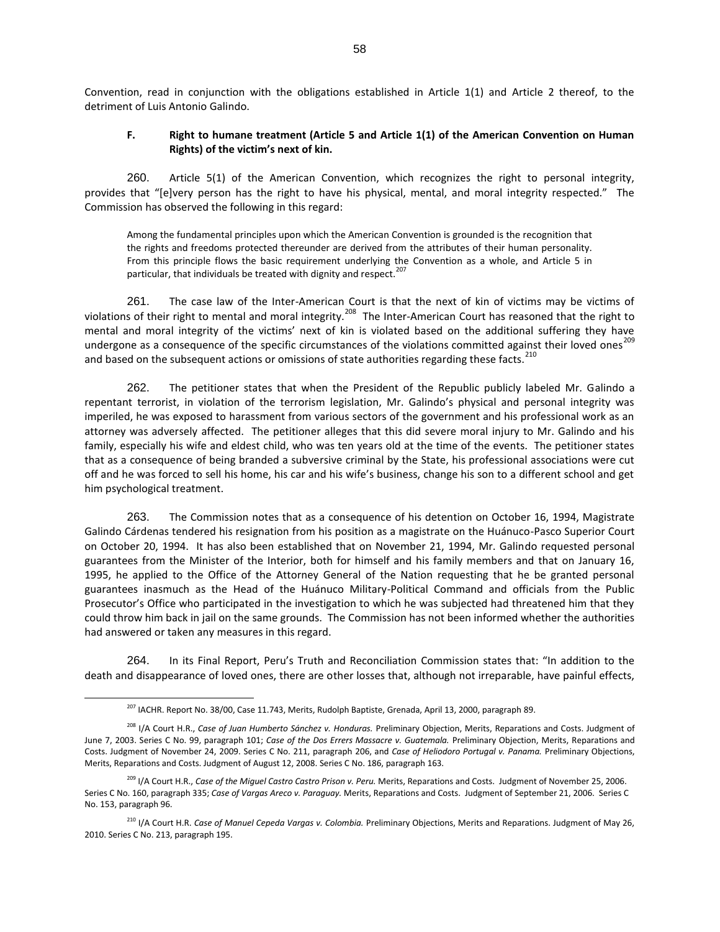Convention, read in conjunction with the obligations established in Article 1(1) and Article 2 thereof, to the detriment of Luis Antonio Galindo.

# **F. Right to humane treatment (Article 5 and Article 1(1) of the American Convention on Human Rights) of the victim's next of kin.**

260. Article 5(1) of the American Convention, which recognizes the right to personal integrity, provides that "[e]very person has the right to have his physical, mental, and moral integrity respected." The Commission has observed the following in this regard:

Among the fundamental principles upon which the American Convention is grounded is the recognition that the rights and freedoms protected thereunder are derived from the attributes of their human personality. From this principle flows the basic requirement underlying the Convention as a whole, and Article 5 in particular, that individuals be treated with dignity and respect.<sup>207</sup>

261. The case law of the Inter-American Court is that the next of kin of victims may be victims of violations of their right to mental and moral integrity.<sup>208</sup> The Inter-American Court has reasoned that the right to mental and moral integrity of the victims' next of kin is violated based on the additional suffering they have undergone as a consequence of the specific circumstances of the violations committed against their loved ones<sup>209</sup> and based on the subsequent actions or omissions of state authorities regarding these facts.<sup>210</sup>

262. The petitioner states that when the President of the Republic publicly labeled Mr. Galindo a repentant terrorist, in violation of the terrorism legislation, Mr. Galindo's physical and personal integrity was imperiled, he was exposed to harassment from various sectors of the government and his professional work as an attorney was adversely affected. The petitioner alleges that this did severe moral injury to Mr. Galindo and his family, especially his wife and eldest child, who was ten years old at the time of the events. The petitioner states that as a consequence of being branded a subversive criminal by the State, his professional associations were cut off and he was forced to sell his home, his car and his wife's business, change his son to a different school and get him psychological treatment.

263. The Commission notes that as a consequence of his detention on October 16, 1994, Magistrate Galindo Cárdenas tendered his resignation from his position as a magistrate on the Huánuco-Pasco Superior Court on October 20, 1994. It has also been established that on November 21, 1994, Mr. Galindo requested personal guarantees from the Minister of the Interior, both for himself and his family members and that on January 16, 1995, he applied to the Office of the Attorney General of the Nation requesting that he be granted personal guarantees inasmuch as the Head of the Huánuco Military-Political Command and officials from the Public Prosecutor's Office who participated in the investigation to which he was subjected had threatened him that they could throw him back in jail on the same grounds. The Commission has not been informed whether the authorities had answered or taken any measures in this regard.

264. In its Final Report, Peru's Truth and Reconciliation Commission states that: "In addition to the death and disappearance of loved ones, there are other losses that, although not irreparable, have painful effects,

<sup>&</sup>lt;sup>207</sup> IACHR. Report No. 38/00, Case 11.743, Merits, Rudolph Baptiste, Grenada, April 13, 2000, paragraph 89.

<sup>208</sup> I/A Court H.R., *Case of Juan Humberto Sánchez v. Honduras.* Preliminary Objection, Merits, Reparations and Costs. Judgment of June 7, 2003. Series C No. 99, paragraph 101; *Case of the Dos Errers Massacre v. Guatemala.* Preliminary Objection, Merits, Reparations and Costs. Judgment of November 24, 2009. Series C No. 211, paragraph 206, and *Case of Heliodoro Portugal v. Panama.* Preliminary Objections, Merits, Reparations and Costs. Judgment of August 12, 2008. Series C No. 186, paragraph 163.

<sup>&</sup>lt;sup>209</sup> I/A Court H.R., *Case of the Miguel Castro Castro Prison v. Peru.* Merits, Reparations and Costs. Judgment of November 25, 2006. Series C No. 160, paragraph 335; *Case of Vargas Areco v. Paraguay.* Merits, Reparations and Costs. Judgment of September 21, 2006. Series C No. 153, paragraph 96.

<sup>210</sup> I/A Court H.R. *Case of Manuel Cepeda Vargas v. Colombia.* Preliminary Objections, Merits and Reparations. Judgment of May 26, 2010. Series C No. 213, paragraph 195.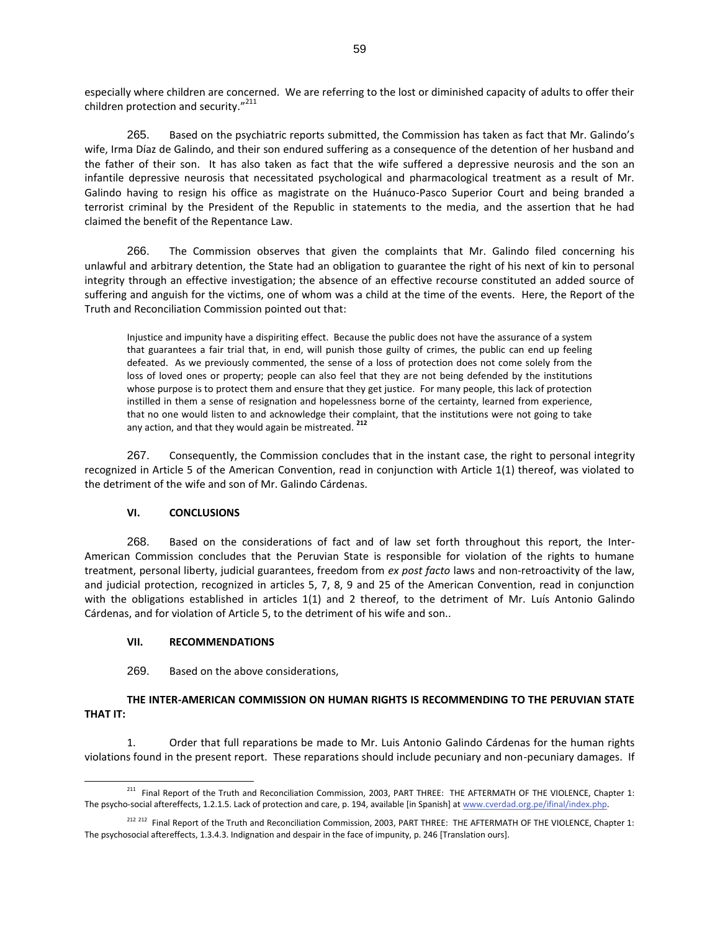especially where children are concerned. We are referring to the lost or diminished capacity of adults to offer their children protection and security."<sup>211</sup>

265. Based on the psychiatric reports submitted, the Commission has taken as fact that Mr. Galindo's wife, Irma Díaz de Galindo, and their son endured suffering as a consequence of the detention of her husband and the father of their son. It has also taken as fact that the wife suffered a depressive neurosis and the son an infantile depressive neurosis that necessitated psychological and pharmacological treatment as a result of Mr. Galindo having to resign his office as magistrate on the Huánuco-Pasco Superior Court and being branded a terrorist criminal by the President of the Republic in statements to the media, and the assertion that he had claimed the benefit of the Repentance Law.

266. The Commission observes that given the complaints that Mr. Galindo filed concerning his unlawful and arbitrary detention, the State had an obligation to guarantee the right of his next of kin to personal integrity through an effective investigation; the absence of an effective recourse constituted an added source of suffering and anguish for the victims, one of whom was a child at the time of the events. Here, the Report of the Truth and Reconciliation Commission pointed out that:

Injustice and impunity have a dispiriting effect. Because the public does not have the assurance of a system that guarantees a fair trial that, in end, will punish those guilty of crimes, the public can end up feeling defeated. As we previously commented, the sense of a loss of protection does not come solely from the loss of loved ones or property; people can also feel that they are not being defended by the institutions whose purpose is to protect them and ensure that they get justice. For many people, this lack of protection instilled in them a sense of resignation and hopelessness borne of the certainty, learned from experience, that no one would listen to and acknowledge their complaint, that the institutions were not going to take any action, and that they would again be mistreated. **<sup>212</sup>**

267. Consequently, the Commission concludes that in the instant case, the right to personal integrity recognized in Article 5 of the American Convention, read in conjunction with Article 1(1) thereof, was violated to the detriment of the wife and son of Mr. Galindo Cárdenas.

# **VI. CONCLUSIONS**

268. Based on the considerations of fact and of law set forth throughout this report, the Inter-American Commission concludes that the Peruvian State is responsible for violation of the rights to humane treatment, personal liberty, judicial guarantees, freedom from *ex post facto* laws and non-retroactivity of the law, and judicial protection, recognized in articles 5, 7, 8, 9 and 25 of the American Convention, read in conjunction with the obligations established in articles 1(1) and 2 thereof, to the detriment of Mr. Luís Antonio Galindo Cárdenas, and for violation of Article 5, to the detriment of his wife and son..

#### **VII. RECOMMENDATIONS**

269. Based on the above considerations,

# **THE INTER-AMERICAN COMMISSION ON HUMAN RIGHTS IS RECOMMENDING TO THE PERUVIAN STATE THAT IT:**

1. Order that full reparations be made to Mr. Luis Antonio Galindo Cárdenas for the human rights violations found in the present report. These reparations should include pecuniary and non-pecuniary damages. If

 $\overline{a}$ <sup>211</sup> Final Report of the Truth and Reconciliation Commission, 2003, PART THREE: THE AFTERMATH OF THE VIOLENCE, Chapter 1: The psycho-social aftereffects, 1.2.1.5. Lack of protection and care, p. 194, available [in Spanish] a[t www.cverdad.org.pe/ifinal/index.php.](http://www.cverdad.org.pe/ifinal/index.php)

<sup>&</sup>lt;sup>212 212</sup> Final Report of the Truth and Reconciliation Commission, 2003, PART THREE: THE AFTERMATH OF THE VIOLENCE, Chapter 1: The psychosocial aftereffects, 1.3.4.3. Indignation and despair in the face of impunity, p. 246 [Translation ours].